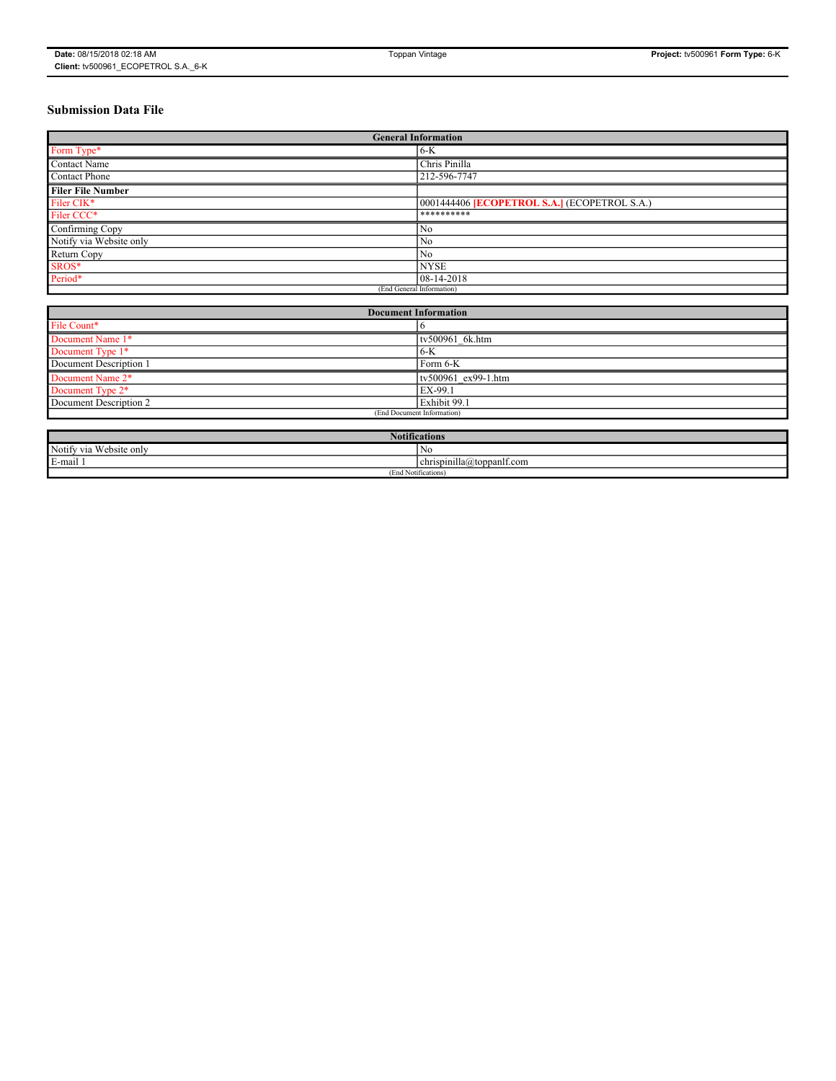# **Submission Data File**

|                          | <b>General Information</b>                   |
|--------------------------|----------------------------------------------|
| Form Type*               | $6-K$                                        |
| Contact Name             | Chris Pinilla                                |
| Contact Phone            | 212-596-7747                                 |
| <b>Filer File Number</b> |                                              |
| Filer CIK*               | 0001444406 [ECOPETROL S.A.] (ECOPETROL S.A.) |
| Filer CCC*               | **********                                   |
| Confirming Copy          | No                                           |
| Notify via Website only  | No                                           |
| Return Copy              | No                                           |
| SROS*                    | <b>NYSE</b>                                  |
| Period*                  | 08-14-2018                                   |
|                          | (End General Information)                    |

| <b>Document Information</b>            |                            |  |  |  |  |  |  |  |  |
|----------------------------------------|----------------------------|--|--|--|--|--|--|--|--|
| File Count*                            |                            |  |  |  |  |  |  |  |  |
| Document Name 1*                       | tv500961 6k.htm            |  |  |  |  |  |  |  |  |
| Document Type 1*                       | $6-K$                      |  |  |  |  |  |  |  |  |
| Document Description 1                 | Form 6-K                   |  |  |  |  |  |  |  |  |
| Document Name 2*                       | $tv500961$ ex99-1.htm      |  |  |  |  |  |  |  |  |
| Document Type 2*                       | EX-99.1                    |  |  |  |  |  |  |  |  |
| Document Description 2<br>Exhibit 99.1 |                            |  |  |  |  |  |  |  |  |
|                                        | (End Document Information) |  |  |  |  |  |  |  |  |

| $\cdot$ . $\cdot$<br>Notifications |                                       |  |  |  |  |  |  |  |  |
|------------------------------------|---------------------------------------|--|--|--|--|--|--|--|--|
| Notify via Website only            | ' NG                                  |  |  |  |  |  |  |  |  |
| E-mail                             | $\cdots$<br>chrispinilla@toppanlf.com |  |  |  |  |  |  |  |  |
| (End Notifications)                |                                       |  |  |  |  |  |  |  |  |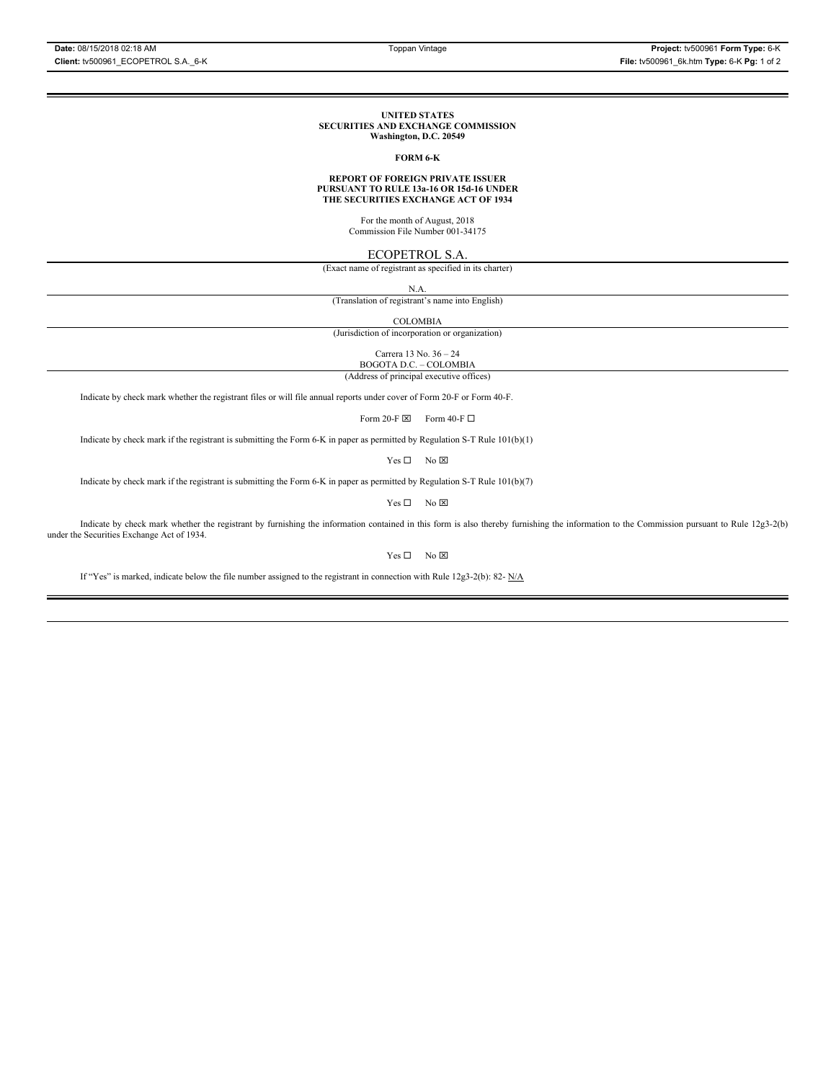#### **UNITED STATES SECURITIES AND EXCHANGE COMMISSION Washington, D.C. 20549**

#### **FORM 6-K**

# **REPORT OF FOREIGN PRIVATE ISSUER PURSUANT TO RULE 13a-16 OR 15d-16 UNDER THE SECURITIES EXCHANGE ACT OF 1934**

For the month of August, 2018 Commission File Number 001-34175

### ECOPETROL S.A.

(Exact name of registrant as specified in its charter)

N.A.

(Translation of registrant's name into English)

COLOMBIA

(Jurisdiction of incorporation or organization)

Carrera 13 No. 36 – 24 BOGOTA D.C. – COLOMBIA

(Address of principal executive offices)

Indicate by check mark whether the registrant files or will file annual reports under cover of Form 20-F or Form 40-F.

Form 20-F  $\boxtimes$  Form 40-F  $\Box$ 

Indicate by check mark if the registrant is submitting the Form 6-K in paper as permitted by Regulation S-T Rule 101(b)(1)

 $Yes \Box$  No  $\boxtimes$ 

Indicate by check mark if the registrant is submitting the Form 6-K in paper as permitted by Regulation S-T Rule 101(b)(7)

 $Yes \Box$  No  $\overline{\boxtimes}$ 

Indicate by check mark whether the registrant by furnishing the information contained in this form is also thereby furnishing the information to the Commission pursuant to Rule 12g3-2(b) under the Securities Exchange Act of 1934.

 $Yes \Box$  No  $\boxtimes$ 

If "Yes" is marked, indicate below the file number assigned to the registrant in connection with Rule 12g3-2(b): 82- N/A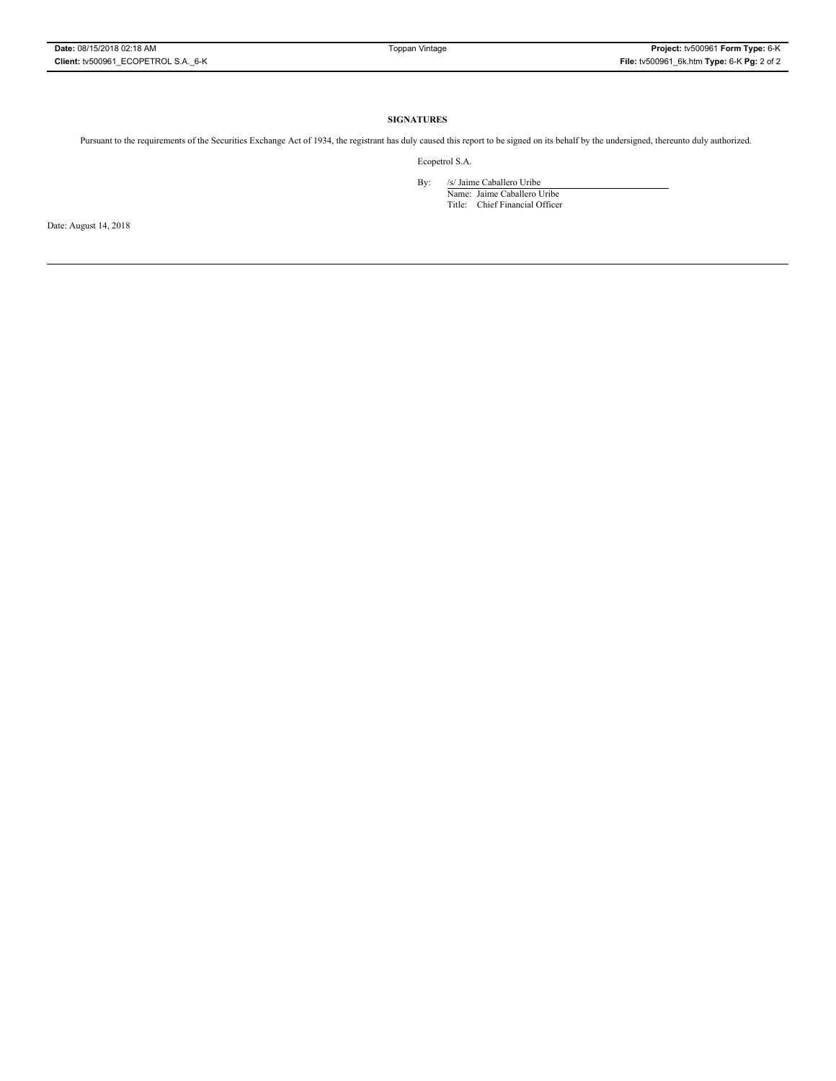### **SIGNATURES**

Pursuant to the requirements of the Securities Exchange Act of 1934, the registrant has duly caused this report to be signed on its behalf by the undersigned, thereunto duly authorized.

Ecopetrol S.A.

By: /s/ Jaime Caballero Uribe

Name: Jaime Caballero Uribe Title: Chief Financial Officer

Date: August 14, 2018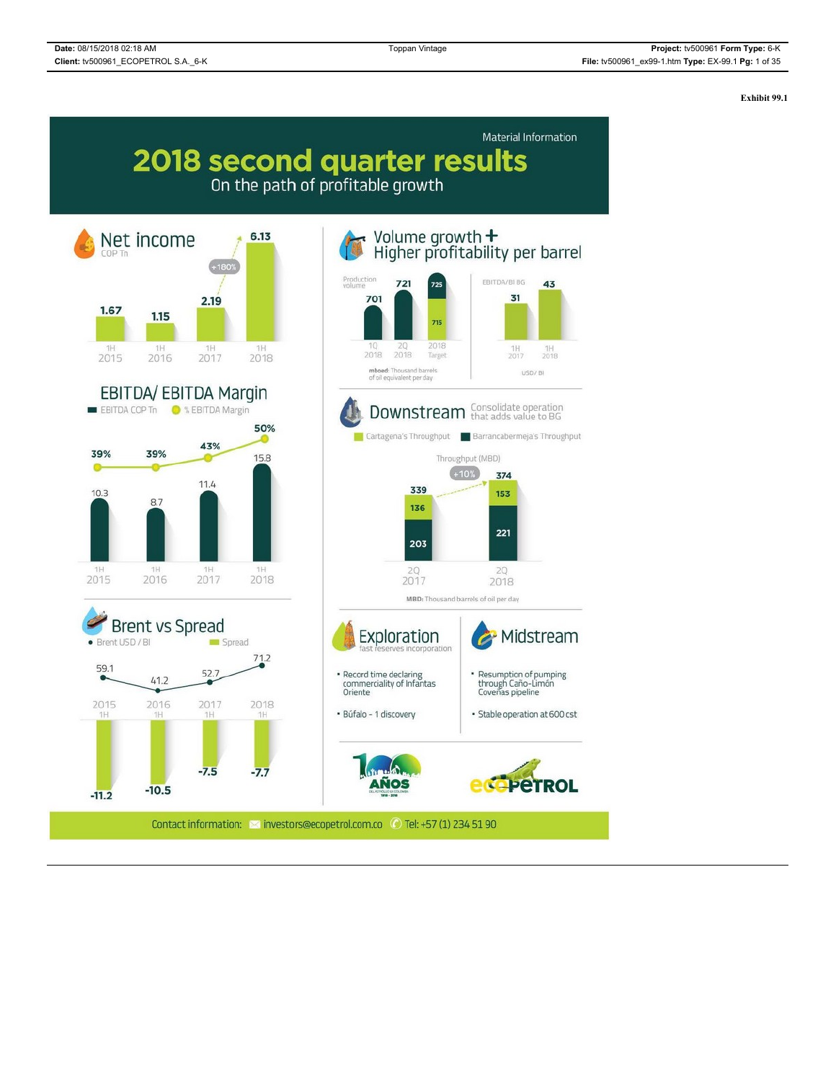**Exhibit 99.1**

# Material Information 2018 second quarter results On the path of profitable growth

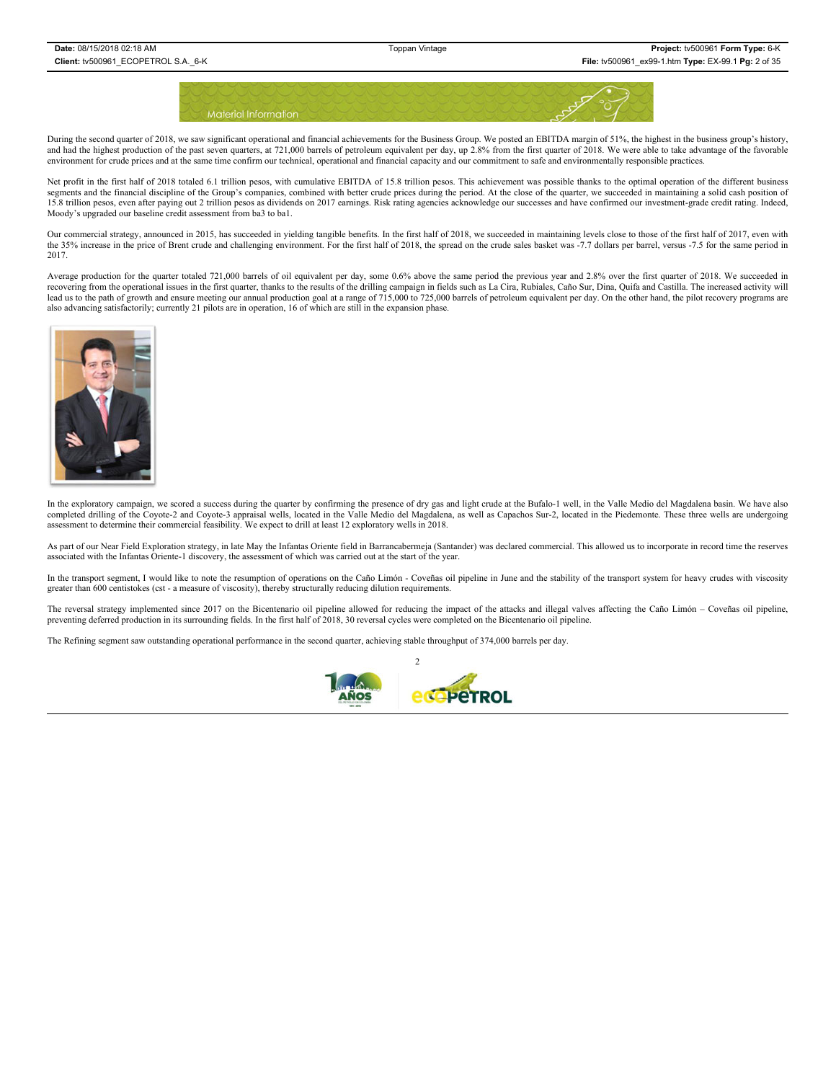

During the second quarter of 2018, we saw significant operational and financial achievements for the Business Group. We posted an EBITDA margin of 51%, the highest in the business group's history, and had the highest production of the past seven quarters, at 721,000 barrels of petroleum equivalent per day, up 2.8% from the first quarter of 2018. We were able to take advantage of the favorable environment for crude prices and at the same time confirm our technical, operational and financial capacity and our commitment to safe and environmentally responsible practices.

Net profit in the first half of 2018 totaled 6.1 trillion pesos, with cumulative EBITDA of 15.8 trillion pesos. This achievement was possible thanks to the optimal operation of the different business segments and the financial discipline of the Group's companies, combined with better crude prices during the period. At the close of the quarter, we succeeded in maintaining a solid cash position of 15.8 trillion pesos, even after paying out 2 trillion pesos as dividends on 2017 earnings. Risk rating agencies acknowledge our successes and have confirmed our investment-grade credit rating. Indeed, Moody's upgraded our baseline credit assessment from ba3 to ba1.

Our commercial strategy, announced in 2015, has succeeded in yielding tangible benefits. In the first half of 2018, we succeeded in maintaining levels close to those of the first half of 2017, even with the 35% increase in the price of Brent crude and challenging environment. For the first half of 2018, the spread on the crude sales basket was -7.7 dollars per barrel, versus -7.5 for the same period in 2017.

Average production for the quarter totaled 721,000 barrels of oil equivalent per day, some 0.6% above the same period the previous year and 2.8% over the first quarter of 2018. We succeeded in recovering from the operational issues in the first quarter, thanks to the results of the drilling campaign in fields such as La Cira, Rubiales, Caño Sur, Dina, Quifa and Castilla. The increased activity will lead us to the path of growth and ensure meeting our annual production goal at a range of 715,000 to 725,000 barrels of petroleum equivalent per day. On the other hand, the pilot recovery programs are also advancing satisfactorily; currently 21 pilots are in operation, 16 of which are still in the expansion phase.



In the exploratory campaign, we scored a success during the quarter by confirming the presence of dry gas and light crude at the Bufalo-1 well, in the Valle Medio del Magdalena basin. We have also completed drilling of the Coyote-2 and Coyote-3 appraisal wells, located in the Valle Medio del Magdalena, as well as Capachos Sur-2, located in the Piedemonte. These three wells are undergoing assessment to determine their commercial feasibility. We expect to drill at least 12 exploratory wells in 2018.

As part of our Near Field Exploration strategy, in late May the Infantas Oriente field in Barrancabermeja (Santander) was declared commercial. This allowed us to incorporate in record time the reserves associated with the Infantas Oriente-1 discovery, the assessment of which was carried out at the start of the year.

In the transport segment, I would like to note the resumption of operations on the Caño Limón - Coveñas oil pipeline in June and the stability of the transport system for heavy crudes with viscosity greater than 600 centistokes (cst - a measure of viscosity), thereby structurally reducing dilution requirements.

The reversal strategy implemented since 2017 on the Bicentenario oil pipeline allowed for reducing the impact of the attacks and illegal valves affecting the Caño Limón – Coveñas oil pipeline, preventing deferred production in its surrounding fields. In the first half of 2018, 30 reversal cycles were completed on the Bicentenario oil pipeline.

The Refining segment saw outstanding operational performance in the second quarter, achieving stable throughput of 374,000 barrels per day.

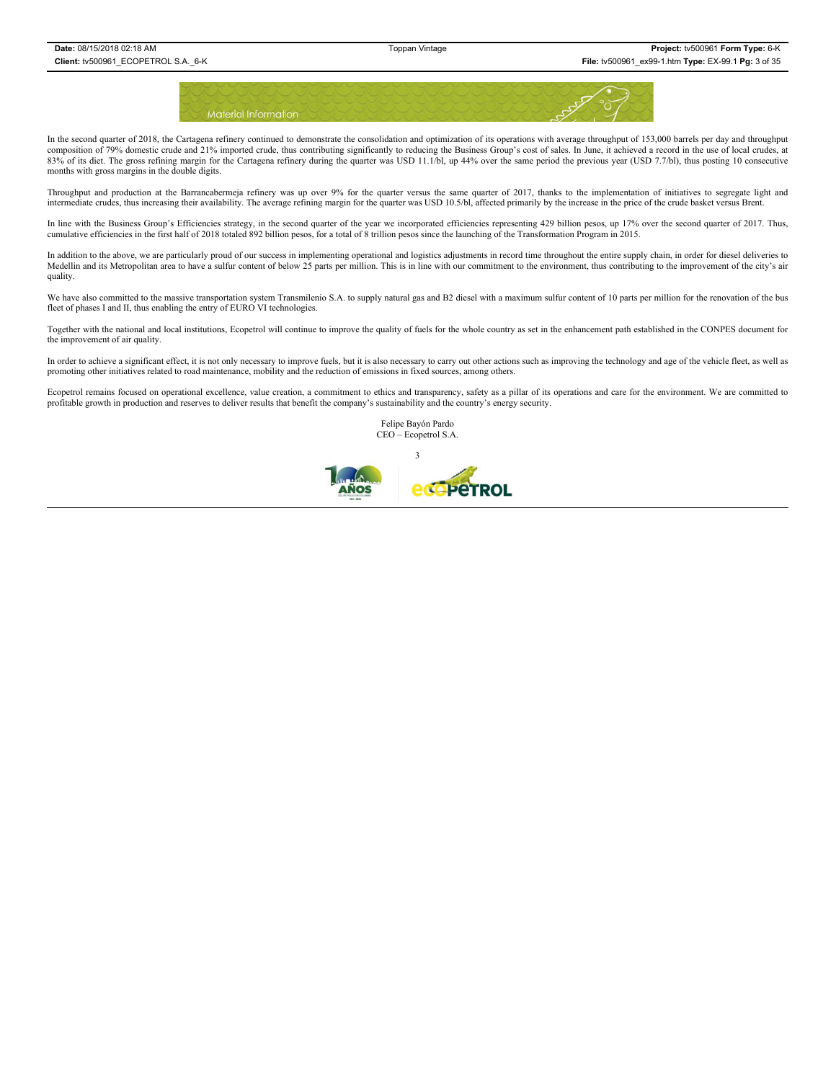

In the second quarter of 2018, the Cartagena refinery continued to demonstrate the consolidation and optimization of its operations with average throughput of 153,000 barrels per day and throughput composition of 79% domestic crude and 21% imported crude, thus contributing significantly to reducing the Business Group's cost of sales. In June, it achieved a record in the use of local crudes, at 83% of its diet. The gross refining margin for the Cartagena refinery during the quarter was USD 11.1/bl, up 44% over the same period the previous year (USD 7.7/bl), thus posting 10 consecutive months with gross margins in the double digits.

Throughput and production at the Barrancabermeja refinery was up over 9% for the quarter versus the same quarter of 2017, thanks to the implementation of initiatives to segregate light and intermediate crudes, thus increasing their availability. The average refining margin for the quarter was USD 10.5/bl, affected primarily by the increase in the price of the crude basket versus Brent.

In line with the Business Group's Efficiencies strategy, in the second quarter of the year we incorporated efficiencies representing 429 billion pesos, up 17% over the second quarter of 2017. Thus, cumulative efficiencies in the first half of 2018 totaled 892 billion pesos, for a total of 8 trillion pesos since the launching of the Transformation Program in 2015.

In addition to the above, we are particularly proud of our success in implementing operational and logistics adjustments in record time throughout the entire supply chain, in order for diesel deliveries to Medellin and its Metropolitan area to have a sulfur content of below 25 parts per million. This is in line with our commitment to the environment, thus contributing to the improvement of the city's air quality.

We have also committed to the massive transportation system Transmilenio S.A. to supply natural gas and B2 diesel with a maximum sulfur content of 10 parts per million for the renovation of the bus fleet of phases I and II, thus enabling the entry of EURO VI technologies.

Together with the national and local institutions, Ecopetrol will continue to improve the quality of fuels for the whole country as set in the enhancement path established in the CONPES document for the improvement of air quality.

In order to achieve a significant effect, it is not only necessary to improve fuels, but it is also necessary to carry out other actions such as improving the technology and age of the vehicle fleet, as well as promoting other initiatives related to road maintenance, mobility and the reduction of emissions in fixed sources, among others.

Ecopetrol remains focused on operational excellence, value creation, a commitment to ethics and transparency, safety as a pillar of its operations and care for the environment. We are committed to profitable growth in production and reserves to deliver results that benefit the company's sustainability and the country's energy security.

> Felipe Bayón Pardo CEO – Ecopetrol S.A. 3*<u>edepernol</u>* Noc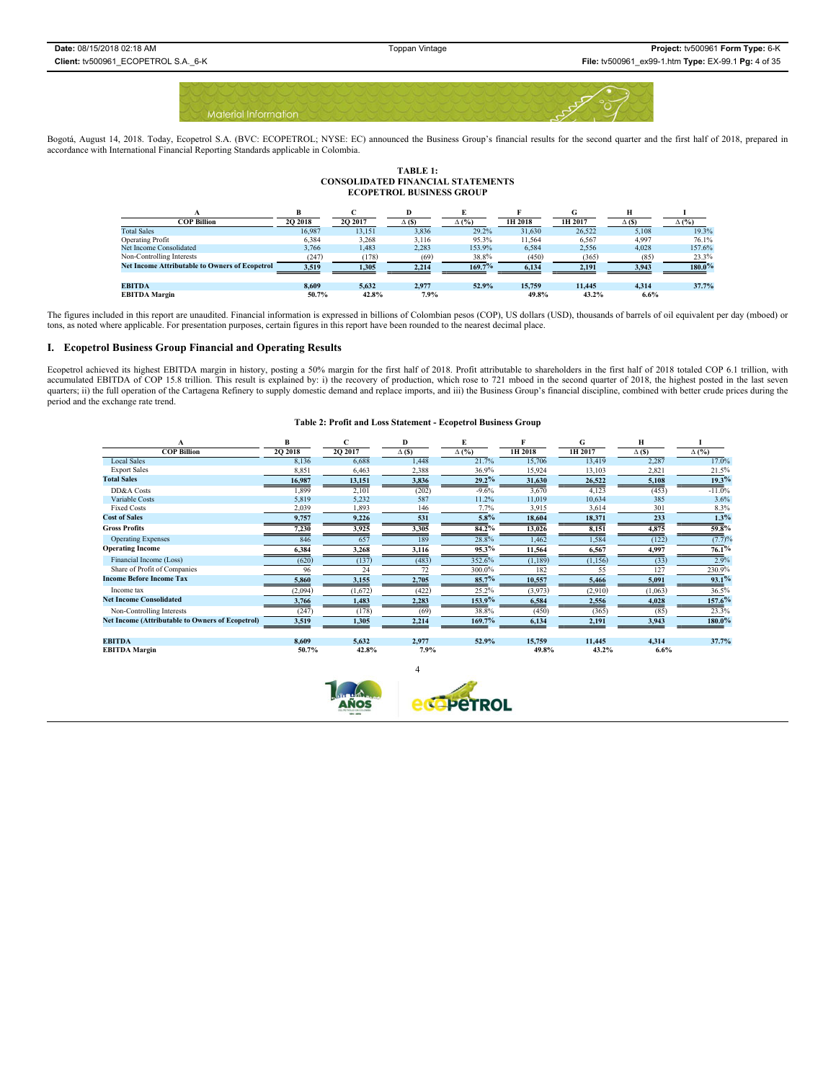

Bogotá, August 14, 2018. Today, Ecopetrol S.A. (BVC: ECOPETROL; NYSE: EC) announced the Business Group's financial results for the second quarter and the first half of 2018, prepared in accordance with International Financial Reporting Standards applicable in Colombia.

# **TABLE 1: CONSOLIDATED FINANCIAL STATEMENTS ECOPETROL BUSINESS GROUP**

|                                                       |          |         |             |              |         |         | н            |              |
|-------------------------------------------------------|----------|---------|-------------|--------------|---------|---------|--------------|--------------|
| COP Billion                                           | 20 20 18 | 2Q 2017 | $\Delta$ (S | $\Delta$ (%) | 1H 2018 | 1H 2017 | $\Delta$ (S) | $\Delta$ (%) |
| <b>Total Sales</b>                                    | 16.987   | 13.151  | 3,836       | 29.2%        | 31.630  | 26.522  | 5.108        | 19.3%        |
| <b>Operating Profit</b>                               | 6.384    | 3,268   | 3,116       | 95.3%        | 11.564  | 6,567   | 4,997        | 76.1%        |
| Net Income Consolidated                               | 3.766    | 1.483   | 2.283       | 153.9%       | 6.584   | 2.556   | 4.028        | 157.6%       |
| Non-Controlling Interests                             | (247)    | (178)   | (69)        | 38.8%        | (450)   | (365)   | (85)         | 23.3%        |
| <b>Net Income Attributable to Owners of Ecopetrol</b> | 3.519    | 1,305   | 2.214       | 169.7%       | 6.134   | 2.191   | 3.943        | $180.0\%$    |
|                                                       |          |         |             |              |         |         |              |              |
| <b>EBITDA</b>                                         | 8.609    | 5.632   | 2.977       | 52.9%        | 15,759  | 11.445  | 4.314        | 37.7%        |
| <b>EBITDA Margin</b>                                  | 50.7%    | 42.8%   | 7.9%        |              | 49.8%   | 43.2%   | 6.6%         |              |

The figures included in this report are unaudited. Financial information is expressed in billions of Colombian pesos (COP), US dollars (USD), thousands of barrels of oil equivalent per day (mboed) or tons, as noted where applicable. For presentation purposes, certain figures in this report have been rounded to the nearest decimal place.

#### **I. Ecopetrol Business Group Financial and Operating Results**

Ecopetrol achieved its highest EBITDA margin in history, posting a 50% margin for the first half of 2018. Profit attributable to shareholders in the first half of 2018 totaled COP 6.1 trillion, with accumulated EBITDA of COP 15.8 trillion. This result is explained by: i) the recovery of production, which rose to 721 mboed in the second quarter of 2018, the highest posted in the last seven quarters; ii) the full operation of the Cartagena Refinery to supply domestic demand and replace imports, and iii) the Business Group's financial discipline, combined with better crude prices during the period and the exchange rate trend.

#### **Table 2: Profit and Loss Statement - Ecopetrol Business Group**

|                                                         | R       |          | D           |              |          | G        |              |              |
|---------------------------------------------------------|---------|----------|-------------|--------------|----------|----------|--------------|--------------|
| <b>COP Billion</b>                                      | 2Q 2018 | 20 20 17 | $\Delta(S)$ | $\Delta$ (%) | 1H 2018  | 1H 2017  | $\Delta$ (S) | $\Delta$ (%) |
| <b>Local Sales</b>                                      | 8,136   | 6,688    | 1,448       | 21.7%        | 15,706   | 13,419   | 2,287        | 17.0%        |
| <b>Export Sales</b>                                     | 8,851   | 6,463    | 2,388       | 36.9%        | 15,924   | 13,103   | 2,821        | 21.5%        |
| <b>Total Sales</b>                                      | 16,987  | 13,151   | 3,836       | 29.2%        | 31,630   | 26,522   | 5,108        | 19.3%        |
| DD&A Costs                                              | 1,899   | 2,101    | (202)       | $-9.6%$      | 3,670    | 4,123    | (453)        | $-11.0%$     |
| Variable Costs                                          | 5,819   | 5,232    | 587         | 11.2%        | 11,019   | 10,634   | 385          | 3.6%         |
| <b>Fixed Costs</b>                                      | 2,039   | 1,893    | 146         | 7.7%         | 3.915    | 3,614    | 301          | 8.3%         |
| <b>Cost of Sales</b>                                    | 9,757   | 9,226    | 531         | $5.8\%$      | 18,604   | 18,371   | 233          | 1.3%         |
| <b>Gross Profits</b>                                    | 7,230   | 3,925    | 3,305       | $84.2\%$     | 13,026   | 8,151    | 4,875        | $59.8\%$     |
| <b>Operating Expenses</b>                               | 846     | 657      | 189         | 28.8%        | 1,462    | 1,584    | (122)        | (7.7)%       |
| <b>Operating Income</b>                                 | 6,384   | 3,268    | 3,116       | $95.3\%$     | 11,564   | 6,567    | 4,997        | 76.1%        |
| Financial Income (Loss)                                 | (620)   | (137)    | (483)       | 352.6%       | (1, 189) | (1, 156) | (33)         | 2.9%         |
| Share of Profit of Companies                            | 96      | 24       | 72          | 300.0%       | 182      | 55       | 127          | 230.9%       |
| <b>Income Before Income Tax</b>                         | 5,860   | 3,155    | 2,705       | 85.7%        | 10,557   | 5,466    | 5,091        | 93.1%        |
| Income tax                                              | (2,094) | (1,672)  | (422)       | 25.2%        | (3,973)  | (2,910)  | (1,063)      | 36.5%        |
| <b>Net Income Consolidated</b>                          | 3,766   | 1,483    | 2,283       | 153.9%       | 6,584    | 2,556    | 4,028        | 157.6%       |
| Non-Controlling Interests                               | (247)   | (178)    | (69)        | 38.8%        | (450)    | (365)    | (85)         | 23.3%        |
| <b>Net Income (Attributable to Owners of Ecopetrol)</b> | 3,519   | 1,305    | 2,214       | 169.7%       | 6,134    | 2,191    | 3,943        | 180.0%       |
| <b>EBITDA</b>                                           | 8.609   | 5,632    | 2.977       | 52.9%        | 15,759   | 11.445   | 4.314        | 37.7%        |
| <b>EBITDA Margin</b>                                    | 50.7%   | 42.8%    | 7.9%        |              | 49.8%    | 43.2%    | 6.6%         |              |

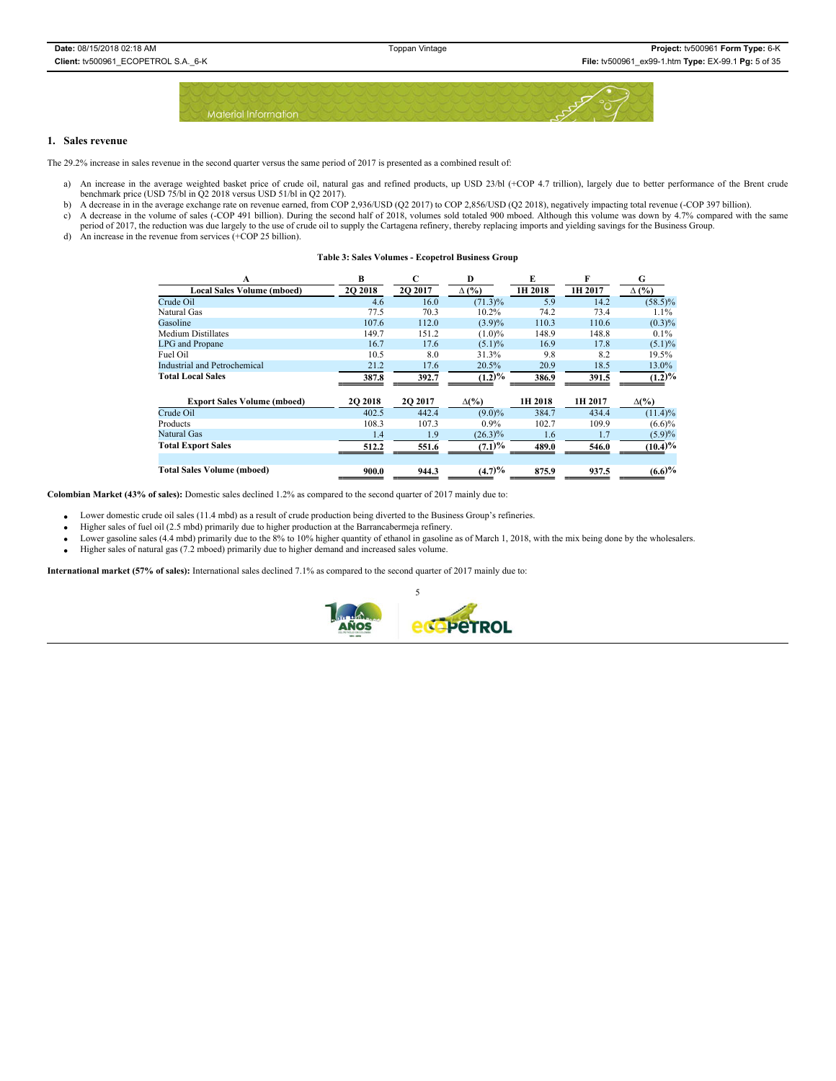

### **1. Sales revenue**

The 29.2% increase in sales revenue in the second quarter versus the same period of 2017 is presented as a combined result of:

- a) An increase in the average weighted basket price of crude oil, natural gas and refined products, up USD 23/bl (+COP 4.7 trillion), largely due to better performance of the Brent crude benchmark price (USD 75/bl in Q2 2018 versus USD 51/bl in Q2 2017).
- b) A decrease in in the average exchange rate on revenue earned, from COP 2,936/USD (Q2 2017) to COP 2,856/USD (Q2 2018), negatively impacting total revenue (-COP 397 billion).
- c) A decrease in the volume of sales (-COP 491 billion). During the second half of 2018, volumes sold totaled 900 mboed. Although this volume was down by 4.7% compared with the same
- period of 2017, the reduction was due largely to the use of crude oil to supply the Cartagena refinery, thereby replacing imports and yielding savings for the Business Group. d) An increase in the revenue from services (+COP 25 billion).
- 

| <b>Table 3: Sales Volumes - Ecopetrol Business Group</b> |  |  |
|----------------------------------------------------------|--|--|
|----------------------------------------------------------|--|--|

| A                                   | B              | C       | D             | E       | F       | G            |
|-------------------------------------|----------------|---------|---------------|---------|---------|--------------|
| <b>Local Sales Volume (mboed)</b>   | 2Q 2018        | 2O 2017 | $\Delta$ (%)  | 1H 2018 | 1H 2017 | $\Delta$ (%) |
| Crude Oil                           | 4.6            | 16.0    | $(71.3)\%$    | 5.9     | 14.2    | $(58.5)\%$   |
| Natural Gas                         | 77.5           | 70.3    | 10.2%         | 74.2    | 73.4    | $1.1\%$      |
| Gasoline                            | 107.6          | 112.0   | (3.9)%        | 110.3   | 110.6   | $(0.3)\%$    |
| <b>Medium Distillates</b>           | 149.7          | 151.2   | $(1.0)\%$     | 148.9   | 148.8   | $0.1\%$      |
| LPG and Propane                     | 16.7           | 17.6    | $(5.1)\%$     | 16.9    | 17.8    | $(5.1)\%$    |
| Fuel Oil                            | 10.5           | 8.0     | 31.3%         | 9.8     | 8.2     | 19.5%        |
| <b>Industrial and Petrochemical</b> | 21.2           | 17.6    | 20.5%         | 20.9    | 18.5    | 13.0%        |
| <b>Total Local Sales</b>            | 387.8          | 392.7   | $(1.2)\%$     | 386.9   | 391.5   | $(1.2)\%$    |
| <b>Export Sales Volume (mboed)</b>  | <b>2O 2018</b> | 2O 2017 | $\Delta(\%)$  | 1H 2018 | 1H 2017 | $\Delta(\%)$ |
| Crude Oil                           | 402.5          | 442.4   | $(9.0)\%$     | 384.7   | 434.4   | $(11.4)\%$   |
| Products                            | 108.3          | 107.3   | $0.9\%$       | 102.7   | 109.9   | (6.6)%       |
| Natural Gas                         | 1.4            | 1.9     | $(26.3)\%$    | 1.6     | 1.7     | (5.9)%       |
| <b>Total Export Sales</b>           | 512.2          | 551.6   | (7.1)%        | 489.0   | 546.0   | (10.4)%      |
|                                     |                |         |               |         |         |              |
| <b>Total Sales Volume (mboed)</b>   | 900.0          | 944.3   | $(4.7)^{0/6}$ | 875.9   | 937.5   | (6.6)%       |

**Colombian Market (43% of sales):** Domestic sales declined 1.2% as compared to the second quarter of 2017 mainly due to:

x Lower domestic crude oil sales (11.4 mbd) as a result of crude production being diverted to the Business Group's refineries.

- Higher sales of fuel oil (2.5 mbd) primarily due to higher production at the Barrancabermeja refinery.
- Dower gasoline sales (4.4 mbd) primarily due to the 8% to 10% higher quantity of ethanol in gasoline as of March 1, 2018, with the mix being done by the wholesalers.
- Higher sales of natural gas (7.2 mboed) primarily due to higher demand and increased sales volume.

**International market (57% of sales):** International sales declined 7.1% as compared to the second quarter of 2017 mainly due to:

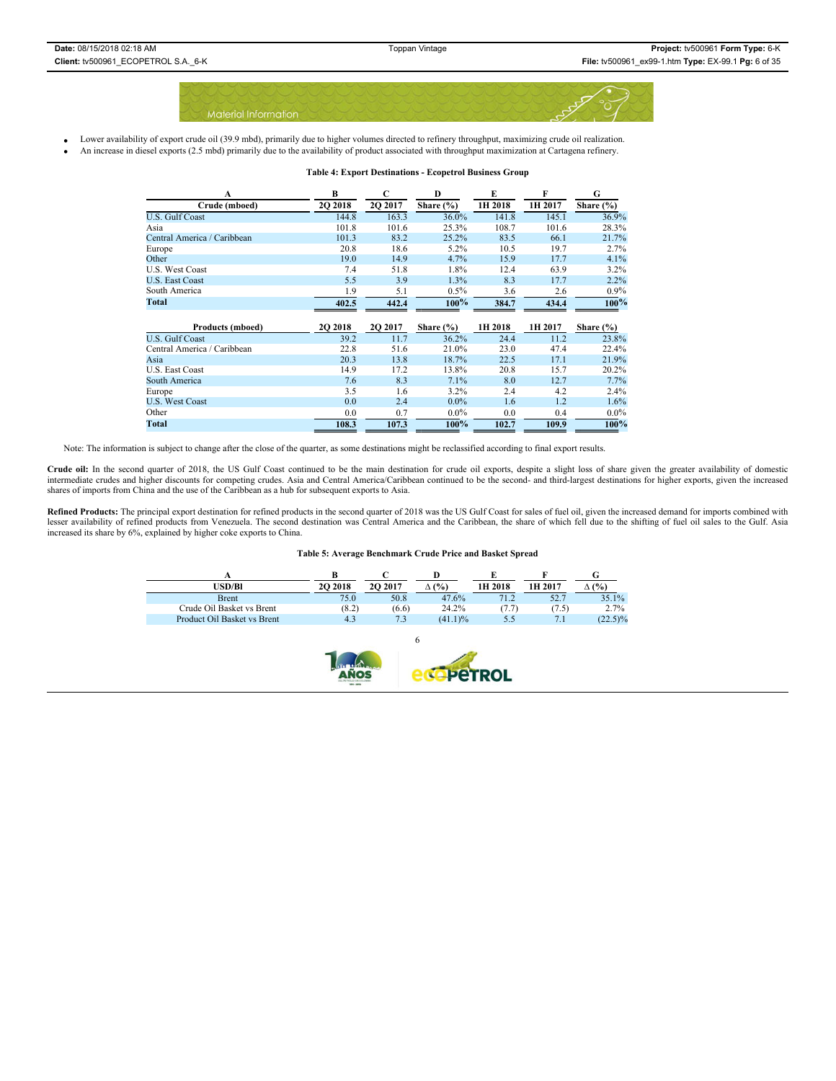

- Lower availability of export crude oil (39.9 mbd), primarily due to higher volumes directed to refinery throughput, maximizing crude oil realization.
	- x An increase in diesel exports (2.5 mbd) primarily due to the availability of product associated with throughput maximization at Cartagena refinery.

| A                           | B       | C       | D             | E       | F       | G             |
|-----------------------------|---------|---------|---------------|---------|---------|---------------|
| Crude (mboed)               | 2Q 2018 | 2Q 2017 | Share $(\% )$ | 1H 2018 | 1H 2017 | Share $(\% )$ |
| <b>U.S. Gulf Coast</b>      | 144.8   | 163.3   | 36.0%         | 141.8   | 145.1   | 36.9%         |
| Asia                        | 101.8   | 101.6   | 25.3%         | 108.7   | 101.6   | 28.3%         |
| Central America / Caribbean | 101.3   | 83.2    | 25.2%         | 83.5    | 66.1    | 21.7%         |
| Europe                      | 20.8    | 18.6    | 5.2%          | 10.5    | 19.7    | 2.7%          |
| Other                       | 19.0    | 14.9    | 4.7%          | 15.9    | 17.7    | 4.1%          |
| <b>U.S. West Coast</b>      | 7.4     | 51.8    | 1.8%          | 12.4    | 63.9    | 3.2%          |
| U.S. East Coast             | 5.5     | 3.9     | 1.3%          | 8.3     | 17.7    | 2.2%          |
| South America               | 1.9     | 5.1     | $0.5\%$       | 3.6     | 2.6     | $0.9\%$       |
| Total                       | 402.5   | 442.4   | $100\%$       | 384.7   | 434.4   | $100\%$       |
|                             |         |         |               |         |         |               |
|                             |         |         |               |         |         |               |
| <b>Products (mboed)</b>     | 2Q 2018 | 2Q 2017 | Share $(\% )$ | 1H 2018 | 1H 2017 | Share $(\% )$ |
| U.S. Gulf Coast             | 39.2    | 11.7    | 36.2%         | 24.4    | 11.2    | 23.8%         |
| Central America / Caribbean | 22.8    | 51.6    | 21.0%         | 23.0    | 47.4    | 22.4%         |
| Asia                        | 20.3    | 13.8    | 18.7%         | 22.5    | 17.1    | 21.9%         |
| U.S. East Coast             | 14.9    | 17.2    | 13.8%         | 20.8    | 15.7    | 20.2%         |
| South America               | 7.6     | 8.3     | 7.1%          | 8.0     | 12.7    | 7.7%          |
| Europe                      | 3.5     | 1.6     | 3.2%          | 2.4     | 4.2     | 2.4%          |
| <b>U.S. West Coast</b>      | 0.0     | 2.4     | $0.0\%$       | 1.6     | 1.2     | 1.6%          |
| Other                       | 0.0     | 0.7     | $0.0\%$       | 0.0     | 0.4     | $0.0\%$       |

#### **Table 4: Export Destinations - Ecopetrol Business Group**

Note: The information is subject to change after the close of the quarter, as some destinations might be reclassified according to final export results.

Crude oil: In the second quarter of 2018, the US Gulf Coast continued to be the main destination for crude oil exports, despite a slight loss of share given the greater availability of domestic<br>intermediate crudes and high

Refined Products: The principal export destination for refined products in the second quarter of 2018 was the US Gulf Coast for sales of fuel oil, given the increased demand for imports combined with lesser availability of refined products from Venezuela. The second destination was Central America and the Caribbean, the share of which fell due to the shifting of fuel oil sales to the Gulf. Asia increased its share by 6%, explained by higher coke exports to China.

#### **Table 5: Average Benchmark Crude Price and Basket Spread**

| USD/Bl                      | <b>2O 2018</b> | 20 20 17 | (%)     | 1H 2018 | 1H 2017 | $($ %)     |
|-----------------------------|----------------|----------|---------|---------|---------|------------|
| <b>Brent</b>                | 75.0           | 50.8     | 47.6%   | 71.2    | 52.7    | 35.1%      |
| Crude Oil Basket vs Brent   | (8.2)          | (6.6)    | 24.2%   | (7.7)   | (7.5)   | 2.7%       |
| Product Oil Basket vs Brent | 4.3            | 7.3      | (41.1)% | 5.5     | 7.1     | $(22.5)\%$ |

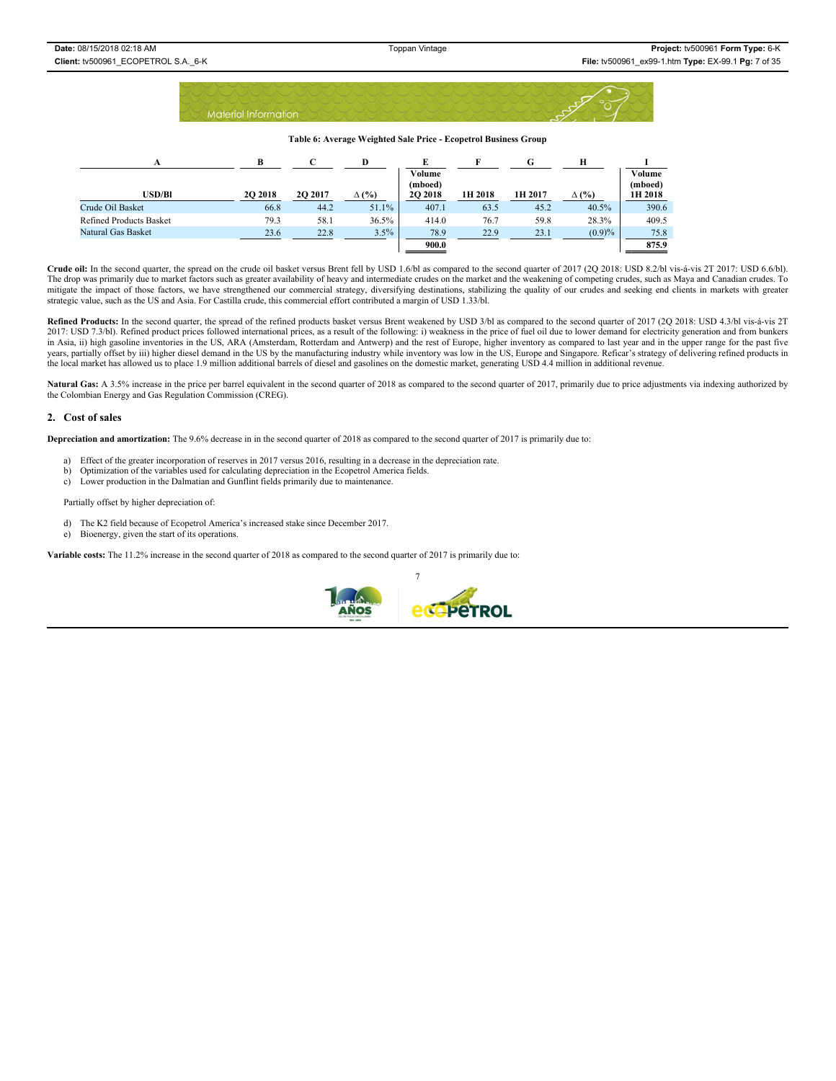|  |                             |  |  |  |  |  |  |  |  |  | The street of the state of the state of the state of the |  |  |  |  |                 |  |
|--|-----------------------------|--|--|--|--|--|--|--|--|--|----------------------------------------------------------|--|--|--|--|-----------------|--|
|  |                             |  |  |  |  |  |  |  |  |  |                                                          |  |  |  |  | $\cap$ $\wedge$ |  |
|  | <b>Material Information</b> |  |  |  |  |  |  |  |  |  |                                                          |  |  |  |  |                 |  |
|  |                             |  |  |  |  |  |  |  |  |  |                                                          |  |  |  |  |                 |  |

**Table 6: Average Weighted Sale Price - Ecopetrol Business Group** 

| A                              | в              |                | D            | E                 |         | G       | н            |                   |
|--------------------------------|----------------|----------------|--------------|-------------------|---------|---------|--------------|-------------------|
|                                |                |                |              | Volume<br>(mboed) |         |         |              | Volume<br>(mboed) |
| USD/Bl                         | <b>2O 2018</b> | <b>2O 2017</b> | $\Delta$ (%) | 20 20 18          | 1H 2018 | 1H 2017 | $\Delta$ (%) | 1H 2018           |
| Crude Oil Basket               | 66.8           | 44.2           | 51.1%        | 407.1             | 63.5    | 45.2    | 40.5%        | 390.6             |
| <b>Refined Products Basket</b> | 79.3           | 58.1           | 36.5%        | 414.0             | 76.7    | 59.8    | 28.3%        | 409.5             |
| Natural Gas Basket             | 23.6           | 22.8           | 3.5%         | 78.9              | 22.9    | 23.1    | (0.9)%       | 75.8              |
|                                |                |                |              | 900.0             |         |         |              | 875.9             |

**Crude oil:** In the second quarter, the spread on the crude oil basket versus Brent fell by USD 1.6/bl as compared to the second quarter of 2017 (2Q 2018: USD 8.2/bl vis-á-vis 2T 2017: USD 6.6/bl). The drop was primarily due to market factors such as greater availability of heavy and intermediate crudes on the market and the weakening of competing crudes, such as Maya and Canadian crudes. To mitigate the impact of those factors, we have strengthened our commercial strategy, diversifying destinations, stabilizing the quality of our crudes and seeking end clients in markets with greater strategic value, such as the US and Asia. For Castilla crude, this commercial effort contributed a margin of USD 1.33/bl.

Refined Products: In the second quarter, the spread of the refined products basket versus Brent weakened by USD 3/bl as compared to the second quarter of 2017 (2Q 2018: USD 4.3/bl vis-á-vis 2T 2017: USD 7.3/bl). Refined pr in Asia, ii) high gasoline inventories in the US, ARA (Amsterdam, Rotterdam and Antwerp) and the rest of Europe, higher inventory as compared to last year and in the upper range for the past five years, partially offset by iii) higher diesel demand in the US by the manufacturing industry while inventory was low in the US, Europe and Singapore. Reficar's strategy of delivering refined products in the local market has allowed us to place 1.9 million additional barrels of diesel and gasolines on the domestic market, generating USD 4.4 million in additional revenue.

Natural Gas: A 3.5% increase in the price per barrel equivalent in the second quarter of 2018 as compared to the second quarter of 2017, primarily due to price adjustments via indexing authorized by the Colombian Energy and Gas Regulation Commission (CREG).

### **2. Cost of sales**

**Depreciation and amortization:** The 9.6% decrease in in the second quarter of 2018 as compared to the second quarter of 2017 is primarily due to:

- a) Effect of the greater incorporation of reserves in 2017 versus 2016, resulting in a decrease in the depreciation rate.
- b) Optimization of the variables used for calculating depreciation in the Ecopetrol America fields.
- c) Lower production in the Dalmatian and Gunflint fields primarily due to maintenance.

Partially offset by higher depreciation of:

- d) The K2 field because of Ecopetrol America's increased stake since December 2017.
- e) Bioenergy, given the start of its operations.

**Variable costs:** The 11.2% increase in the second quarter of 2018 as compared to the second quarter of 2017 is primarily due to:

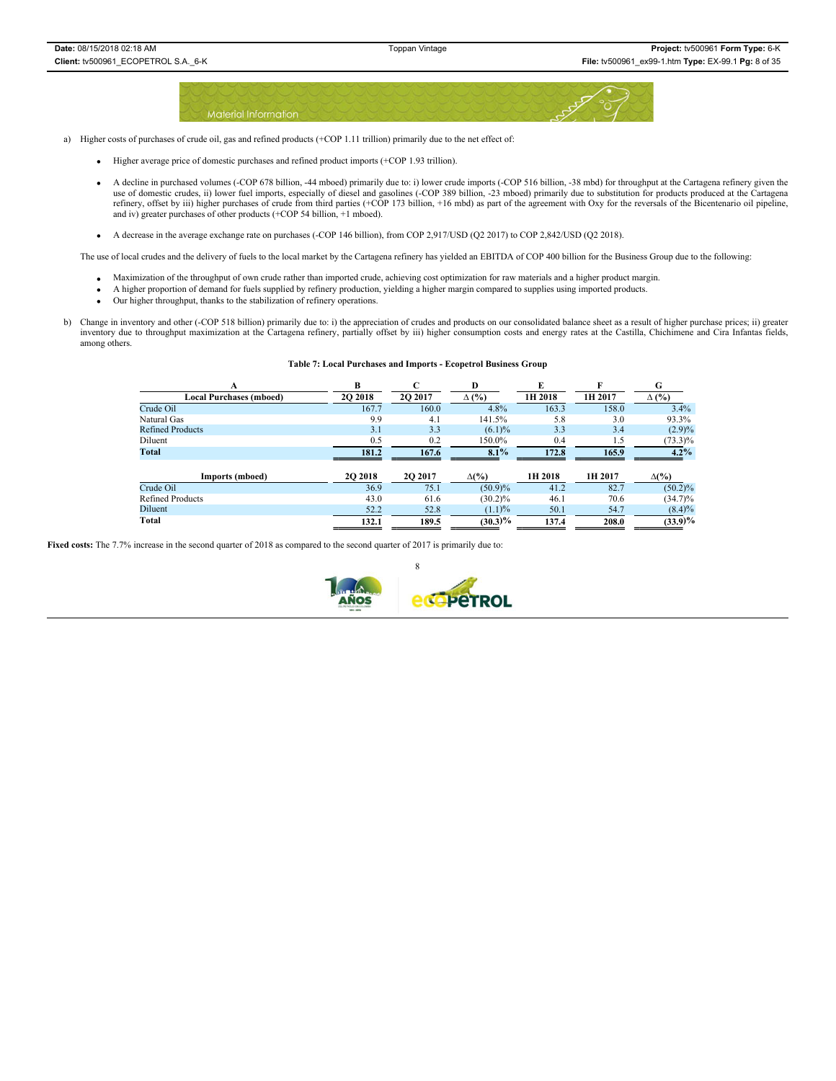

a) Higher costs of purchases of crude oil, gas and refined products (+COP 1.11 trillion) primarily due to the net effect of:

- Higher average price of domestic purchases and refined product imports (+COP 1.93 trillion).
- x A decline in purchased volumes (-COP 678 billion, -44 mboed) primarily due to: i) lower crude imports (-COP 516 billion, -38 mbd) for throughput at the Cartagena refinery given the use of domestic crudes, ii) lower fuel imports, especially of diesel and gasolines (-COP 389 billion, -23 mboed) primarily due to substitution for products produced at the Cartagena refinery, offset by iii) higher purchases of crude from third parties (+COP 173 billion, +16 mbd) as part of the agreement with Oxy for the reversals of the Bicentenario oil pipeline, and iv) greater purchases of other products (+COP 54 billion, +1 mboed).
- $\bullet$  A decrease in the average exchange rate on purchases (-COP 146 billion), from COP 2,917/USD (Q2 2017) to COP 2,842/USD (Q2 2018).

The use of local crudes and the delivery of fuels to the local market by the Cartagena refinery has yielded an EBITDA of COP 400 billion for the Business Group due to the following:

- x Maximization of the throughput of own crude rather than imported crude, achieving cost optimization for raw materials and a higher product margin.
- x A higher proportion of demand for fuels supplied by refinery production, yielding a higher margin compared to supplies using imported products.
- Our higher throughput, thanks to the stabilization of refinery operations.
- b) Change in inventory and other (-COP 518 billion) primarily due to: i) the appreciation of crudes and products on our consolidated balance sheet as a result of higher purchase prices; ii) greater inventory due to throughput maximization at the Cartagena refinery, partially offset by iii) higher consumption costs and energy rates at the Castilla, Chichimene and Cira Infantas fields, among others.

#### **Table 7: Local Purchases and Imports - Ecopetrol Business Group**

| A                              | В              |         | D            | E       | F       | G            |
|--------------------------------|----------------|---------|--------------|---------|---------|--------------|
| <b>Local Purchases (mboed)</b> | 20 20 18       | 2O 2017 | $\Delta$ (%) | 1H 2018 | 1H 2017 | $\Delta$ (%) |
| Crude Oil                      | 167.7          | 160.0   | 4.8%         | 163.3   | 158.0   | 3.4%         |
| Natural Gas                    | 9.9            | 4.1     | 141.5%       | 5.8     | 3.0     | 93.3%        |
| <b>Refined Products</b>        | 3.1            | 3.3     | $(6.1)\%$    | 3.3     | 3.4     | $(2.9)\%$    |
| Diluent                        | 0.5            | 0.2     | 150.0%       | 0.4     | 1.5     | $(73.3)\%$   |
| Total                          | 181.2          | 167.6   | 8.1%         | 172.8   | 165.9   | $4.2\%$      |
| Imports (mboed)                | <b>2O 2018</b> | 2O 2017 | $\Delta(\%)$ | 1H 2018 | 1H 2017 | $\Delta(\%)$ |
| Crude Oil                      | 36.9           | 75.1    | (50.9)%      | 41.2    | 82.7    | $(50.2)\%$   |
| <b>Refined Products</b>        | 43.0           | 61.6    | $(30.2)\%$   | 46.1    | 70.6    | $(34.7)\%$   |
| Diluent                        | 52.2           | 52.8    | (1.1)%       | 50.1    | 54.7    | $(8.4)\%$    |

**Total 132.1 189.5 (30.3)% 137.4 208.0 (33.9)%**

**Fixed costs:** The 7.7% increase in the second quarter of 2018 as compared to the second quarter of 2017 is primarily due to:

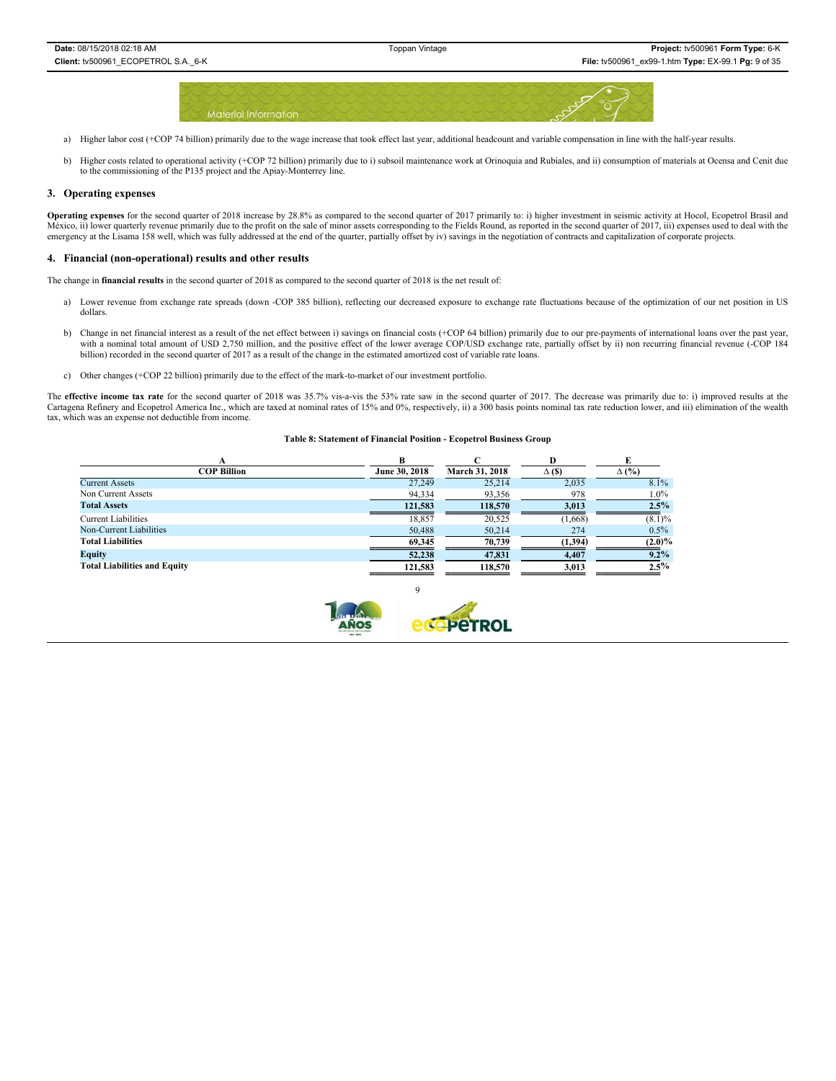

- a) Higher labor cost (+COP 74 billion) primarily due to the wage increase that took effect last year, additional headcount and variable compensation in line with the half-year results.
- b) Higher costs related to operational activity (+COP 72 billion) primarily due to i) subsoil maintenance work at Orinoquia and Rubiales, and ii) consumption of materials at Ocensa and Cenit due to the commissioning of the P135 project and the Apiay-Monterrey line.

#### **3. Operating expenses**

**Operating expenses** for the second quarter of 2018 increase by 28.8% as compared to the second quarter of 2017 primarily to: i) higher investment in seismic activity at Hocol, Ecopetrol Brasil and México, ii) lower quarterly revenue primarily due to the profit on the sale of minor assets corresponding to the Fields Round, as reported in the second quarter of 2017, iii) expenses used to deal with the emergency at the Lisama 158 well, which was fully addressed at the end of the quarter, partially offset by iv) savings in the negotiation of contracts and capitalization of corporate projects.

#### **4. Financial (non-operational) results and other results**

The change in **financial results** in the second quarter of 2018 as compared to the second quarter of 2018 is the net result of:

- a) Lower revenue from exchange rate spreads (down -COP 385 billion), reflecting our decreased exposure to exchange rate fluctuations because of the optimization of our net position in US dollars.
- b) Change in net financial interest as a result of the net effect between i) savings on financial costs (+COP 64 billion) primarily due to our pre-payments of international loans over the past year, with a nominal total amount of USD 2,750 million, and the positive effect of the lower average COP/USD exchange rate, partially offset by ii) non recurring financial revenue (-COP 184 billion) recorded in the second quarter of 2017 as a result of the change in the estimated amortized cost of variable rate loans.
- c) Other changes (+COP 22 billion) primarily due to the effect of the mark-to-market of our investment portfolio.

The effective income tax rate for the second quarter of 2018 was 35.7% vis-a-vis the 53% rate saw in the second quarter of 2017. The decrease was primarily due to: i) improved results at the Cartagena Refinery and Ecopetrol America Inc., which are taxed at nominal rates of 15% and 0%, respectively, ii) a 300 basis points nominal tax rate reduction lower, and iii) elimination of the wealth tax, which was an expense not deductible from income.

#### **Table 8: Statement of Financial Position - Ecopetrol Business Group**

|                                     |               |                       | D             |              |
|-------------------------------------|---------------|-----------------------|---------------|--------------|
| <b>COP Billion</b>                  | June 30, 2018 | <b>March 31, 2018</b> | $\Delta$ (\$) | $\Delta$ (%) |
| <b>Current Assets</b>               | 27,249        | 25,214                | 2,035         | 8.1%         |
| Non Current Assets                  | 94,334        | 93,356                | 978           | $1.0\%$      |
| <b>Total Assets</b>                 | 121,583       | 118,570               | 3,013         | 2.5%         |
| <b>Current Liabilities</b>          | 18,857        | 20,525                | (1,668)       | $(8.1)\%$    |
| Non-Current Liabilities             | 50,488        | 50,214                | 274           | $0.5\%$      |
| <b>Total Liabilities</b>            | 69,345        | 70,739                | (1,394)       | (2.0)%       |
| <b>Equity</b>                       | 52,238        | 47,831                | 4,407         | $9.2\%$      |
| <b>Total Liabilities and Equity</b> | 121,583       | 118,570               | 3,013         | $2.5\%$      |

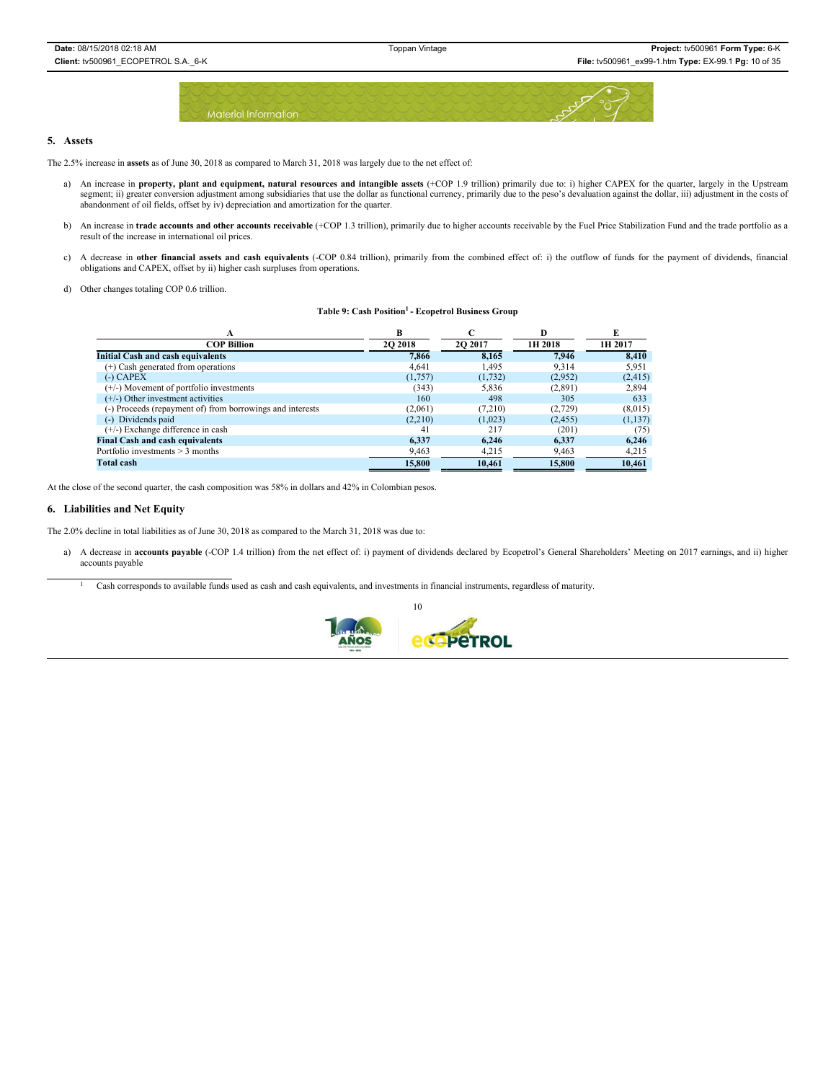

### **5. Assets**

The 2.5% increase in **assets** as of June 30, 2018 as compared to March 31, 2018 was largely due to the net effect of:

- a) An increase in **property, plant and equipment, natural resources and intangible assets** (+COP 1.9 trillion) primarily due to: i) higher CAPEX for the quarter, largely in the Upstream segment; ii) greater conversion adjustment among subsidiaries that use the dollar as functional currency, primarily due to the peso's devaluation against the dollar, iii) adjustment in the costs of abandonment of oil fields, offset by iv) depreciation and amortization for the quarter.
- b) An increase in trade accounts and other accounts receivable (+COP 1.3 trillion), primarily due to higher accounts receivable by the Fuel Price Stabilization Fund and the trade portfolio as a result of the increase in international oil prices.
- c) A decrease in **other financial assets and cash equivalents** (-COP 0.84 trillion), primarily from the combined effect of: i) the outflow of funds for the payment of dividends, financial obligations and CAPEX, offset by ii) higher cash surpluses from operations.
- d) Other changes totaling COP 0.6 trillion.

#### Table 9: Cash Position<sup>1</sup> - Ecopetrol Business Group

|                                                           |          |          | D        | E        |
|-----------------------------------------------------------|----------|----------|----------|----------|
| <b>COP Billion</b>                                        | 20 20 18 | 2O 2017  | 1H 2018  | 1H 2017  |
| <b>Initial Cash and cash equivalents</b>                  | 7.866    | 8.165    | 7.946    | 8.410    |
| $(+)$ Cash generated from operations                      | 4.641    | 1,495    | 9.314    | 5,951    |
| $(-)$ CAPEX                                               | (1,757)  | (1, 732) | (2,952)  | (2, 415) |
| $(+/-)$ Movement of portfolio investments                 | (343)    | 5,836    | (2,891)  | 2,894    |
| $(+/-)$ Other investment activities                       | 160      | 498      | 305      | 633      |
| (-) Proceeds (repayment of) from borrowings and interests | (2,061)  | (7.210)  | (2,729)  | (8,015)  |
| (-) Dividends paid                                        | (2,210)  | (1,023)  | (2, 455) | (1,137)  |
| $(+/-)$ Exchange difference in cash                       | 41       | 217      | (201)    | (75)     |
| <b>Final Cash and cash equivalents</b>                    | 6.337    | 6.246    | 6.337    | 6,246    |
| Portfolio investments $> 3$ months                        | 9,463    | 4,215    | 9,463    | 4,215    |
| <b>Total cash</b>                                         | 15,800   | 10.461   | 15,800   | 10,461   |

At the close of the second quarter, the cash composition was 58% in dollars and 42% in Colombian pesos.

### **6. Liabilities and Net Equity**

The 2.0% decline in total liabilities as of June 30, 2018 as compared to the March 31, 2018 was due to:

- a) A decrease in accounts payable (-COP 1.4 trillion) from the net effect of: i) payment of dividends declared by Ecopetrol's General Shareholders' Meeting on 2017 earnings, and ii) higher accounts payable
	- <sup>1</sup> Cash corresponds to available funds used as cash and cash equivalents, and investments in financial instruments, regardless of maturity.

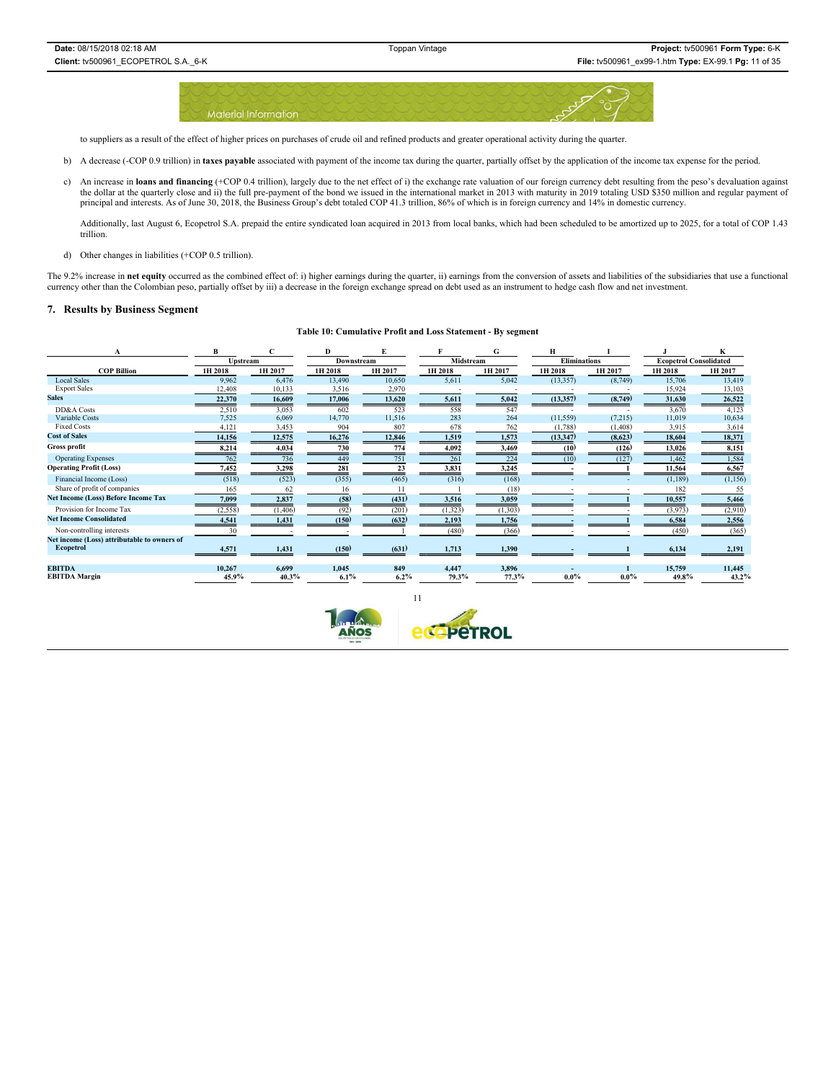

to suppliers as a result of the effect of higher prices on purchases of crude oil and refined products and greater operational activity during the quarter.

- b) A decrease (-COP 0.9 trillion) in taxes payable associated with payment of the income tax during the quarter, partially offset by the application of the income tax expense for the period.
- c) An increase in loans and financing (+COP 0.4 trillion), largely due to the net effect of i) the exchange rate valuation of our foreign currency debt resulting from the peso's devaluation against the dollar at the quarte

Additionally, last August 6, Ecopetrol S.A. prepaid the entire syndicated loan acquired in 2013 from local banks, which had been scheduled to be amortized up to 2025, for a total of COP 1.43 trillion.

d) Other changes in liabilities (+COP 0.5 trillion).

The 9.2% increase in net equity occurred as the combined effect of: i) higher earnings during the quarter, ii) earnings from the conversion of assets and liabilities of the subsidiaries that use a functional currency other than the Colombian peso, partially offset by iii) a decrease in the foreign exchange spread on debt used as an instrument to hedge cash flow and net investment.

### **7. Results by Business Segment**

### **Table 10: Cumulative Profit and Loss Statement - By segment**

|                                             | B        |          | D          |         |           |          | н                   |          |                               | K        |
|---------------------------------------------|----------|----------|------------|---------|-----------|----------|---------------------|----------|-------------------------------|----------|
|                                             | Upstream |          | Downstream |         | Midstream |          | <b>Eliminations</b> |          | <b>Ecopetrol Consolidated</b> |          |
| <b>COP Billion</b>                          | 1H 2018  | 1H 2017  | 1H 2018    | 1H 2017 | 1H 2018   | 1H 2017  | 1H 2018             | 1H 2017  | 1H 2018                       | 1H 2017  |
| <b>Local Sales</b>                          | 9,962    | 6,476    | 13,490     | 10,650  | 5,611     | 5,042    | (13, 357)           | (8,749)  | 15,706                        | 13,419   |
| <b>Export Sales</b>                         | 12,408   | 10,133   | 3,516      | 2,970   |           |          |                     |          | 15,924                        | 13,103   |
| <b>Sales</b>                                | 22,370   | 16,609   | 17,006     | 13,620  | 5,611     | 5,042    | (13, 357)           | (8,749)  | 31,630                        | 26,522   |
| DD&A Costs                                  | 2,510    | 3,053    | 602        | 523     | 558       | 547      |                     |          | 3,670                         | 4,123    |
| Variable Costs                              | 7,525    | 6,069    | 14,770     | 11,516  | 283       | 264      | (11, 559)           | (7,215)  | 11,019                        | 10,634   |
| <b>Fixed Costs</b>                          | 4,121    | 3,453    | 904        | 807     | 678       | 762      | (1,788)             | (1, 408) | 3,915                         | 3,614    |
| <b>Cost of Sales</b>                        | 14,156   | 12,575   | 16,276     | 12,846  | 1,519     | 1,573    | (13, 347)           | (8,623)  | 18,604                        | 18,371   |
| Gross profit                                | 8,214    | 4,034    | 730        | 774     | 4,092     | 3,469    | (10)                | (126)    | 13,026                        | 8,151    |
| <b>Operating Expenses</b>                   | 762      | 736      | 449        | 751     | 261       | 224      | (10)                | (127)    | 1,462                         | 1,584    |
| <b>Operating Profit (Loss)</b>              | 7,452    | 3,298    | 281        |         | 3,831     | 3,245    |                     |          | 11,564                        | 6,567    |
| Financial Income (Loss)                     | (518)    | (523)    | (355)      | (465)   | (316)     | (168)    |                     |          | (1, 189)                      | (1, 156) |
| Share of profit of companies                | 165      | 62       | 16         |         |           | (18)     |                     |          | 182                           | 55       |
| <b>Net Income (Loss) Before Income Tax</b>  | 7,099    | 2,837    | (58)       | (431)   | 3,516     | 3,059    |                     |          | 10,557                        | 5,466    |
| Provision for Income Tax                    | (2, 558) | (1, 406) | (92)       | (201)   | (1, 323)  | (1, 303) |                     |          | (3,973)                       | (2,910)  |
| <b>Net Income Consolidated</b>              | 4,541    | 1,431    | (150)      | (632)   | 2,193     | 1,756    |                     |          | 6,584                         | 2,556    |
| Non-controlling interests                   | 30       |          |            |         | (480)     | (366)    |                     |          | (450)                         | (365)    |
| Net income (Loss) attributable to owners of |          |          |            |         |           |          |                     |          |                               |          |
| Ecopetrol                                   | 4,571    | 1,431    | (150)      | (631)   | 1,713     | 1,390    |                     |          | 6,134                         | 2,191    |
| <b>EBITDA</b>                               | 10.267   | 6.699    | 1.045      | 849     | 4.447     | 3.896    |                     |          | 15,759                        | 11.445   |
| <b>EBITDA Margin</b>                        | 45.9%    | 40.3%    | 6.1%       | 6.2%    | 79.3%     | 77.3%    | $0.0\%$             | $0.0\%$  | 49.8%                         | 43.2%    |

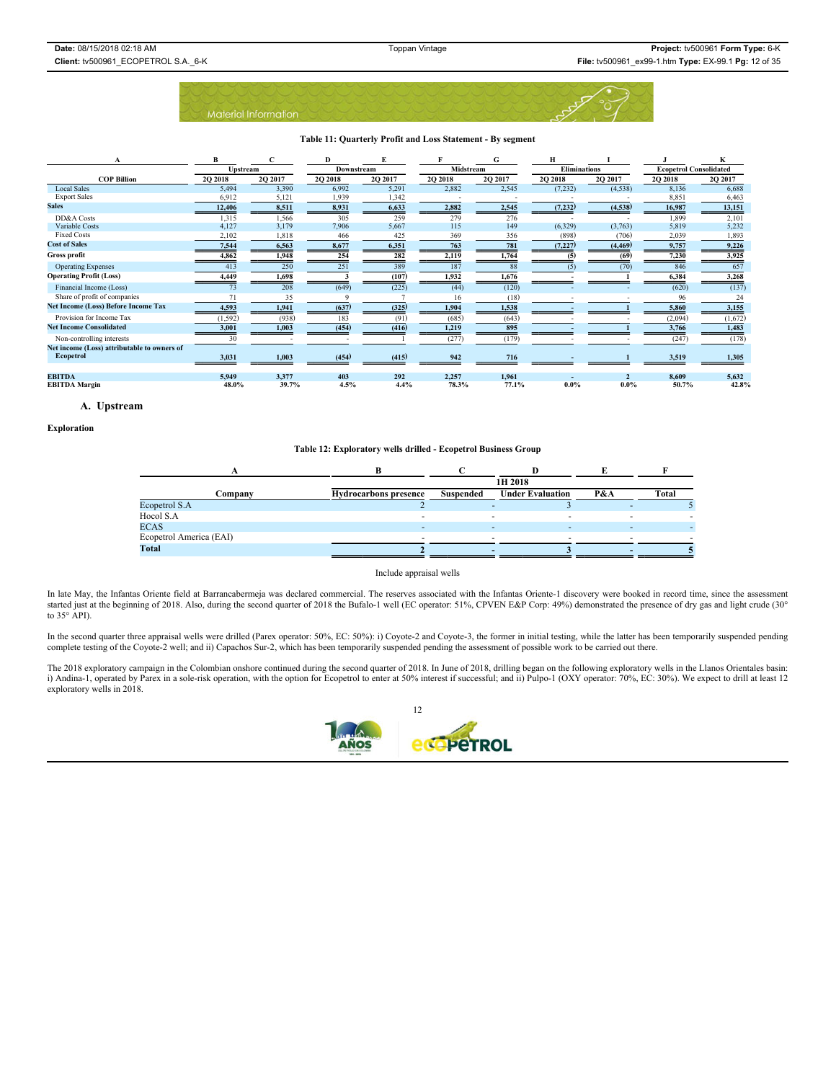

#### **Table 11: Quarterly Profit and Loss Statement - By segment**

|                                                          | B               |         | Đ          |         |           | G        | Н                   |          |                               | K       |
|----------------------------------------------------------|-----------------|---------|------------|---------|-----------|----------|---------------------|----------|-------------------------------|---------|
|                                                          | <b>Upstream</b> |         | Downstream |         | Midstream |          | <b>Eliminations</b> |          | <b>Ecopetrol Consolidated</b> |         |
| <b>COP Billion</b>                                       | <b>2O 2018</b>  | 2O 2017 | 2Q 2018    | 2Q 2017 | 2Q 2018   | 20 20 17 | <b>2O 2018</b>      | 20 20 17 | <b>2O 2018</b>                | 2Q 2017 |
| <b>Local Sales</b>                                       | 5,494           | 3,390   | 6,992      | 5,291   | 2,882     | 2,545    | (7,232)             | (4,538)  | 8,136                         | 6,688   |
| <b>Export Sales</b>                                      | 6,912           | 5,121   | 1,939      | 1,342   |           |          |                     |          | 8,851                         | 6,463   |
| <b>Sales</b>                                             | 12,406          | 8,511   | 8,931      | 6,633   | 2,882     | 2,545    | (7,232)             | (4,538)  | 16,987                        | 13,151  |
| DD&A Costs                                               | 1,315           | 1,566   | 305        | 259     | 279       | 276      |                     |          | 1,899                         | 2,101   |
| Variable Costs                                           | 4,127           | 3,179   | 7,906      | 5,667   | 115       | 149      | (6, 329)            | (3,763)  | 5,819                         | 5,232   |
| <b>Fixed Costs</b>                                       | 2,102           | 1,818   | 466        | 425     | 369       | 356      | (898)               | (706)    | 2,039                         | 1,893   |
| <b>Cost of Sales</b>                                     | 7,544           | 6,563   | 8,677      | 6,351   | 763       | 781      | (7, 227)            | (4, 469) | 9,757                         | 9,226   |
| <b>Gross profit</b>                                      | 4,862           | 1,948   | 254        | 282     | 2,119     | 1,764    |                     | (69)     | 7,230                         | 3,925   |
| <b>Operating Expenses</b>                                | 413             | 250     | 251        | 389     | 187       | 88       | (5)                 | (70)     | 846                           | 657     |
| <b>Operating Profit (Loss)</b>                           | 4,449           | 1,698   |            | (107)   | 1,932     | 1,676    |                     |          | 6,384                         | 3,268   |
| Financial Income (Loss)                                  | 73              | 208     | (649)      | (225)   | (44)      | (120)    |                     |          | (620)                         | (137)   |
| Share of profit of companies                             |                 | 35      |            |         | 16        | (18)     |                     |          | 96                            | 24      |
| <b>Net Income (Loss) Before Income Tax</b>               | 4,593           | 1,941   | (637)      | (325)   | 1,904     | 1,538    |                     |          | 5,860                         | 3,155   |
| Provision for Income Tax                                 | (1, 592)        | (938)   | 183        | (91)    | (685)     | (643)    |                     |          | (2,094)                       | (1,672) |
| <b>Net Income Consolidated</b>                           | 3,001           | 1,003   | (454)      | (416)   | 1,219     | 895      |                     |          | 3,766                         | 1,483   |
| Non-controlling interests                                | 30              |         |            |         | (277)     | (179)    |                     |          | (247)                         | (178)   |
| Net income (Loss) attributable to owners of<br>Ecopetrol | 3,031           | 1,003   | (454)      | (415)   | 942       | 716      |                     |          | 3,519                         | 1,305   |
| <b>EBITDA</b>                                            | 5,949           | 3,377   | 403        | 292     | 2,257     | 1,961    |                     |          | 8,609                         | 5,632   |
| <b>EBITDA Margin</b>                                     | 48.0%           | 39.7%   | 4.5%       | 4.4%    | 78.3%     | 77.1%    | $0.0\%$             | $0.0\%$  | 50.7%                         | 42.8%   |

### **A. Upstream**

#### **Exploration**

#### **Table 12: Exploratory wells drilled - Ecopetrol Business Group**

|                         | 1H 2018                      |           |                         |     |       |  |  |  |  |
|-------------------------|------------------------------|-----------|-------------------------|-----|-------|--|--|--|--|
| Company                 | <b>Hydrocarbons</b> presence | Suspended | <b>Under Evaluation</b> | P&A | Total |  |  |  |  |
| Ecopetrol S.A           |                              |           |                         |     |       |  |  |  |  |
| Hocol S.A               |                              |           |                         |     |       |  |  |  |  |
| <b>ECAS</b>             |                              |           |                         | ۰   |       |  |  |  |  |
| Ecopetrol America (EAI) |                              |           |                         |     |       |  |  |  |  |
| Total                   |                              |           |                         |     |       |  |  |  |  |

#### Include appraisal wells

In late May, the Infantas Oriente field at Barrancabermeja was declared commercial. The reserves associated with the Infantas Oriente-1 discovery were booked in record time, since the assessment started just at the beginning of 2018. Also, during the second quarter of 2018 the Bufalo-1 well (EC operator: 51%, CPVEN E&P Corp: 49%) demonstrated the presence of dry gas and light crude (30° to 35° API).

In the second quarter three appraisal wells were drilled (Parex operator: 50%, EC: 50%): i) Coyote-2 and Coyote-3, the former in initial testing, while the latter has been temporarily suspended pending complete testing of the Coyote-2 well; and ii) Capachos Sur-2, which has been temporarily suspended pending the assessment of possible work to be carried out there.

The 2018 exploratory campaign in the Colombian onshore continued during the second quarter of 2018. In June of 2018, drilling began on the following exploratory wells in the Llanos Orientales basin:<br>i) Andina-1, operated b

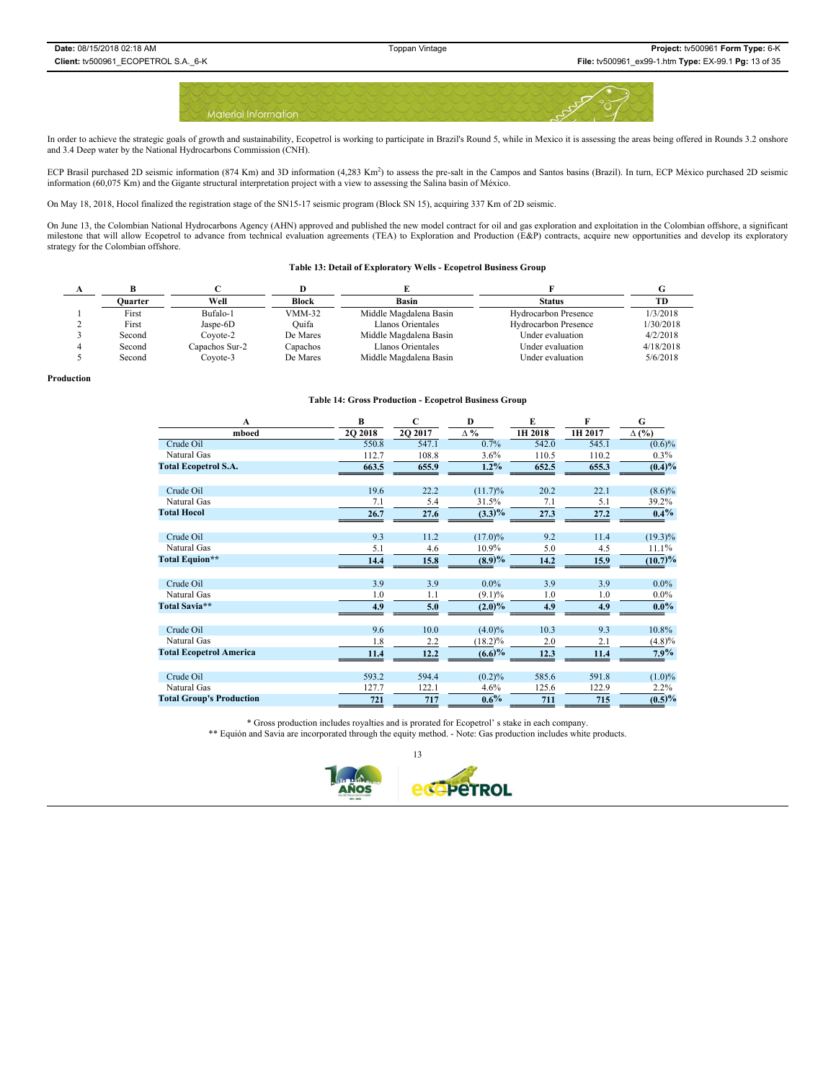

In order to achieve the strategic goals of growth and sustainability, Ecopetrol is working to participate in Brazil's Round 5, while in Mexico it is assessing the areas being offered in Rounds 3.2 onshore and 3.4 Deep water by the National Hydrocarbons Commission (CNH).

ECP Brasil purchased 2D seismic information (874 Km) and 3D information (4,283 Km<sup>2</sup>) to assess the pre-salt in the Campos and Santos basins (Brazil). In turn, ECP México purchased 2D seismic information (60,075 Km) and the Gigante structural interpretation project with a view to assessing the Salina basin of México.

On May 18, 2018, Hocol finalized the registration stage of the SN15-17 seismic program (Block SN 15), acquiring 337 Km of 2D seismic.

On June 13, the Colombian National Hydrocarbons Agency (AHN) approved and published the new model contract for oil and gas exploration and exploitation in the Colombian offshore, a significant milestone that will allow Ecopetrol to advance from technical evaluation agreements (TEA) to Exploration and Production (E&P) contracts, acquire new opportunities and develop its exploratory strategy for the Colombian offshore.

#### **Table 13: Detail of Exploratory Wells - Ecopetrol Business Group**

| Ouarter | Well           | Block    | Basin                  | <b>Status</b>               | ТD        |
|---------|----------------|----------|------------------------|-----------------------------|-----------|
| First   | Bufalo-1       | $VMM-32$ | Middle Magdalena Basin | <b>Hydrocarbon Presence</b> | 1/3/2018  |
| First   | Jaspe-6D       | Ouifa    | Llanos Orientales      | <b>Hydrocarbon Presence</b> | 1/30/2018 |
| Second  | Covote-2       | De Mares | Middle Magdalena Basin | Under evaluation            | 4/2/2018  |
| Second  | Capachos Sur-2 | Capachos | Llanos Orientales      | Under evaluation            | 4/18/2018 |
| Second  | Covote-3       | De Mares | Middle Magdalena Basin | Under evaluation            | 5/6/2018  |

**Production**

#### **Table 14: Gross Production - Ecopetrol Business Group**

| $\bf{B}$       | $\mathbf C$                                | D                            | E                                                           | F                            | G                            |
|----------------|--------------------------------------------|------------------------------|-------------------------------------------------------------|------------------------------|------------------------------|
| <b>2O 2018</b> | 2Q 2017                                    | $\Delta \%$                  | 1H 2018                                                     | 1H 2017                      | $\Delta$ (%)                 |
| 550.8          | 547.1                                      | 0.7%                         | 542.0                                                       | 545.1                        | $(0.6)\%$                    |
| 112.7          | 108.8                                      | 3.6%                         | 110.5                                                       | 110.2                        | $0.3\%$                      |
| 663.5          | 655.9                                      | $1.2\%$                      | 652.5                                                       | 655.3                        | (0.4)%                       |
|                |                                            |                              |                                                             |                              |                              |
| 19.6           | 22.2                                       | (11.7)%                      | 20.2                                                        | 22.1                         | $(8.6)\%$                    |
| 7.1            | 5.4                                        | 31.5%                        | 7.1                                                         | 5.1                          | 39.2%                        |
| 26.7           | 27.6                                       | $(3.3)\%$                    | 27.3                                                        | 27.2                         | $0.4\%$                      |
|                |                                            |                              |                                                             |                              |                              |
| 9.3            | 11.2                                       | $(17.0)\%$                   | 9.2                                                         | 11.4                         | $(19.3)\%$                   |
| 5.1            | 4.6                                        | 10.9%                        | 5.0                                                         | 4.5                          | 11.1%                        |
| 14,4           | 15.8                                       | (8.9)%                       | 14.2                                                        | 15.9                         | $(10.7)\%$                   |
|                |                                            |                              |                                                             |                              |                              |
|                |                                            |                              |                                                             |                              | $0.0\%$                      |
|                | 1.1                                        |                              |                                                             | 1.0                          | $0.0\%$                      |
| 4.9            | 5.0                                        | $(2.0)\%$                    | 4.9                                                         | 4.9                          | $0.0\%$                      |
|                |                                            |                              |                                                             |                              |                              |
|                | 10.0                                       | $(4.0)\%$                    | 10.3                                                        |                              | 10.8%                        |
|                |                                            | $(18.2)\%$                   | 2.0                                                         | 2.1                          | $(4.8)\%$                    |
| 11.4           | 12.2                                       |                              | 12.3                                                        | 11.4                         | 7.9%                         |
|                |                                            |                              |                                                             |                              |                              |
|                |                                            |                              |                                                             |                              | $(1.0)\%$                    |
|                |                                            |                              |                                                             |                              | $2.2\%$                      |
| 721            | 717                                        |                              | 711                                                         | 715                          | (0.5)%                       |
|                | 3.9<br>1.0<br>9.6<br>1.8<br>593.2<br>127.7 | 3.9<br>2.2<br>594.4<br>122.1 | $0.0\%$<br>$(9.1)\%$<br>(6.6)%<br>(0.2)%<br>4.6%<br>$0.6\%$ | 3.9<br>1.0<br>585.6<br>125.6 | 3.9<br>9.3<br>591.8<br>122.9 |

\* Gross production includes royalties and is prorated for Ecopetrol' s stake in each company. \*\* Equión and Savia are incorporated through the equity method. - Note: Gas production includes white products.

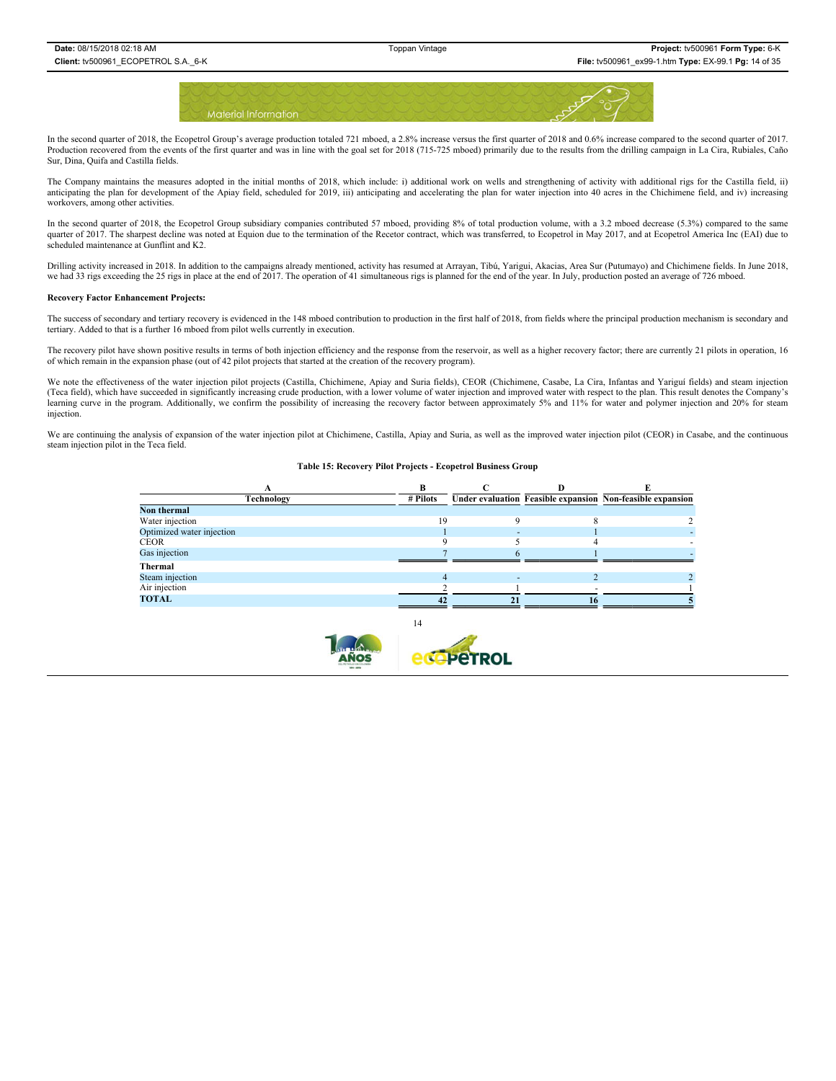

In the second quarter of 2018, the Ecopetrol Group's average production totaled 721 mboed, a 2.8% increase versus the first quarter of 2018 and 0.6% increase compared to the second quarter of 2017. Production recovered from the events of the first quarter and was in line with the goal set for 2018 (715-725 mboed) primarily due to the results from the drilling campaign in La Cira, Rubiales, Caño Sur, Dina, Quifa and Castilla fields.

The Company maintains the measures adopted in the initial months of 2018, which include: i) additional work on wells and strengthening of activity with additional rigs for the Castilla field, ii) anticipating the plan for development of the Apiay field, scheduled for 2019, iii) anticipating and accelerating the plan for water injection into 40 acres in the Chichimene field, and iv) increasing workovers, among other activities.

In the second quarter of 2018, the Ecopetrol Group subsidiary companies contributed 57 mboed, providing 8% of total production volume, with a 3.2 mboed decrease (5.3%) compared to the same quarter of 2017. The sharpest decline was noted at Equion due to the termination of the Recetor contract, which was transferred, to Ecopetrol in May 2017, and at Ecopetrol America Inc (EAI) due to scheduled maintenance at Gunflint and K2.

Drilling activity increased in 2018. In addition to the campaigns already mentioned, activity has resumed at Arrayan, Tibú, Yarigui, Akacias, Area Sur (Putumayo) and Chichimene fields. In June 2018, we had 33 rigs exceeding the 25 rigs in place at the end of 2017. The operation of 41 simultaneous rigs is planned for the end of the year. In July, production posted an average of 726 mboed.

#### **Recovery Factor Enhancement Projects:**

The success of secondary and tertiary recovery is evidenced in the 148 mboed contribution to production in the first half of 2018, from fields where the principal production mechanism is secondary and tertiary. Added to that is a further 16 mboed from pilot wells currently in execution.

The recovery pilot have shown positive results in terms of both injection efficiency and the response from the reservoir, as well as a higher recovery factor; there are currently 21 pilots in operation, 16 of which remain in the expansion phase (out of 42 pilot projects that started at the creation of the recovery program).

We note the effectiveness of the water injection pilot projects (Castilla, Chichimene, Apiay and Suria fields), CEOR (Chichimene, Casabe, La Cira, Infantas and Yariguí fields) and steam injection (Teca field), which have succeeded in significantly increasing crude production, with a lower volume of water injection and improved water with respect to the plan. This result denotes the Company's learning curve in the program. Additionally, we confirm the possibility of increasing the recovery factor between approximately 5% and 11% for water and polymer injection and 20% for steam injection.

We are continuing the analysis of expansion of the water injection pilot at Chichimene, Castilla, Apiay and Suria, as well as the improved water injection pilot (CEOR) in Casabe, and the continuous steam injection pilot in the Teca field.

#### **Table 15: Recovery Pilot Projects - Ecopetrol Business Group**

| Technology                | # Pilots |    |    | Under evaluation Feasible expansion Non-feasible expansion |
|---------------------------|----------|----|----|------------------------------------------------------------|
| Non thermal               |          |    |    |                                                            |
| Water injection           | 19       |    |    |                                                            |
| Optimized water injection |          | ۰. |    |                                                            |
| <b>CEOR</b>               |          |    |    |                                                            |
| Gas injection             |          |    |    |                                                            |
| Thermal                   |          |    |    |                                                            |
| Steam injection           |          |    |    |                                                            |
| Air injection             |          |    |    |                                                            |
| <b>TOTAL</b>              |          |    | 16 |                                                            |
|                           |          |    |    |                                                            |

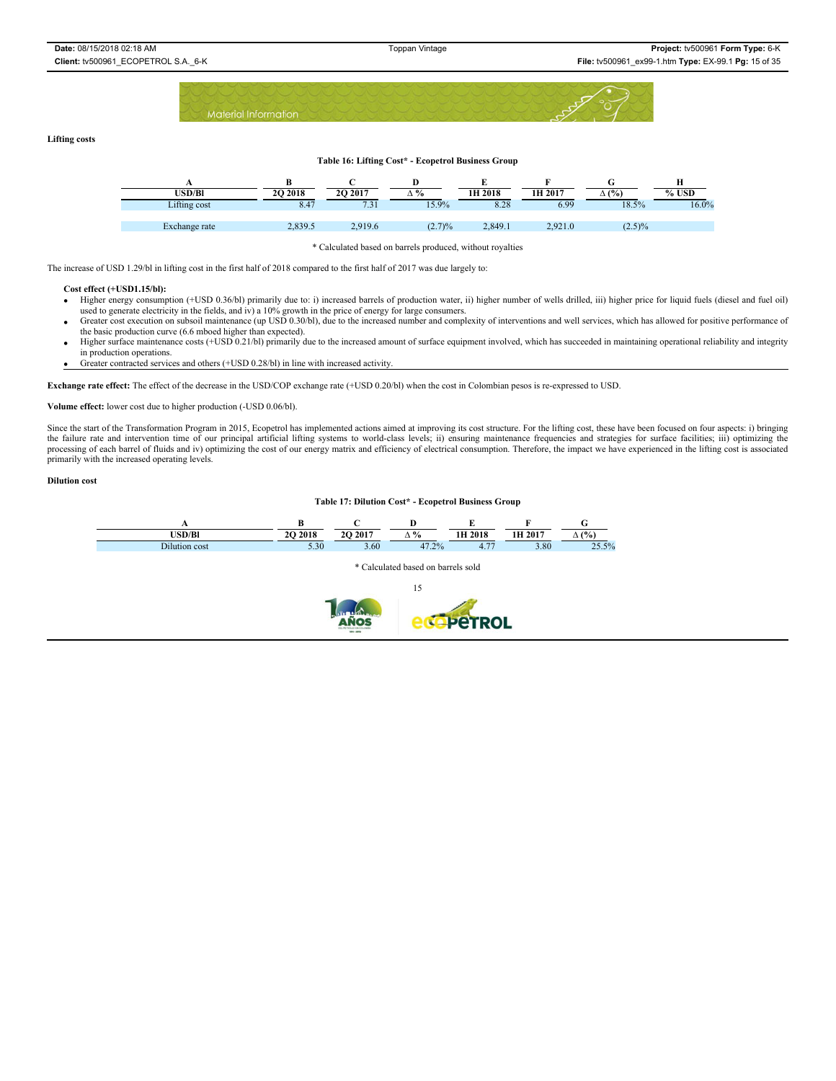

#### **Lifting costs**

# **Table 16: Lifting Cost\* - Ecopetrol Business Group A BCD EFG H USD/Bl 2Q 2018 2Q 2017 ∆ % 1H 2018 1H 2017 ∆ (%) % USD** Lifting cost 8.47 7.31 15.9% 8.28 6.99 18.5% 16.0% Exchange rate 2,839.5 2,919.6 (2.7)% 2,849.1 2,921.0 (2.5)%

\* Calculated based on barrels produced, without royalties

The increase of USD 1.29/bl in lifting cost in the first half of 2018 compared to the first half of 2017 was due largely to:

#### **Cost effect (+USD1.15/bl):**

- x Higher energy consumption (+USD 0.36/bl) primarily due to: i) increased barrels of production water, ii) higher number of wells drilled, iii) higher price for liquid fuels (diesel and fuel oil) used to generate electricity in the fields, and iv) a 10% growth in the price of energy for large consumers.
- x Greater cost execution on subsoil maintenance (up USD 0.30/bl), due to the increased number and complexity of interventions and well services, which has allowed for positive performance of the basic production curve (6.6 mboed higher than expected).
- Higher surface maintenance costs (+USD 0.21/bl) primarily due to the increased amount of surface equipment involved, which has succeeded in maintaining operational reliability and integrity in production operations.
- Greater contracted services and others (+USD 0.28/bl) in line with increased activity.

**Exchange rate effect:** The effect of the decrease in the USD/COP exchange rate (+USD 0.20/bl) when the cost in Colombian pesos is re-expressed to USD.

#### **Volume effect:** lower cost due to higher production (-USD 0.06/bl).

Since the start of the Transformation Program in 2015, Ecopetrol has implemented actions aimed at improving its cost structure. For the lifting cost, these have been focused on four aspects: i) bringing the failure rate and intervention time of our principal artificial lifting systems to world-class levels; ii) ensuring maintenance frequencies and strategies for surface facilities; iii) optimizing the processing of each barrel of fluids and iv) optimizing the cost of our energy matrix and efficiency of electrical consumption. Therefore, the impact we have experienced in the lifting cost is associated primarily with the increased operating levels.

#### **Dilution cost**

### **Table 17: Dilution Cost\* - Ecopetrol Business Group**

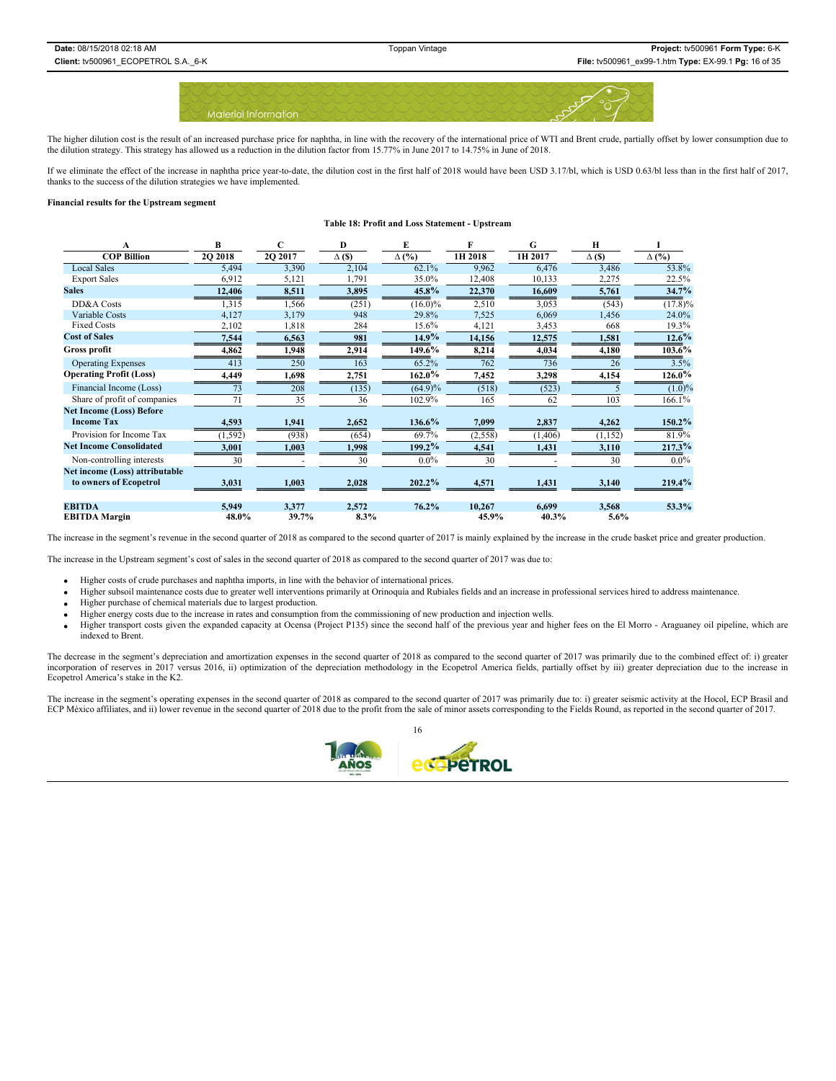

The higher dilution cost is the result of an increased purchase price for naphtha, in line with the recovery of the international price of WTI and Brent crude, partially offset by lower consumption due to the dilution strategy. This strategy has allowed us a reduction in the dilution factor from 15.77% in June 2017 to 14.75% in June of 2018.

If we eliminate the effect of the increase in naphtha price year-to-date, the dilution cost in the first half of 2018 would have been USD 3.17/bl, which is USD 0.63/bl less than in the first half of 2017, thanks to the success of the dilution strategies we have implemented.

#### **Financial results for the Upstream segment**

#### **Table 18: Profit and Loss Statement - Upstream**

| A                               | B        | C                | D             | E            | F        | G        | H             |              |
|---------------------------------|----------|------------------|---------------|--------------|----------|----------|---------------|--------------|
| <b>COP Billion</b>              | 2Q 2018  | 2Q 2017          | $\Delta$ (\$) | $\Delta$ (%) | 1H 2018  | 1H 2017  | $\Delta$ (\$) | $\Delta$ (%) |
| <b>Local Sales</b>              | 5,494    | 3,390            | 2,104         | 62.1%        | 9,962    | 6,476    | 3,486         | 53.8%        |
| <b>Export Sales</b>             | 6,912    | 5,121            | 1,791         | 35.0%        | 12,408   | 10,133   | 2,275         | 22.5%        |
| <b>Sales</b>                    | 12,406   | 8,511            | 3,895         | $45.8\%$     | 22,370   | 16,609   | 5,761         | 34.7%        |
| DD&A Costs                      | 1,315    | 1,566            | (251)         | $(16.0)\%$   | 2,510    | 3,053    | (543)         | $(17.8)\%$   |
| Variable Costs                  | 4,127    | 3,179            | 948           | 29.8%        | 7,525    | 6,069    | 1,456         | 24.0%        |
| <b>Fixed Costs</b>              | 2,102    | 1,818            | 284           | 15.6%        | 4,121    | 3,453    | 668           | 19.3%        |
| <b>Cost of Sales</b>            | 7,544    | 6,563            | 981           | 14.9%        | 14,156   | 12,575   | 1,581         | $12.6\%$     |
| Gross profit                    | 4,862    | 1,948            | 2,914         | 149.6%       | 8,214    | 4,034    | 4,180         | $103.6\%$    |
| <b>Operating Expenses</b>       | 413      | 250              | 163           | 65.2%        | 762      | 736      | 26            | 3.5%         |
| <b>Operating Profit (Loss)</b>  | 4,449    | 1,698            | 2,751         | $162.0\%$    | 7,452    | 3,298    | 4,154         | 126.0%       |
| Financial Income (Loss)         | 73       | $\overline{208}$ | (135)         | $(64.9)\%$   | (518)    | (523)    |               | $(1.0)\%$    |
| Share of profit of companies    | 71       | 35               | 36            | 102.9%       | 165      | 62       | 103           | 166.1%       |
| <b>Net Income (Loss) Before</b> |          |                  |               |              |          |          |               |              |
| <b>Income Tax</b>               | 4,593    | 1,941            | 2,652         | 136.6%       | 7,099    | 2,837    | 4,262         | $150.2\%$    |
| Provision for Income Tax        | (1, 592) | (938)            | (654)         | 69.7%        | (2, 558) | (1, 406) | (1, 152)      | 81.9%        |
| <b>Net Income Consolidated</b>  | 3,001    | 1,003            | 1,998         | 199.2%       | 4,541    | 1,431    | 3,110         | 217.3%       |
| Non-controlling interests       | 30       |                  | 30            | $0.0\%$      | 30       |          | 30            | $0.0\%$      |
| Net income (Loss) attributable  |          |                  |               |              |          |          |               |              |
| to owners of Ecopetrol          | 3,031    | 1,003            | 2,028         | 202.2%       | 4,571    | 1,431    | 3,140         | 219.4%       |
|                                 |          |                  |               |              |          |          |               |              |
| <b>EBITDA</b>                   | 5,949    | 3,377            | 2,572         | 76.2%        | 10,267   | 6,699    | 3,568         | 53.3%        |
| <b>EBITDA</b> Margin            | 48.0%    | 39.7%            | 8.3%          |              | 45.9%    | 40.3%    | 5.6%          |              |

The increase in the segment's revenue in the second quarter of 2018 as compared to the second quarter of 2017 is mainly explained by the increase in the crude basket price and greater production.

The increase in the Upstream segment's cost of sales in the second quarter of 2018 as compared to the second quarter of 2017 was due to:

• Higher costs of crude purchases and naphtha imports, in line with the behavior of international prices.

- x Higher subsoil maintenance costs due to greater well interventions primarily at Orinoquía and Rubiales fields and an increase in professional services hired to address maintenance.
- Higher purchase of chemical materials due to largest production.
- x Higher energy costs due to the increase in rates and consumption from the commissioning of new production and injection wells.
- Higher transport costs given the expanded capacity at Ocensa (Project P135) since the second half of the previous year and higher fees on the El Morro Araguaney oil pipeline, which are indexed to Brent.

The decrease in the segment's depreciation and amortization expenses in the second quarter of 2018 as compared to the second quarter of 2017 was primarily due to the combined effect of: i) greater<br>incorporation of reserves Ecopetrol America's stake in the K2.

The increase in the segment's operating expenses in the second quarter of 2018 as compared to the second quarter of 2017 was primarily due to: i) greater seismic activity at the Hocol, ECP Brasil and ECP México affiliates, and ii) lower revenue in the second quarter of 2018 due to the profit from the sale of minor assets corresponding to the Fields Round, as reported in the second quarter of 2017.

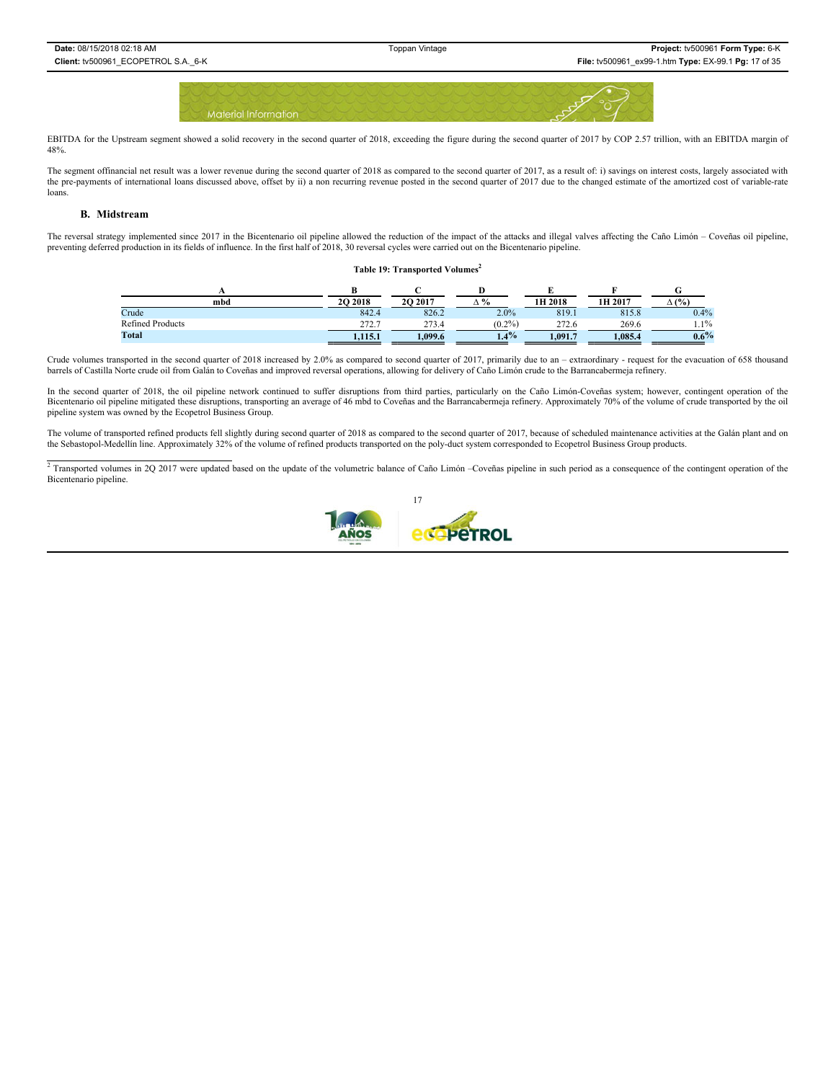

EBITDA for the Upstream segment showed a solid recovery in the second quarter of 2018, exceeding the figure during the second quarter of 2017 by COP 2.57 trillion, with an EBITDA margin of 48%.

The segment offinancial net result was a lower revenue during the second quarter of 2018 as compared to the second quarter of 2017, as a result of: i) savings on interest costs, largely associated with the pre-payments of international loans discussed above, offset by ii) a non recurring revenue posted in the second quarter of 2017 due to the changed estimate of the amortized cost of variable-rate loans.

### **B. Midstream**

The reversal strategy implemented since 2017 in the Bicentenario oil pipeline allowed the reduction of the impact of the attacks and illegal valves affecting the Caño Limón – Coveñas oil pipeline, preventing deferred production in its fields of influence. In the first half of 2018, 30 reversal cycles were carried out on the Bicentenario pipeline.

#### **Table 19: Transported Volumes2**

| mbd                     | 2O 2018       | 20 20 17 | $\mathbf{0}$<br>"∩ | 1H 2018      | 1H 2017 | $\Delta$ (%) |
|-------------------------|---------------|----------|--------------------|--------------|---------|--------------|
| Crude                   | 842.4         | 826.2    | 2.0%               | 819.1        | 815.8   | 0.4%         |
| <b>Refined Products</b> | 272.J<br>212. | 273.4    | (0.2%              | າາາ<br>212.5 | 269.6   | $1.1\%$      |
| Total                   | 1.115.1       | 1,099.6  | $1.4\%$            | .091.7       | .085.4  | $0.6\%$      |

Crude volumes transported in the second quarter of 2018 increased by 2.0% as compared to second quarter of 2017, primarily due to an - extraordinary - request for the evacuation of 658 thousand barrels of Castilla Norte crude oil from Galán to Coveñas and improved reversal operations, allowing for delivery of Caño Limón crude to the Barrancabermeja refinery.

In the second quarter of 2018, the oil pipeline network continued to suffer disruptions from third parties, particularly on the Caño Limón-Coveñas system; however, contingent operation of the Bicentenario oil pipeline mitigated these disruptions, transporting an average of 46 mbd to Coveñas and the Barrancabermeja refinery. Approximately 70% of the volume of crude transported by the oil pipeline system was owned by the Ecopetrol Business Group.

The volume of transported refined products fell slightly during second quarter of 2018 as compared to the second quarter of 2017, because of scheduled maintenance activities at the Galán plant and on the Sebastopol-Medellín line. Approximately 32% of the volume of refined products transported on the poly-duct system corresponded to Ecopetrol Business Group products.

<sup>2</sup> Transported volumes in 2Q 2017 were updated based on the update of the volumetric balance of Caño Limón –Coveñas pipeline in such period as a consequence of the contingent operation of the Bicentenario pipeline.

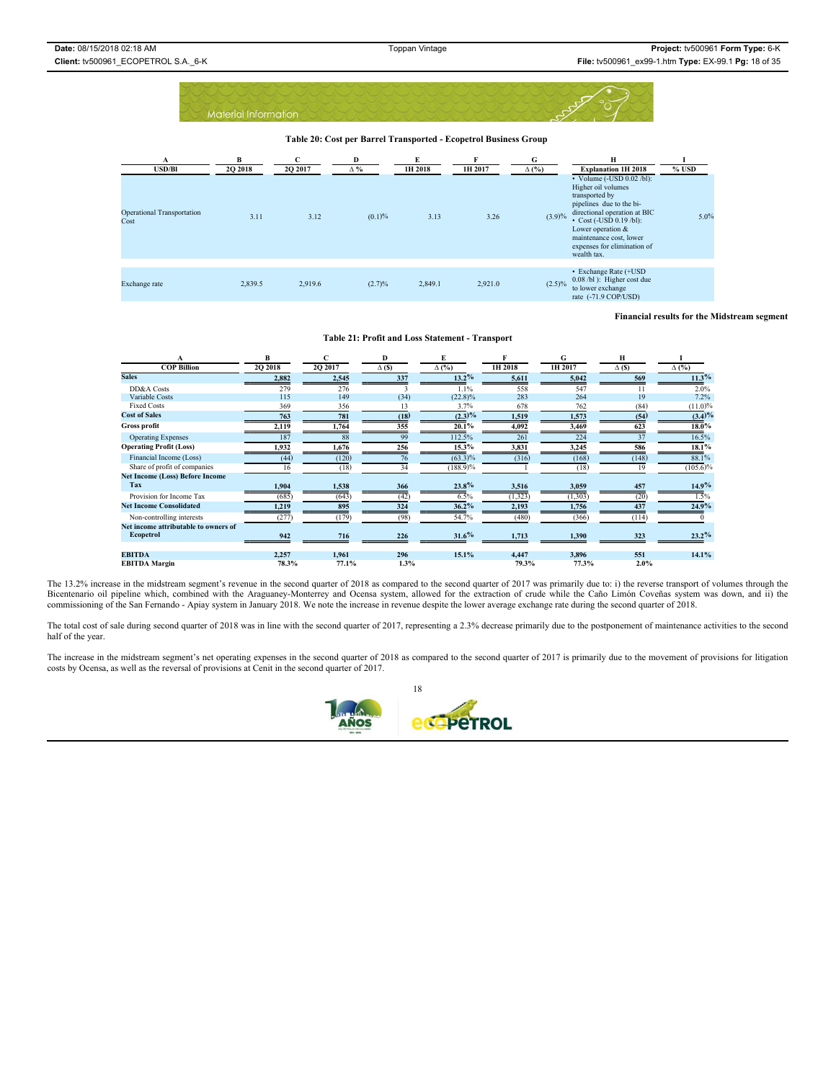**Table 20: Cost per Barrel Transported - Ecopetrol Business Group** 

| A<br><b>USD/Bl</b>                        | B<br>2Q 2018 | C<br>2Q 2017 | D<br>$\Delta \%$ | E<br>1H 2018 | 1H 2017 | G<br>$\Delta$ (%) | Н<br><b>Explanation 1H 2018</b>                                                                                                                                                                                                                                    | $%$ USD |
|-------------------------------------------|--------------|--------------|------------------|--------------|---------|-------------------|--------------------------------------------------------------------------------------------------------------------------------------------------------------------------------------------------------------------------------------------------------------------|---------|
| <b>Operational Transportation</b><br>Cost | 3.11         | 3.12         | (0.1)%           | 3.13         | 3.26    | (3.9)%            | $\cdot$ Volume (-USD 0.02/bl):<br>Higher oil volumes<br>transported by<br>pipelines due to the bi-<br>directional operation at BIC<br>$\cdot$ Cost (-USD 0.19/bl):<br>Lower operation $&$<br>maintenance cost, lower<br>expenses for elimination of<br>wealth tax. | 5.0%    |
|                                           |              |              |                  |              |         |                   |                                                                                                                                                                                                                                                                    |         |
| Exchange rate                             | 2,839.5      | 2,919.6      | (2.7)%           | 2,849.1      | 2,921.0 | $(2.5)\%$         | • Exchange Rate (+USD)<br>$0.08$ /bl $)$ : Higher cost due<br>to lower exchange<br>rate (-71.9 COP/USD)                                                                                                                                                            |         |

#### **Financial results for the Midstream segment**

#### **Table 21: Profit and Loss Statement - Transport**

| A                                                 | B       |          | Ð             |              |          | G        | н            |              |
|---------------------------------------------------|---------|----------|---------------|--------------|----------|----------|--------------|--------------|
| <b>COP Billion</b>                                | 2Q 2018 | 20 20 17 | $\Delta$ (\$) | $\Delta$ (%) | 1H 2018  | 1H 2017  | $\Delta$ (S) | $\Delta$ (%) |
| <b>Sales</b>                                      | 2,882   | 2,545    | 337           | $13.2\%$     | 5,611    | 5,042    | 569          | $11.3\%$     |
| DD&A Costs                                        | 279     | 276      |               | 1.1%         | 558      | 547      |              | 2.0%         |
| <b>Variable Costs</b>                             | 115     | 149      | (34)          | $(22.8)\%$   | 283      | 264      | 19           | 7.2%         |
| <b>Fixed Costs</b>                                | 369     | 356      | 13            | 3.7%         | 678      | 762      | (84)         | (11.0)%      |
| <b>Cost of Sales</b>                              | 763     | 781      | (18)          | $(2.3)\%$    | 1,519    | 1,573    | (54)         | $(3.4)\%$    |
| Gross profit                                      | 2,119   | 1,764    | 355           | $20.1\%$     | 4,092    | 3,469    | 623          | $18.0\%$     |
| <b>Operating Expenses</b>                         | 187     | 88       | 99            | 112.5%       | 261      | 224      | 37           | 16.5%        |
| <b>Operating Profit (Loss)</b>                    | 1,932   | 1,676    | 256           | $15.3\%$     | 3,831    | 3,245    | 586          | $18.1\%$     |
| Financial Income (Loss)                           | (44)    | (120)    | 76            | $(63.3)\%$   | (316)    | (168)    | (148)        | 88.1%        |
| Share of profit of companies                      | 16      | (18)     | 34            | $(188.9)\%$  |          | (18)     | 19           | $(105.6)\%$  |
| <b>Net Income (Loss) Before Income</b>            |         |          |               |              |          |          |              |              |
| Tax                                               | 1,904   | 1,538    | 366           | 23.8%        | 3,516    | 3,059    | 457          | $14.9\%$     |
| Provision for Income Tax                          | (685)   | (643)    | (42)          | 6.5%         | (1, 323) | (1, 303) | (20)         | 1.5%         |
| <b>Net Income Consolidated</b>                    | 1,219   | 895      | 324           | 36.2%        | 2,193    | 1,756    | 437          | 24.9%        |
| Non-controlling interests                         | (277)   | (179)    | (98)          | 54.7%        | (480)    | (366)    | (114)        |              |
| Net income attributable to owners of<br>Ecopetrol | 942     | 716      | 226           | 31.6%        | 1,713    | 1,390    | 323          | $23.2\%$     |
|                                                   |         |          |               |              |          |          |              |              |
| <b>EBITDA</b>                                     | 2,257   | 1,961    | 296           | 15.1%        | 4,447    | 3,896    | 551          | 14.1%        |
| <b>EBITDA Margin</b>                              | 78.3%   | 77.1%    | 1.3%          |              | 79.3%    | 77.3%    | 2.0%         |              |

The 13.2% increase in the midstream segment's revenue in the second quarter of 2018 as compared to the second quarter of 2017 was primarily due to: i) the reverse transport of volumes through the Bicentenario oil pipeline which, combined with the Araguaney-Monterrey and Ocensa system, allowed for the extraction of crude while the Caño Limón Coveñas system was down, and ii) the commissioning of the San Fernando - Apiay system in January 2018. We note the increase in revenue despite the lower average exchange rate during the second quarter of 2018.

The total cost of sale during second quarter of 2018 was in line with the second quarter of 2017, representing a 2.3% decrease primarily due to the postponement of maintenance activities to the second half of the year.

The increase in the midstream segment's net operating expenses in the second quarter of 2018 as compared to the second quarter of 2017 is primarily due to the movement of provisions for litigation costs by Ocensa, as well as the reversal of provisions at Cenit in the second quarter of 2017.

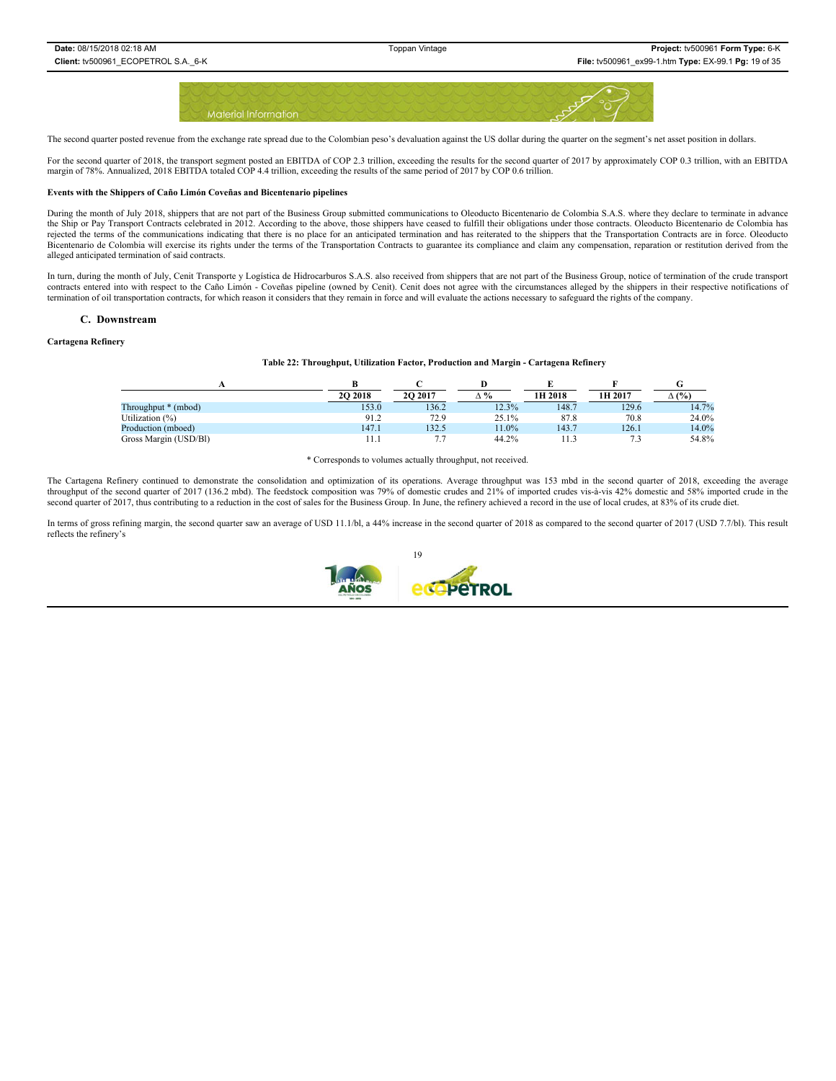

The second quarter posted revenue from the exchange rate spread due to the Colombian peso's devaluation against the US dollar during the quarter on the segment's net asset position in dollars.

For the second quarter of 2018, the transport segment posted an EBITDA of COP 2.3 trillion, exceeding the results for the second quarter of 2017 by approximately COP 0.3 trillion, with an EBITDA margin of 78%. Annualized, 2018 EBITDA totaled COP 4.4 trillion, exceeding the results of the same period of 2017 by COP 0.6 trillion.

#### **Events with the Shippers of Caño Limón Coveñas and Bicentenario pipelines**

During the month of July 2018, shippers that are not part of the Business Group submitted communications to Oleoducto Bicentenario de Colombia S.A.S. where they declare to terminate in advance the Ship or Pay Transport Contracts celebrated in 2012. According to the above, those shippers have ceased to fulfill their obligations under those contracts. Oleoducto Bicentenario de Colombia has rejected the terms of the communications indicating that there is no place for an anticipated termination and has reiterated to the shippers that the Transportation Contracts are in force. Oleoducto Bicentenario de Colombia will exercise its rights under the terms of the Transportation Contracts to guarantee its compliance and claim any compensation, reparation or restitution derived from the alleged anticipated termination of said contracts.

In turn, during the month of July, Cenit Transporte y Logística de Hidrocarburos S.A.S. also received from shippers that are not part of the Business Group, notice of termination of the crude transport contracts entered into with respect to the Caño Limón - Coveñas pipeline (owned by Cenit). Cenit does not agree with the circumstances alleged by the shippers in their respective notifications of termination of oil transportation contracts, for which reason it considers that they remain in force and will evaluate the actions necessary to safeguard the rights of the company.

#### **C. Downstream**

#### **Cartagena Refinery**

#### **Table 22: Throughput, Utilization Factor, Production and Margin - Cartagena Refinery**

|                       | 20 20 18 | 20 20 17 | ∆%    | 1H 2018 | 1H 2017 | $\Delta$ (%) |
|-----------------------|----------|----------|-------|---------|---------|--------------|
| Throughput * (mbod)   | 153.0    | 136.2    | 12.3% | 148.7   | 129.6   | 14.7%        |
| Utilization (%)       | 91.2     | 72.9     | 25.1% | 87.8    | 70.8    | 24.0%        |
| Production (mboed)    | 147.1    | 132.5    | 1.0%  | 143.7   | 126.1   | 14.0%        |
| Gross Margin (USD/Bl) |          |          | 44.2% |         |         | 54.8%        |

\* Corresponds to volumes actually throughput, not received.

The Cartagena Refinery continued to demonstrate the consolidation and optimization of its operations. Average throughput was 153 mbd in the second quarter of 2018, exceeding the average throughput of the second quarter of 2017 (136.2 mbd). The feedstock composition was 79% of domestic crudes and 21% of imported crudes vis-à-vis 42% domestic and 58% imported crude in the second quarter of 2017, thus contributing to a reduction in the cost of sales for the Business Group. In June, the refinery achieved a record in the use of local crudes, at 83% of its crude diet.

In terms of gross refining margin, the second quarter saw an average of USD 11.1/bl, a 44% increase in the second quarter of 2018 as compared to the second quarter of 2017 (USD 7.7/bl). This result reflects the refinery's

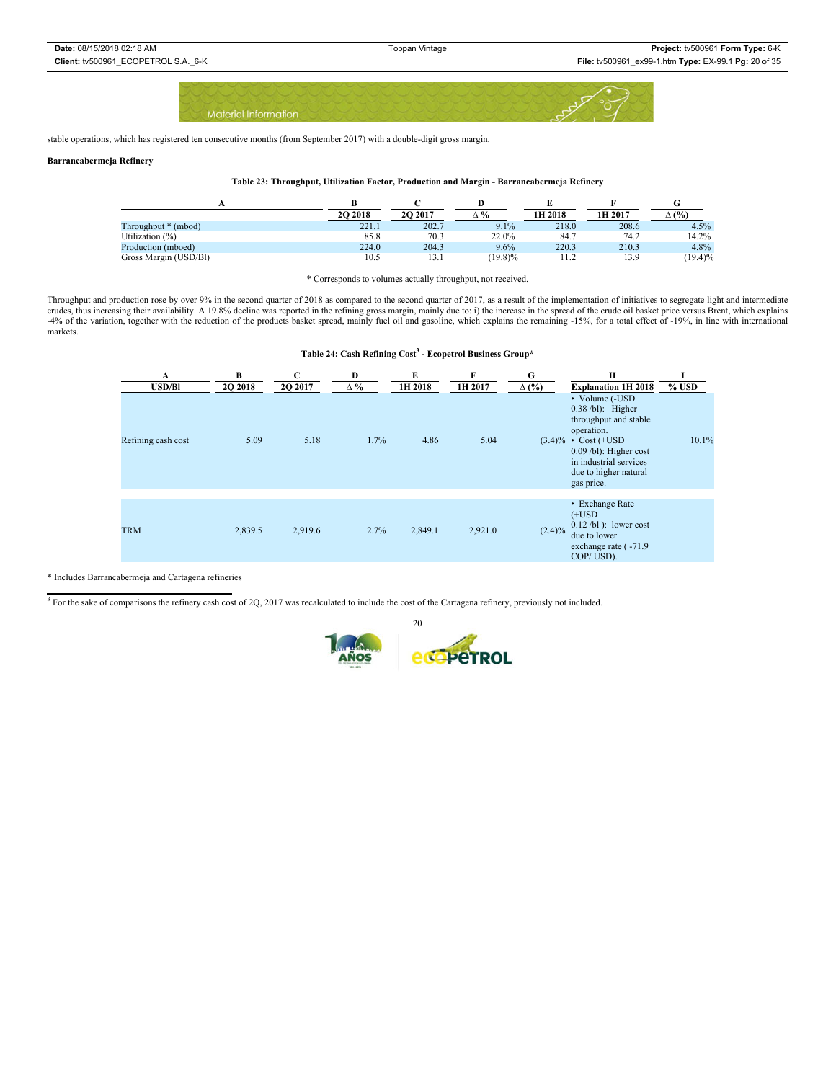stable operations, which has registered ten consecutive months (from September 2017) with a double-digit gross margin.

### **Barrancabermeja Refinery**

#### **Table 23: Throughput, Utilization Factor, Production and Margin - Barrancabermeja Refinery**

|                       | 2O 2018 | 20 20 17 | Δ%         | 1H 2018 | 1H 2017 | (%)        |
|-----------------------|---------|----------|------------|---------|---------|------------|
| Throughput * (mbod)   | 221.1   | 202.7    | 9.1%       | 218.0   | 208.6   | 4.5%       |
| Utilization (%)       | 85.8    | 70.3     | 22.0%      | 84.7    | 74.2    | 14.2%      |
| Production (mboed)    | 224.0   | 204.3    | 9.6%       | 220.3   | 210.3   | 4.8%       |
| Gross Margin (USD/BI) | 10.5    | 13.1     | $(19.8)\%$ | 11.2    | 13.9    | $(19.4)\%$ |

\* Corresponds to volumes actually throughput, not received.

Throughput and production rose by over 9% in the second quarter of 2018 as compared to the second quarter of 2017, as a result of the implementation of initiatives to segregate light and intermediate crudes, thus increasin -4% of the variation, together with the reduction of the products basket spread, mainly fuel oil and gasoline, which explains the remaining -15%, for a total effect of -19%, in line with international markets.

**Table 24: Cash Refining Cost3 - Ecopetrol Business Group\***

| A<br><b>USD/Bl</b> | В<br>2Q 2018 | $\mathbf C$<br>2Q 2017 | D<br>$\Delta \%$ | E<br>1H 2018 | F<br>1H 2017 | G<br>$\Delta$ (%) | Н<br><b>Explanation 1H 2018</b>                                                                                                                                                                      | $%$ USD |
|--------------------|--------------|------------------------|------------------|--------------|--------------|-------------------|------------------------------------------------------------------------------------------------------------------------------------------------------------------------------------------------------|---------|
| Refining cash cost | 5.09         | 5.18                   | 1.7%             | 4.86         | 5.04         |                   | • Volume (-USD<br>$0.38$ /bl): Higher<br>throughput and stable<br>operation.<br>$(3.4)\%$ • Cost (+USD)<br>$0.09$ /bl): Higher cost<br>in industrial services<br>due to higher natural<br>gas price. | 10.1%   |
| <b>TRM</b>         | 2,839.5      | 2,919.6                | 2.7%             | 2,849.1      | 2,921.0      | $(2.4)\%$         | • Exchange Rate<br>$(+$ USD<br>$0.12$ /bl): lower cost<br>due to lower<br>exchange rate (-71.9)<br>COP/USD).                                                                                         |         |

\* Includes Barrancabermeja and Cartagena refineries

 $3$  For the sake of comparisons the refinery cash cost of 2Q, 2017 was recalculated to include the cost of the Cartagena refinery, previously not included.

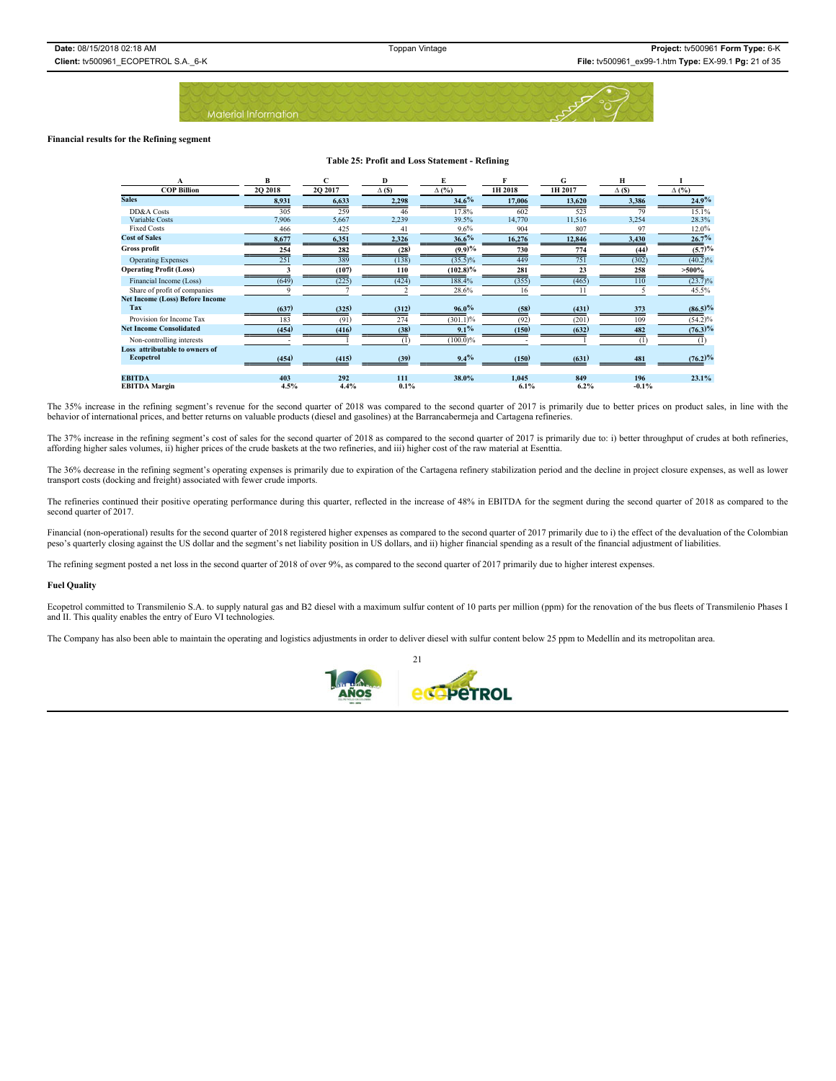

#### **Financial results for the Refining segment**

#### **Table 25: Profit and Loss Statement - Refining**

|                                        | B        |                 | D             | E            |         | G       | н            |                   |
|----------------------------------------|----------|-----------------|---------------|--------------|---------|---------|--------------|-------------------|
| <b>COP Billion</b>                     | 20 20 18 | 20 20 17        | $\Delta$ (\$) | $\Delta$ (%) | 1H 2018 | 1H 2017 | $\Delta$ (S) | $\Delta$ (%)      |
| <b>Sales</b>                           | 8,931    | 6,633           | 2,298         | 34.6%        | 17,006  | 13,620  | 3,386        | 24.9%             |
| DD&A Costs                             | 305      | 259             | 46            | 17.8%        | 602     | 523     | 79           | 15.1%             |
| Variable Costs                         | 7,906    | 5,667           | 2,239         | 39.5%        | 14,770  | 11,516  | 3,254        | 28.3%             |
| <b>Fixed Costs</b>                     | 466      | 425             | 41            | 9.6%         | 904     | 807     | 97           | 12.0%             |
| <b>Cost of Sales</b>                   | 8,677    | 6,351           | 2,326         | 36.6%        | 16,276  | 12,846  | 3,430        | 26.7%             |
| Gross profit                           | 254      | 282             | (28)          | $(9.9)\%$    | 730     | 774     | (44)         | (5.7)%            |
| <b>Operating Expenses</b>              | 251      | $\frac{1}{389}$ | (138)         | $(35.5)\%$   | 449     | 751     | (302)        | $\sqrt{(40.2)}\%$ |
| <b>Operating Profit (Loss)</b>         |          | (107)           | 110           | $(102.8)\%$  | 281     | 23      | 258          | $>500\%$          |
| Financial Income (Loss)                | (649)    | (225)           | (424)         | 188.4%       | (355)   | (465)   | 110          | $(23.7)\%$        |
| Share of profit of companies           |          |                 |               | 28.6%        | 16      |         |              | 45.5%             |
| <b>Net Income (Loss) Before Income</b> |          |                 |               |              |         |         |              |                   |
| Tax                                    | (637)    | (325)           | (312)         | $96.0\%$     | (58)    | (431)   | 373          | $(86.5)\%$        |
| Provision for Income Tax               | 183      | (91)            | 274           | $(301.1)\%$  | (92)    | (201)   | 109          | $(54.2)\%$        |
| <b>Net Income Consolidated</b>         | (454)    | (416)           | (38)          | $9.1\%$      | (150)   | (632)   | 482          | $(76.3)\%$        |
| Non-controlling interests              |          |                 |               | $(100.0)\%$  |         |         |              | (1)               |
| Loss attributable to owners of         |          |                 |               |              |         |         |              |                   |
| Ecopetrol                              | (454)    | (415)           | (39)          | 9.4%         | (150)   | (631)   | 481          | $(76.2)\%$        |
|                                        |          |                 |               |              |         |         |              |                   |
| <b>EBITDA</b>                          | 403      | 292             | 111           | 38.0%        | 1,045   | 849     | 196          | 23.1%             |
| <b>EBITDA</b> Margin                   | 4.5%     | 4.4%            | 0.1%          |              | 6.1%    | 6.2%    | $-0.1%$      |                   |

The 35% increase in the refining segment's revenue for the second quarter of 2018 was compared to the second quarter of 2017 is primarily due to better prices on product sales, in line with the behavior of international prices, and better returns on valuable products (diesel and gasolines) at the Barrancabermeja and Cartagena refineries.

The 37% increase in the refining segment's cost of sales for the second quarter of 2018 as compared to the second quarter of 2017 is primarily due to: i) better throughput of crudes at both refineries, affording higher sales volumes, ii) higher prices of the crude baskets at the two refineries, and iii) higher cost of the raw material at Esenttia.

The 36% decrease in the refining segment's operating expenses is primarily due to expiration of the Cartagena refinery stabilization period and the decline in project closure expenses, as well as lower<br>transport costs (doc

The refineries continued their positive operating performance during this quarter, reflected in the increase of 48% in EBITDA for the segment during the second quarter of 2018 as compared to the second quarter of 2017.

Financial (non-operational) results for the second quarter of 2018 registered higher expenses as compared to the second quarter of 2017 primarily due to i) the effect of the devaluation of the Colombian peso's quarterly closing against the US dollar and the segment's net liability position in US dollars, and ii) higher financial spending as a result of the financial adjustment of liabilities.

The refining segment posted a net loss in the second quarter of 2018 of over 9%, as compared to the second quarter of 2017 primarily due to higher interest expenses.

#### **Fuel Quality**

Ecopetrol committed to Transmilenio S.A. to supply natural gas and B2 diesel with a maximum sulfur content of 10 parts per million (ppm) for the renovation of the bus fleets of Transmilenio Phases I and II. This quality enables the entry of Euro VI technologies.

The Company has also been able to maintain the operating and logistics adjustments in order to deliver diesel with sulfur content below 25 ppm to Medellín and its metropolitan area.

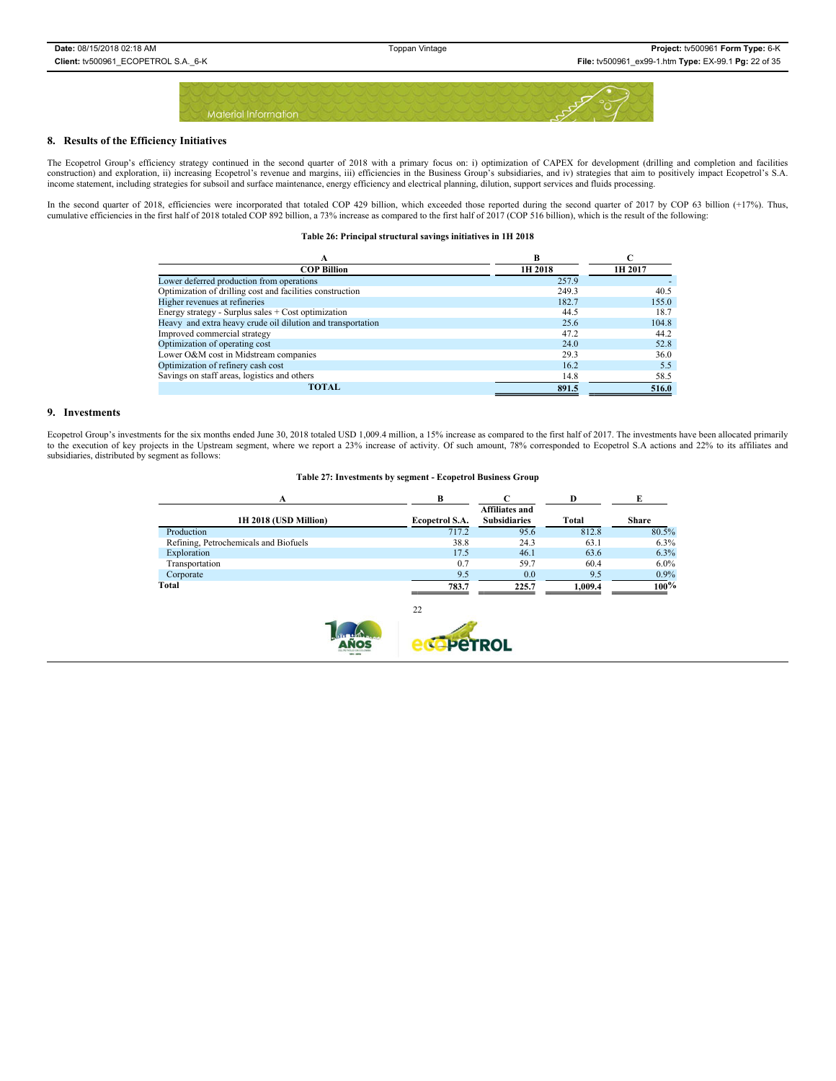

### **8. Results of the Efficiency Initiatives**

The Ecopetrol Group's efficiency strategy continued in the second quarter of 2018 with a primary focus on: i) optimization of CAPEX for development (drilling and completion and facilities construction) and exploration, ii) increasing Ecopetrol's revenue and margins, iii) efficiencies in the Business Group's subsidiaries, and iv) strategies that aim to positively impact Ecopetrol's S.A. income statement, including strategies for subsoil and surface maintenance, energy efficiency and electrical planning, dilution, support services and fluids processing.

In the second quarter of 2018, efficiencies were incorporated that totaled COP 429 billion, which exceeded those reported during the second quarter of 2017 by COP 63 billion (+17%). Thus, cumulative efficiencies in the first half of 2018 totaled COP 892 billion, a 73% increase as compared to the first half of 2017 (COP 516 billion), which is the result of the following:

**Table 26: Principal structural savings initiatives in 1H 2018**

| А                                                           | R       |         |
|-------------------------------------------------------------|---------|---------|
| <b>COP Billion</b>                                          | 1H 2018 | 1H 2017 |
| Lower deferred production from operations                   | 257.9   |         |
| Optimization of drilling cost and facilities construction   | 249.3   | 40.5    |
| Higher revenues at refineries                               | 182.7   | 155.0   |
| Energy strategy - Surplus sales + Cost optimization         | 44.5    | 18.7    |
| Heavy and extra heavy crude oil dilution and transportation | 25.6    | 104.8   |
| Improved commercial strategy                                | 47.2    | 44.2    |
| Optimization of operating cost                              | 24.0    | 52.8    |
| Lower O&M cost in Midstream companies                       | 29.3    | 36.0    |
| Optimization of refinery cash cost                          | 16.2    | 5.5     |
| Savings on staff areas, logistics and others                | 14.8    | 58.5    |
| <b>TOTAL</b>                                                | 891.5   | 516.0   |

#### **9. Investments**

Ecopetrol Group's investments for the six months ended June 30, 2018 totaled USD 1,009.4 million, a 15% increase as compared to the first half of 2017. The investments have been allocated primarily to the execution of key subsidiaries, distributed by segment as follows:

#### **Table 27: Investments by segment - Ecopetrol Business Group**

|                | <b>Affiliates and</b> |         |              |
|----------------|-----------------------|---------|--------------|
| Ecopetrol S.A. | <b>Subsidiaries</b>   | Total   | <b>Share</b> |
| 717.2          | 95.6                  | 812.8   | 80.5%        |
| 38.8           | 24.3                  | 63.1    | 6.3%         |
| 17.5           | 46.1                  | 63.6    | 6.3%         |
| 0.7            | 59.7                  | 60.4    | $6.0\%$      |
| 9.5            | 0.0                   | 9.5     | $0.9\%$      |
| 783.7          | 225.7                 | 1.009.4 | 100%         |
|                |                       |         |              |
|                | 22                    |         |              |

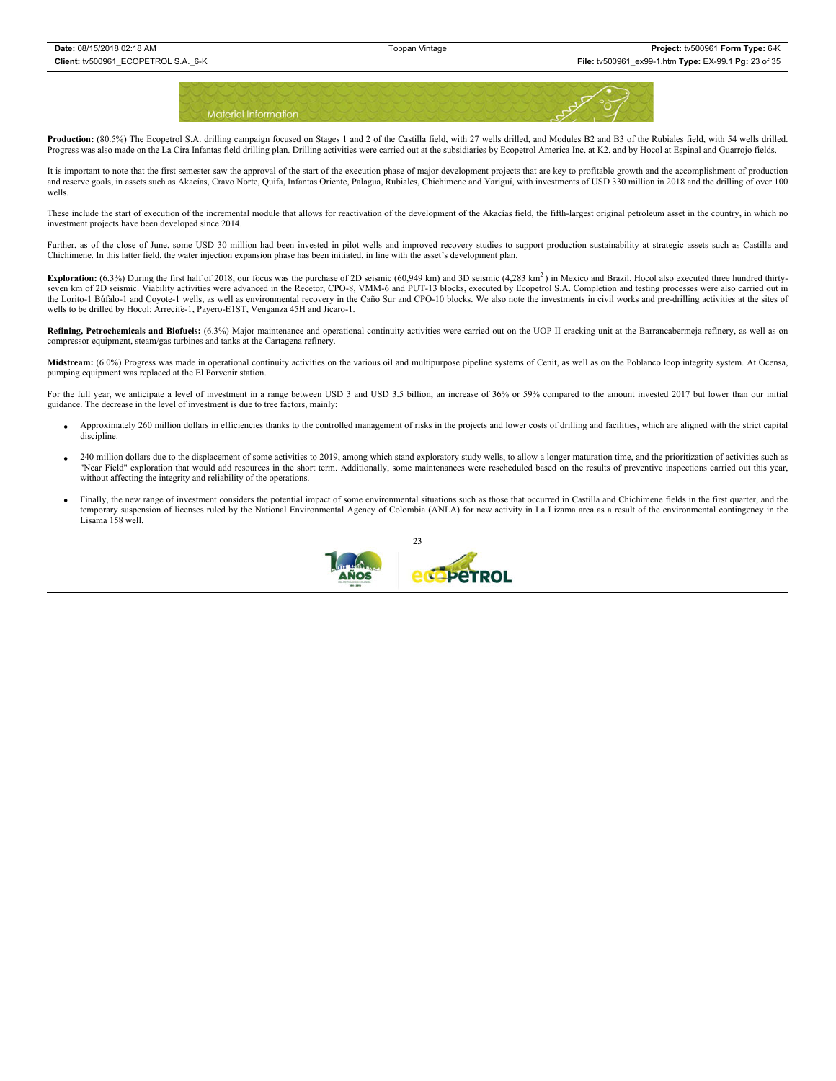

Production: (80.5%) The Ecopetrol S.A. drilling campaign focused on Stages 1 and 2 of the Castilla field, with 27 wells drilled, and Modules B2 and B3 of the Rubiales field, with 54 wells drilled. Progress was also made on the La Cira Infantas field drilling plan. Drilling activities were carried out at the subsidiaries by Ecopetrol America Inc. at K2, and by Hocol at Espinal and Guarrojo fields.

It is important to note that the first semester saw the approval of the start of the execution phase of major development projects that are key to profitable growth and the accomplishment of production and reserve goals, in assets such as Akacías, Cravo Norte, Quifa, Infantas Oriente, Palagua, Rubiales, Chichimene and Yariguí, with investments of USD 330 million in 2018 and the drilling of over 100 wells.

These include the start of execution of the incremental module that allows for reactivation of the development of the Akacías field, the fifth-largest original petroleum asset in the country, in which no investment projects have been developed since 2014.

Further, as of the close of June, some USD 30 million had been invested in pilot wells and improved recovery studies to support production sustainability at strategic assets such as Castilla and Chichimene. In this latter field, the water injection expansion phase has been initiated, in line with the asset's development plan.

Exploration: (6.3%) During the first half of 2018, our focus was the purchase of 2D seismic (60,949 km) and 3D seismic (4,283 km<sup>2</sup>) in Mexico and Brazil. Hocol also executed three hundred thirtyseven km of 2D seismic. Viability activities were advanced in the Recetor, CPO-8, VMM-6 and PUT-13 blocks, executed by Ecopetrol S.A. Completion and testing processes were also carried out in the Lorito-1 Búfalo-1 and Coyote-1 wells, as well as environmental recovery in the Caño Sur and CPO-10 blocks. We also note the investments in civil works and pre-drilling activities at the sites of wells to be drilled by Hocol: Arrecife-1, Payero-E1ST, Venganza 45H and Jicaro-1.

**Refining, Petrochemicals and Biofuels:** (6.3%) Major maintenance and operational continuity activities were carried out on the UOP II cracking unit at the Barrancabermeja refinery, as well as on compressor equipment, steam/gas turbines and tanks at the Cartagena refinery.

**Midstream:** (6.0%) Progress was made in operational continuity activities on the various oil and multipurpose pipeline systems of Cenit, as well as on the Poblanco loop integrity system. At Ocensa, pumping equipment was replaced at the El Porvenir station.

For the full year, we anticipate a level of investment in a range between USD 3 and USD 3.5 billion, an increase of 36% or 59% compared to the amount invested 2017 but lower than our initial guidance. The decrease in the level of investment is due to tree factors, mainly:

- Approximately 260 million dollars in efficiencies thanks to the controlled management of risks in the projects and lower costs of drilling and facilities, which are aligned with the strict capital discipline.
- 240 million dollars due to the displacement of some activities to 2019, among which stand exploratory study wells, to allow a longer maturation time, and the prioritization of activities such as "Near Field" exploration that would add resources in the short term. Additionally, some maintenances were rescheduled based on the results of preventive inspections carried out this year, without affecting the integrity and reliability of the operations.
- Finally, the new range of investment considers the potential impact of some environmental situations such as those that occurred in Castilla and Chichimene fields in the first quarter, and the temporary suspension of licenses ruled by the National Environmental Agency of Colombia (ANLA) for new activity in La Lizama area as a result of the environmental contingency in the Lisama 158 well.

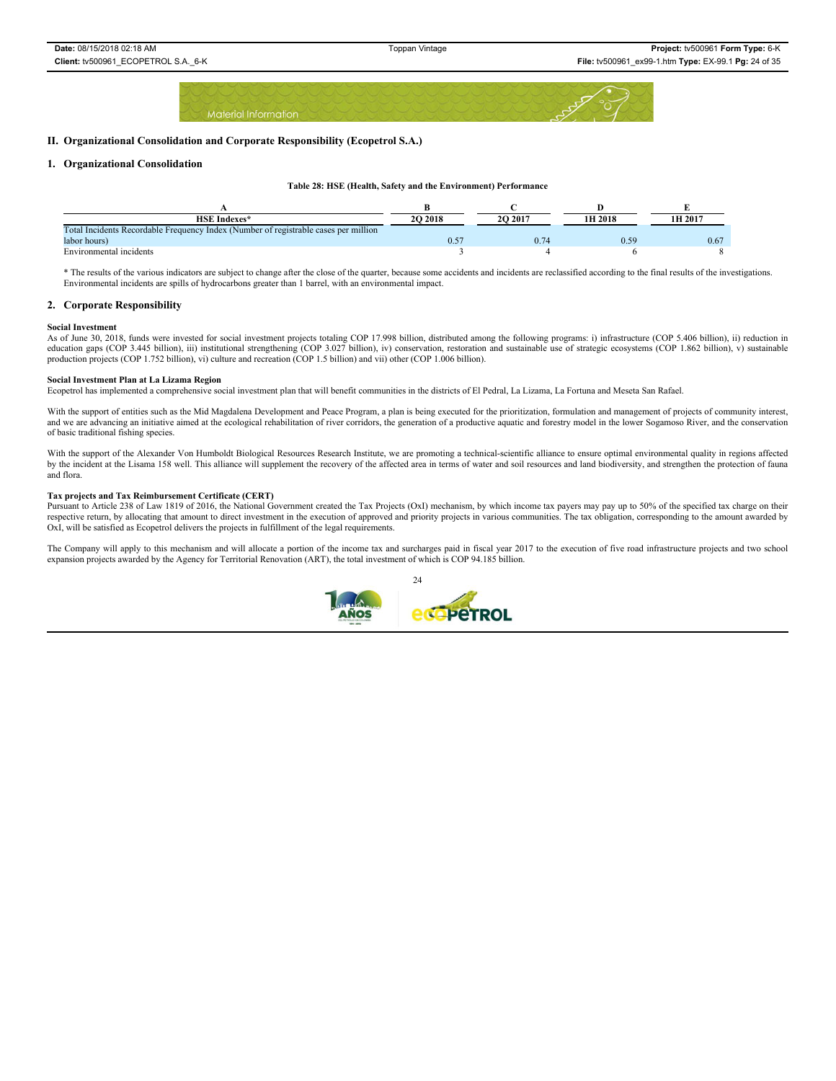### **II. Organizational Consolidation and Corporate Responsibility (Ecopetrol S.A.)**

### **1. Organizational Consolidation**

#### **Table 28: HSE (Health, Safety and the Environment) Performance**

| <b>HSE</b> Indexes*                                                                 | 20 20 18 | 2O 2017 | 1H 2018 | 1H 2017 |
|-------------------------------------------------------------------------------------|----------|---------|---------|---------|
| Total Incidents Recordable Frequency Index (Number of registrable cases per million |          |         |         |         |
| labor hours)                                                                        |          | 0.74    | 0.59    | 0.67    |
| Environmental incidents                                                             |          |         |         |         |

\* The results of the various indicators are subject to change after the close of the quarter, because some accidents and incidents are reclassified according to the final results of the investigations. Environmental incidents are spills of hydrocarbons greater than 1 barrel, with an environmental impact.

### **2. Corporate Responsibility**

#### **Social Investment**

As of June 30, 2018, funds were invested for social investment projects totaling COP 17.998 billion, distributed among the following programs: i) infrastructure (COP 5.406 billion), ii) reduction in education gaps (COP 3.445 billion), iii) institutional strengthening (COP 3.027 billion), iv) conservation, restoration and sustainable use of strategic ecosystems (COP 1.862 billion), v) sustainable production projects (COP 1.752 billion), vi) culture and recreation (COP 1.5 billion) and vii) other (COP 1.006 billion).

#### **Social Investment Plan at La Lizama Region**

Ecopetrol has implemented a comprehensive social investment plan that will benefit communities in the districts of El Pedral, La Lizama, La Fortuna and Meseta San Rafael.

With the support of entities such as the Mid Magdalena Development and Peace Program, a plan is being executed for the prioritization, formulation and management of projects of community interest,<br>and we are advancing an i of basic traditional fishing species.

With the support of the Alexander Von Humboldt Biological Resources Research Institute, we are promoting a technical-scientific alliance to ensure optimal environmental quality in regions affected by the incident at the Lisama 158 well. This alliance will supplement the recovery of the affected area in terms of water and soil resources and land biodiversity, and strengthen the protection of fauna and flora.

#### **Tax projects and Tax Reimbursement Certificate (CERT)**

Pursuant to Article 238 of Law 1819 of 2016, the National Government created the Tax Projects (OxI) mechanism, by which income tax payers may pay up to 50% of the specified tax charge on their respective return, by allocating that amount to direct investment in the execution of approved and priority projects in various communities. The tax obligation, corresponding to the amount awarded by OxI, will be satisfied as Ecopetrol delivers the projects in fulfillment of the legal requirements.

The Company will apply to this mechanism and will allocate a portion of the income tax and surcharges paid in fiscal year 2017 to the execution of five road infrastructure projects and two school expansion projects awarded by the Agency for Territorial Renovation (ART), the total investment of which is COP 94.185 billion.

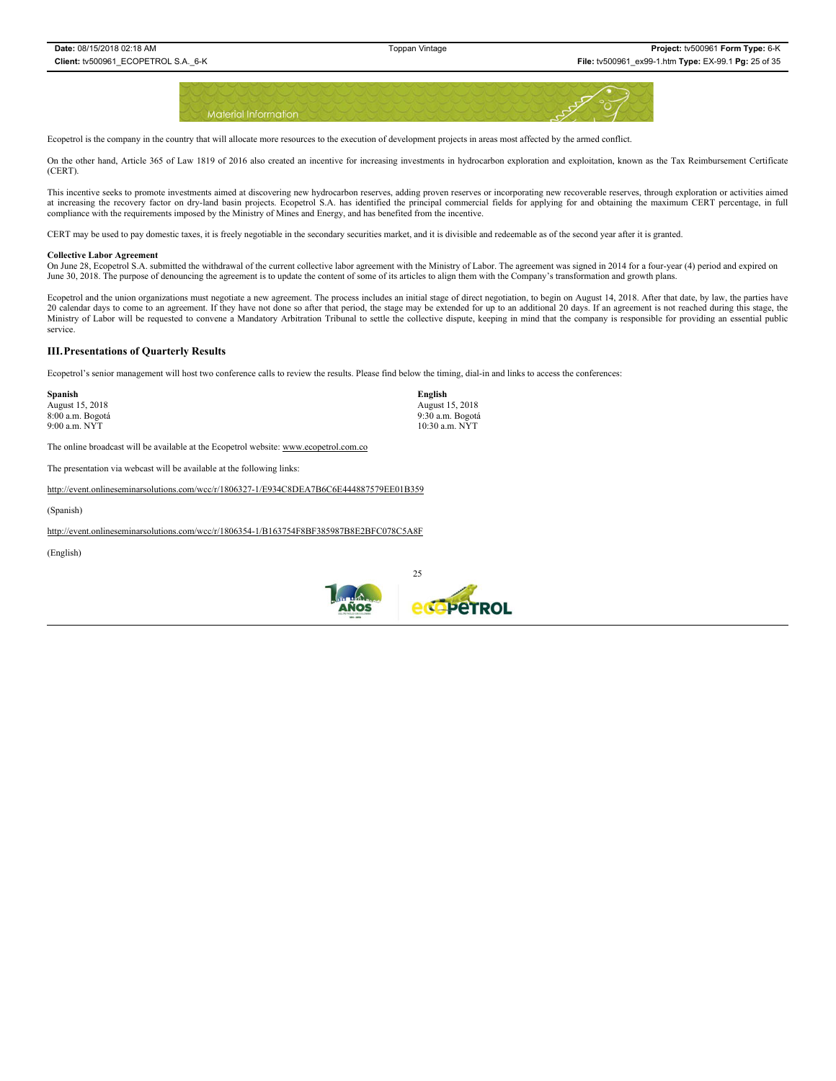

Ecopetrol is the company in the country that will allocate more resources to the execution of development projects in areas most affected by the armed conflict.

On the other hand, Article 365 of Law 1819 of 2016 also created an incentive for increasing investments in hydrocarbon exploration and exploitation, known as the Tax Reimbursement Certificate (CERT).

This incentive seeks to promote investments aimed at discovering new hydrocarbon reserves, adding proven reserves or incorporating new recoverable reserves, through exploration or activities aimed at increasing the recovery factor on dry-land basin projects. Ecopetrol S.A. has identified the principal commercial fields for applying for and obtaining the maximum CERT percentage, in full compliance with the requiremen

CERT may be used to pay domestic taxes, it is freely negotiable in the secondary securities market, and it is divisible and redeemable as of the second year after it is granted.

### **Collective Labor Agreement**

On June 28, Ecopetrol S.A. submitted the withdrawal of the current collective labor agreement with the Ministry of Labor. The agreement was signed in 2014 for a four-year (4) period and expired on June 30, 2018. The purpose of denouncing the agreement is to update the content of some of its articles to align them with the Company's transformation and growth plans.

Ecopetrol and the union organizations must negotiate a new agreement. The process includes an initial stage of direct negotiation, to begin on August 14, 2018. After that date, by law, the parties have 20 calendar days to come to an agreement. If they have not done so after that period, the stage may be extended for up to an additional 20 days. If an agreement is not reached during this stage, the Ministry of Labor will be requested to convene a Mandatory Arbitration Tribunal to settle the collective dispute, keeping in mind that the company is responsible for providing an essential public service.

#### **III.Presentations of Quarterly Results**

Ecopetrol's senior management will host two conference calls to review the results. Please find below the timing, dial-in and links to access the conferences:

| Spanish          | English          |
|------------------|------------------|
| August 15, 2018  | August 15, 2018  |
| 8:00 a.m. Bogotá | 9:30 a.m. Bogotá |
| $9:00$ a.m. NYT  | 10:30 a.m. NYT   |

The online broadcast will be available at the Ecopetrol website: www.ecopetrol.com.co

The presentation via webcast will be available at the following links:

http://event.onlineseminarsolutions.com/wcc/r/1806327-1/E934C8DEA7B6C6E444887579EE01B359

(Spanish)

http://event.onlineseminarsolutions.com/wcc/r/1806354-1/B163754F8BF385987B8E2BFC078C5A8F

(English)

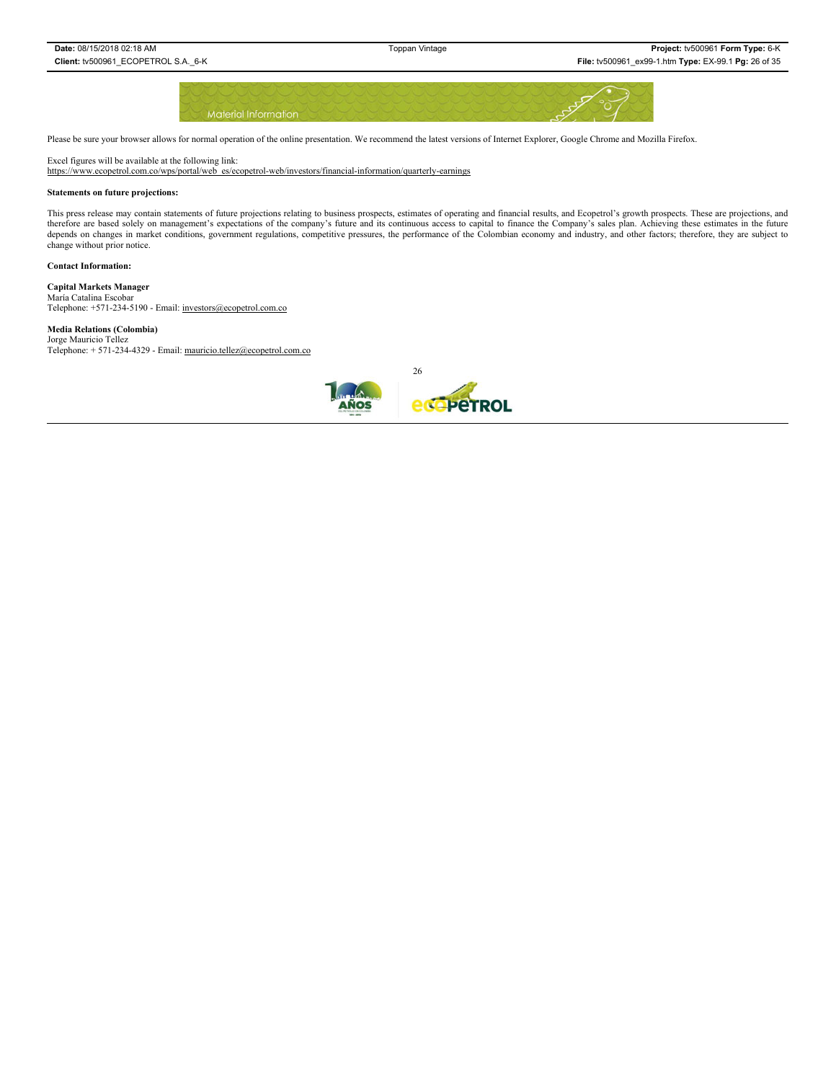

Please be sure your browser allows for normal operation of the online presentation. We recommend the latest versions of Internet Explorer, Google Chrome and Mozilla Firefox.

Excel figures will be available at the following link:

https://www.ecopetrol.com.co/wps/portal/web\_es/ecopetrol-web/investors/financial-information/quarterly-earnings

#### **Statements on future projections:**

This press release may contain statements of future projections relating to business prospects, estimates of operating and financial results, and Ecopetrol's growth prospects. These are projections, and therefore are based solely on management's expectations of the company's future and its continuous access to capital to finance the Company's sales plan. Achieving these estimates in the future depends on changes in market conditions, government regulations, competitive pressures, the performance of the Colombian economy and industry, and other factors; therefore, they are subject to change without prior notice.

#### **Contact Information:**

**Capital Markets Manager**

María Catalina Escobar Telephone: +571-234-5190 - Email: investors@ecopetrol.com.co

# **Media Relations (Colombia)**

Jorge Mauricio Tellez<br>Telephone: + 571-234-4329 - Email: mauricio.tellez@ecopetrol.com.co

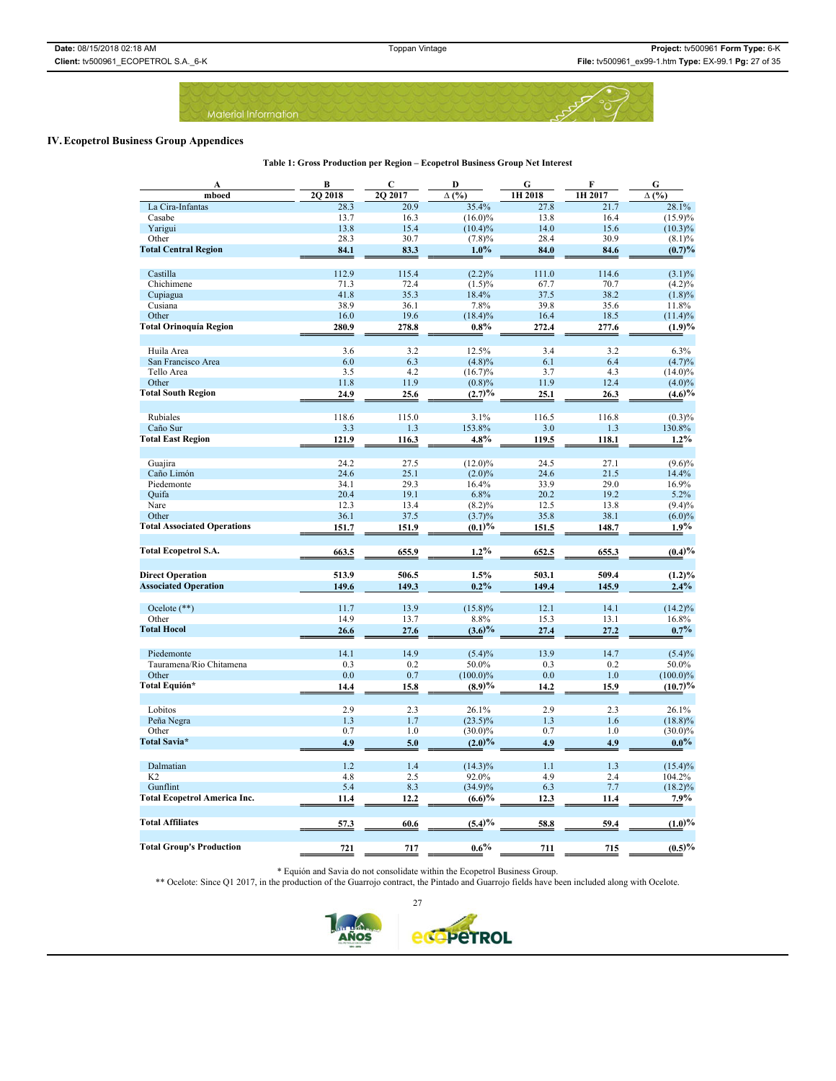**Table 1: Gross Production per Region – Ecopetrol Business Group Net Interest**

Material Information

### **IV. Ecopetrol Business Group Appendices**

A BC DGFGG **mboed 2Q 2018 2Q 2017 ∆ (%) 1H 2018 1H 2017 ∆ (%)** La Cira-Infantas 28.3 20.9 35.4% 27.8 21.7 28.1% Casabe 13.7 16.3 (16.0)% 13.8 16.4 (15.9)% Yarigui 13.8 15.4 (10.4)% 14.0 15.6 (10.3)% Other 28.3 30.7 (7.8)% 28.4 30.9 (8.1)% **Total Central Region 84.1 83.3 1.0% 84.0 84.6 84.6 1.0% 84.6 1.0%** Castilla 112.9 115.4 (2.2)% 111.0 114.6 (3.1)% Chichimene 2001 71.3 72.4 (1.5)% 67.7 70.7 (4.2)% Cupiagua 41.8 35.3 18.4% 37.5 38.2 (1.8)% Cusiana 38.9 36.1 7.8% 39.8 35.6 11.8% Other 16.0 19.6 (18.4)% 16.4 18.5 (11.4)% 16.4 18.5 (11.4)% **16.0** 19.6 (18.4)% 16.4 18.5 (11.4)% 16.4 18.5 (11.4)% 16.4 18.5 (11.4)% 16.4 **277.6** (19)% Huila Area 6.3% 3.6 3.2 12.5% 3.4 3.2 6.3%

| riuna Anca                          | J.V   | $\overline{\phantom{a}}$ | 12.000      | ⊃.⊤   | ے ۔   | 0.370       |
|-------------------------------------|-------|--------------------------|-------------|-------|-------|-------------|
| San Francisco Area                  | 6.0   | 6.3                      | $(4.8)\%$   | 6.1   | 6.4   | (4.7)%      |
| Tello Area                          | 3.5   | 4.2                      | $(16.7)\%$  | 3.7   | 4.3   | $(14.0)\%$  |
| Other                               | 11.8  | 11.9                     | (0.8)%      | 11.9  | 12.4  | $(4.0)\%$   |
| <b>Total South Region</b>           | 24.9  | 25.6                     | (2.7)%      | 25.1  | 26.3  | $(4.6)\%$   |
|                                     |       |                          |             |       |       |             |
| Rubiales                            | 118.6 | 115.0                    | 3.1%        | 116.5 | 116.8 | $(0.3)\%$   |
| Caño Sur                            | 3.3   | 1.3                      | 153.8%      | 3.0   | 1.3   | 130.8%      |
| <b>Total East Region</b>            | 121.9 | 116.3                    | 4.8%        | 119.5 | 118.1 | $1.2\%$     |
|                                     |       |                          |             |       |       |             |
| Guajira                             | 24.2  | 27.5                     | $(12.0)\%$  | 24.5  | 27.1  | $(9.6)\%$   |
| Caño Limón                          | 24.6  | 25.1                     | $(2.0)\%$   | 24.6  | 21.5  | 14.4%       |
| Piedemonte                          | 34.1  | 29.3                     | 16.4%       | 33.9  | 29.0  | 16.9%       |
| Quifa                               | 20.4  | 19.1                     | 6.8%        | 20.2  | 19.2  | 5.2%        |
| Nare                                | 12.3  | 13.4                     | $(8.2)\%$   | 12.5  | 13.8  | $(9.4)\%$   |
| Other                               | 36.1  | 37.5                     | $(3.7)\%$   | 35.8  | 38.1  | $(6.0)\%$   |
| <b>Total Associated Operations</b>  | 151.7 | 151.9                    | (0.1)%      | 151.5 | 148.7 | $1.9\%$     |
|                                     |       |                          |             |       |       |             |
| <b>Total Ecopetrol S.A.</b>         | 663.5 | 655.9                    | $1.2\%$     | 652.5 | 655.3 | (0.4)%      |
|                                     |       |                          |             |       |       |             |
| <b>Direct Operation</b>             | 513.9 | 506.5                    | 1.5%        | 503.1 | 509.4 | $(1.2)\%$   |
| <b>Associated Operation</b>         | 149.6 | 149.3                    | $0.2\%$     | 149.4 | 145.9 | 2.4%        |
|                                     |       |                          |             |       |       |             |
| Ocelote $(**)$                      | 11.7  | 13.9                     | $(15.8)\%$  | 12.1  | 14.1  | $(14.2)\%$  |
| Other                               | 14.9  | 13.7                     | 8.8%        | 15.3  | 13.1  | 16.8%       |
| <b>Total Hocol</b>                  | 26.6  | 27.6                     | $(3.6)\%$   | 27.4  | 27.2  | $0.7\%$     |
|                                     |       |                          |             |       |       |             |
| Piedemonte                          | 14.1  | 14.9                     | $(5.4)\%$   | 13.9  | 14.7  | $(5.4)\%$   |
| Tauramena/Rio Chitamena             | 0.3   | 0.2                      | 50.0%       | 0.3   | 0.2   | 50.0%       |
| Other                               | 0.0   | 0.7                      | $(100.0)\%$ | 0.0   | 1.0   | $(100.0)\%$ |
| Total Equión*                       | 14.4  | 15.8                     | (8.9)%      | 14.2  | 15.9  | (10.7)%     |
|                                     |       |                          |             |       |       |             |
| Lobitos                             | 2.9   | 2.3                      | 26.1%       | 2.9   | 2.3   | 26.1%       |
| Peña Negra                          | 1.3   | 1.7                      | $(23.5)\%$  | 1.3   | 1.6   | $(18.8)\%$  |
| Other                               | 0.7   | 1.0                      | $(30.0)\%$  | 0.7   | 1.0   | $(30.0)\%$  |
| Total Savia*                        | 4.9   | 5.0                      | $(2.0)\%$   | 4.9   | 4.9   | $0.0\%$     |
|                                     |       |                          |             |       |       |             |
| Dalmatian                           | 1.2   | 1.4                      | $(14.3)\%$  | 1.1   | 1.3   | $(15.4)\%$  |
| K <sub>2</sub>                      | 4.8   | 2.5                      | 92.0%       | 4.9   | 2.4   | 104.2%      |
| Gunflint                            | 5.4   | 8.3                      | $(34.9)\%$  | 6.3   | 7.7   | $(18.2)\%$  |
| <b>Total Ecopetrol America Inc.</b> | 11.4  | 12.2                     | (6.6)%      | 12.3  | 11.4  | 7.9%        |
|                                     |       |                          |             |       |       |             |
| <b>Total Affiliates</b>             | 57.3  | 60.6                     | (5.4)%      | 58.8  | 59.4  | (1.0)%      |
|                                     |       |                          |             |       |       |             |
|                                     |       |                          |             |       |       |             |
| <b>Total Group's Production</b>     | 721   | 717                      | $0.6\%$     | 711   | 715   | (0.5)%      |

\* Equión and Savia do not consolidate within the Ecopetrol Business Group.

\*\* Ocelote: Since Q1 2017, in the production of the Guarrojo contract, the Pintado and Guarrojo fields have been included along with Ocelote.

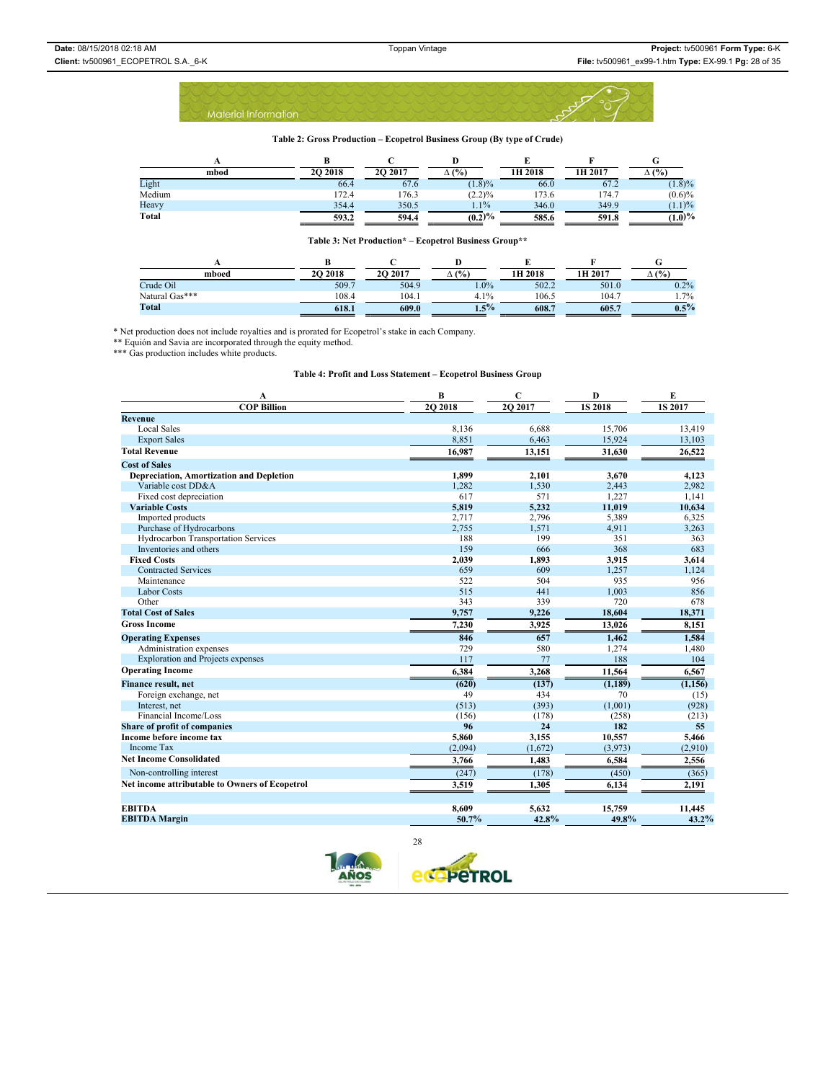#### **Table 2: Gross Production – Ecopetrol Business Group (By type of Crude)**

| mbod   | <b>2O 2018</b> | <b>2O 2017</b> | (%)       | 1H 2018 | 1H 2017 | $\Delta$ (%) |
|--------|----------------|----------------|-----------|---------|---------|--------------|
| Light  | 66.4           | 67.6           | $(1.8)\%$ | 66.0    | 67.2    | (1.8)%       |
| Medium | 172.4          | 176.3          | (2.2)%    | 173.6   | 174.7   | $(0.6)\%$    |
| Heavy  | 354.4          | 350.5          | $1.1\%$   | 346.0   | 349.9   | (1.1)%       |
| Total  | 593.2          | 594.4          | (0.2)%    | 585.6   | 591.8   | $(1.0)\%$    |

### **Table 3: Net Production\* – Ecopetrol Business Group\*\***

| mboed          | 20 20 18 | <b>2O 2017</b> | (%)     | 1H 2018 | 1H 2017 | (%)<br>$\Delta$ ( |
|----------------|----------|----------------|---------|---------|---------|-------------------|
| Crude Oil      | 509.7    | 504.9          | $0\%$   | 502.2   | 501.0   | $0.2\%$           |
| Natural Gas*** | 108.4    | 104.1          | 4.1%    | 106.5   | 104.7   | $1.7\%$           |
| <b>Total</b>   | 618.1    | 609.0          | $1.5\%$ | 608.7   | 605.7   | $0.5\%$           |

\* Net production does not include royalties and is prorated for Ecopetrol's stake in each Company.

\*\* Equión and Savia are incorporated through the equity method. \*\*\* Gas production includes white products.

| A                                               | B        | C       | D             | E              |  |  |
|-------------------------------------------------|----------|---------|---------------|----------------|--|--|
| <b>COP Billion</b>                              | 20 20 18 | 2Q 2017 | <b>1S2018</b> | <b>1S 2017</b> |  |  |
| <b>Revenue</b>                                  |          |         |               |                |  |  |
| <b>Local Sales</b>                              | 8,136    | 6,688   | 15,706        | 13,419         |  |  |
| <b>Export Sales</b>                             | 8,851    | 6,463   | 15,924        | 13,103         |  |  |
| <b>Total Revenue</b>                            | 16,987   | 13,151  | 31,630        | 26,522         |  |  |
| <b>Cost of Sales</b>                            |          |         |               |                |  |  |
| <b>Depreciation, Amortization and Depletion</b> | 1,899    | 2,101   | 3,670         | 4.123          |  |  |
| Variable cost DD&A                              | 1,282    | 1,530   | 2,443         | 2,982          |  |  |
| Fixed cost depreciation                         | 617      | 571     | 1,227         | 1,141          |  |  |
| <b>Variable Costs</b>                           | 5,819    | 5,232   | 11,019        | 10,634         |  |  |
| Imported products                               | 2,717    | 2,796   | 5,389         | 6,325          |  |  |
| Purchase of Hydrocarbons                        | 2,755    | 1,571   | 4,911         | 3,263          |  |  |
| Hydrocarbon Transportation Services             | 188      | 199     | 351           | 363            |  |  |
| Inventories and others                          | 159      | 666     | 368           | 683            |  |  |
| <b>Fixed Costs</b>                              | 2,039    | 1,893   | 3,915         | 3,614          |  |  |
| <b>Contracted Services</b>                      | 659      | 609     | 1,257         | 1,124          |  |  |
| Maintenance                                     | 522      | 504     | 935           | 956            |  |  |
| <b>Labor Costs</b>                              | 515      | 441     | 1,003         | 856            |  |  |
| Other                                           | 343      | 339     | 720           | 678            |  |  |
| <b>Total Cost of Sales</b>                      | 9,757    | 9,226   | 18,604        | 18,371         |  |  |
| <b>Gross Income</b>                             | 7,230    | 3,925   | 13,026        | 8,151          |  |  |
| <b>Operating Expenses</b>                       | 846      | 657     | 1,462         | 1,584          |  |  |
| Administration expenses                         | 729      | 580     | 1,274         | 1,480          |  |  |
| <b>Exploration and Projects expenses</b>        | 117      | 77      | 188           | 104            |  |  |
| <b>Operating Income</b>                         | 6,384    | 3,268   | 11,564        | 6,567          |  |  |
| <b>Finance result, net</b>                      | (620)    | (137)   | (1, 189)      | (1, 156)       |  |  |
| Foreign exchange, net                           | 49       | 434     | 70            | (15)           |  |  |
| Interest, net                                   | (513)    | (393)   | (1,001)       | (928)          |  |  |
| Financial Income/Loss                           | (156)    | (178)   | (258)         | (213)          |  |  |
| Share of profit of companies                    | 96       | 24      | 182           | 55             |  |  |
| Income before income tax                        | 5,860    | 3,155   | 10,557        | 5,466          |  |  |
| <b>Income Tax</b>                               | (2,094)  | (1,672) | (3,973)       | (2,910)        |  |  |
| <b>Net Income Consolidated</b>                  | 3,766    | 1,483   | 6,584         | 2,556          |  |  |
| Non-controlling interest                        | (247)    | (178)   | (450)         | (365)          |  |  |
| Net income attributable to Owners of Ecopetrol  | 3,519    | 1,305   | 6,134         | 2,191          |  |  |
|                                                 |          |         |               |                |  |  |
| <b>EBITDA</b>                                   | 8,609    | 5,632   | 15,759        | 11,445         |  |  |
| <b>EBITDA</b> Margin                            | 50.7%    | 42.8%   | 49.8%         | 43.2%          |  |  |
|                                                 |          |         |               |                |  |  |

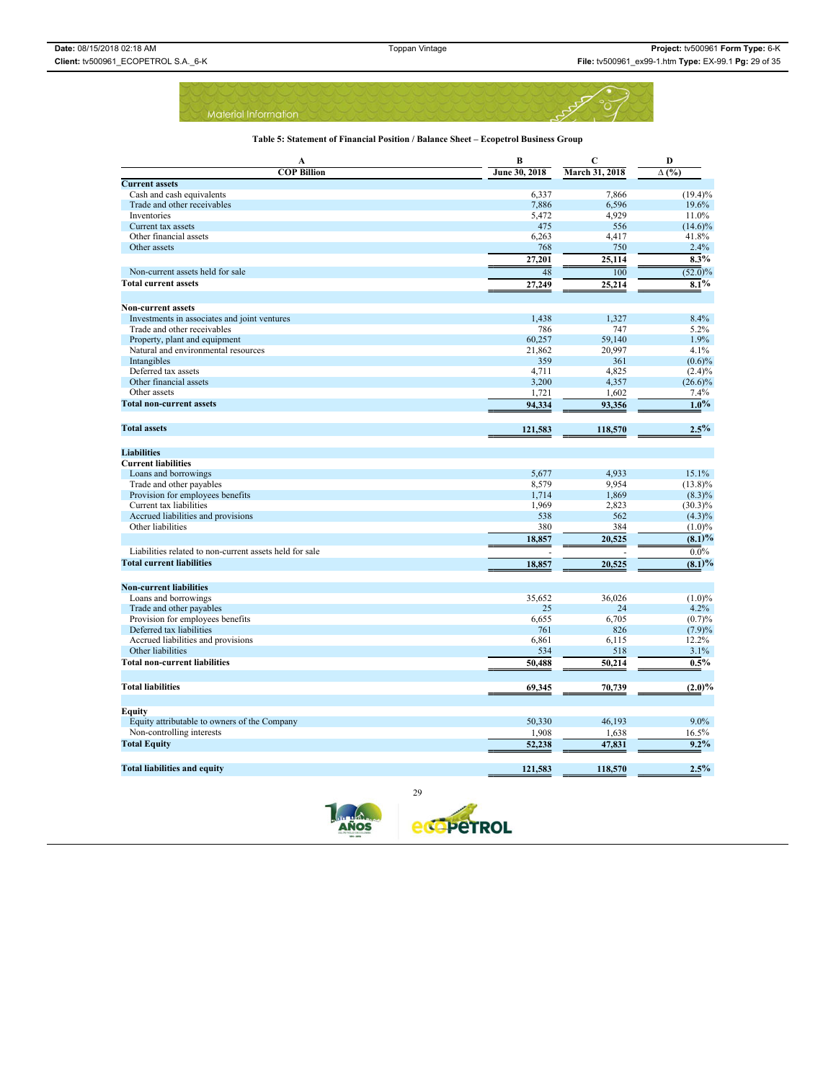### **Table 5: Statement of Financial Position / Balance Sheet – Ecopetrol Business Group**

| A                                                       | B             | $\mathbf C$      | D            |
|---------------------------------------------------------|---------------|------------------|--------------|
| <b>COP Billion</b>                                      | June 30, 2018 | March 31, 2018   | $\Delta$ (%) |
| <b>Current assets</b>                                   |               |                  |              |
| Cash and cash equivalents                               | 6,337         | 7,866            | $(19.4)\%$   |
| Trade and other receivables                             | 7,886         | 6,596            | 19.6%        |
| Inventories                                             | 5,472         | 4,929            | 11.0%        |
| Current tax assets                                      | 475           | 556              | $(14.6)\%$   |
| Other financial assets                                  | 6,263         | 4,417            | 41.8%        |
| Other assets                                            | 768           | 750              | 2.4%         |
|                                                         | 27,201        | 25,114           | $8.3\%$      |
| Non-current assets held for sale                        | 48            | $\overline{100}$ | $(52.0)\%$   |
| <b>Total current assets</b>                             | 27,249        | 25,214           | $8.1\%$      |
|                                                         |               |                  |              |
| <b>Non-current assets</b>                               |               |                  |              |
| Investments in associates and joint ventures            | 1,438         | 1.327            | 8.4%         |
| Trade and other receivables                             | 786           | 747              | 5.2%         |
| Property, plant and equipment                           | 60,257        | 59,140           | 1.9%         |
| Natural and environmental resources                     | 21,862        | 20,997           | 4.1%         |
| Intangibles                                             | 359           | 361              | $(0.6)\%$    |
| Deferred tax assets                                     | 4,711         | 4,825            | $(2.4)\%$    |
| Other financial assets                                  | 3,200         | 4,357            | $(26.6)\%$   |
| Other assets                                            | 1,721         | 1,602            | 7.4%         |
| <b>Total non-current assets</b>                         | 94,334        | 93,356           | $1.0\%$      |
| <b>Total assets</b>                                     | 121,583       | 118,570          | 2.5%         |
|                                                         |               |                  |              |
| <b>Liabilities</b>                                      |               |                  |              |
| <b>Current liabilities</b>                              |               |                  |              |
| Loans and borrowings                                    | 5,677         | 4,933            | 15.1%        |
| Trade and other payables                                | 8,579         | 9,954            | $(13.8)\%$   |
| Provision for employees benefits                        | 1,714         | 1,869            | $(8.3)\%$    |
| Current tax liabilities                                 | 1,969         | 2,823            | $(30.3)\%$   |
| Accrued liabilities and provisions                      | 538           | 562              | $(4.3)\%$    |
| Other liabilities                                       | 380           | 384              | $(1.0)\%$    |
|                                                         | 18,857        | 20,525           | (8.1)%       |
| Liabilities related to non-current assets held for sale |               |                  | $0.0\%$      |
| <b>Total current liabilities</b>                        | 18,857        | 20,525           | (8.1)%       |
|                                                         |               |                  |              |
| <b>Non-current liabilities</b>                          |               |                  |              |
| Loans and borrowings                                    | 35.652        | 36.026           | $(1.0)\%$    |
| Trade and other payables                                | 25            | 24               | 4.2%         |
| Provision for employees benefits                        | 6,655         | 6,705            | (0.7)%       |
| Deferred tax liabilities                                | 761           | 826              | (7.9)%       |
| Accrued liabilities and provisions                      | 6,861         | 6,115            | 12.2%        |
| Other liabilities                                       | 534           | 518              | 3.1%         |
| <b>Total non-current liabilities</b>                    | 50,488        | 50,214           | $0.5\%$      |
| <b>Total liabilities</b>                                |               |                  |              |
|                                                         | 69,345        | 70,739           | $(2.0)\%$    |
| Equity                                                  |               |                  |              |
| Equity attributable to owners of the Company            | 50,330        | 46,193           | 9.0%         |
| Non-controlling interests                               | 1,908         | 1,638            | 16.5%        |
| <b>Total Equity</b>                                     | 52,238        | 47,831           | 9.2%         |
|                                                         |               |                  |              |
|                                                         |               |                  | 2.5%         |
| <b>Total liabilities and equity</b><br>29               | 121,583       | 118,570          |              |

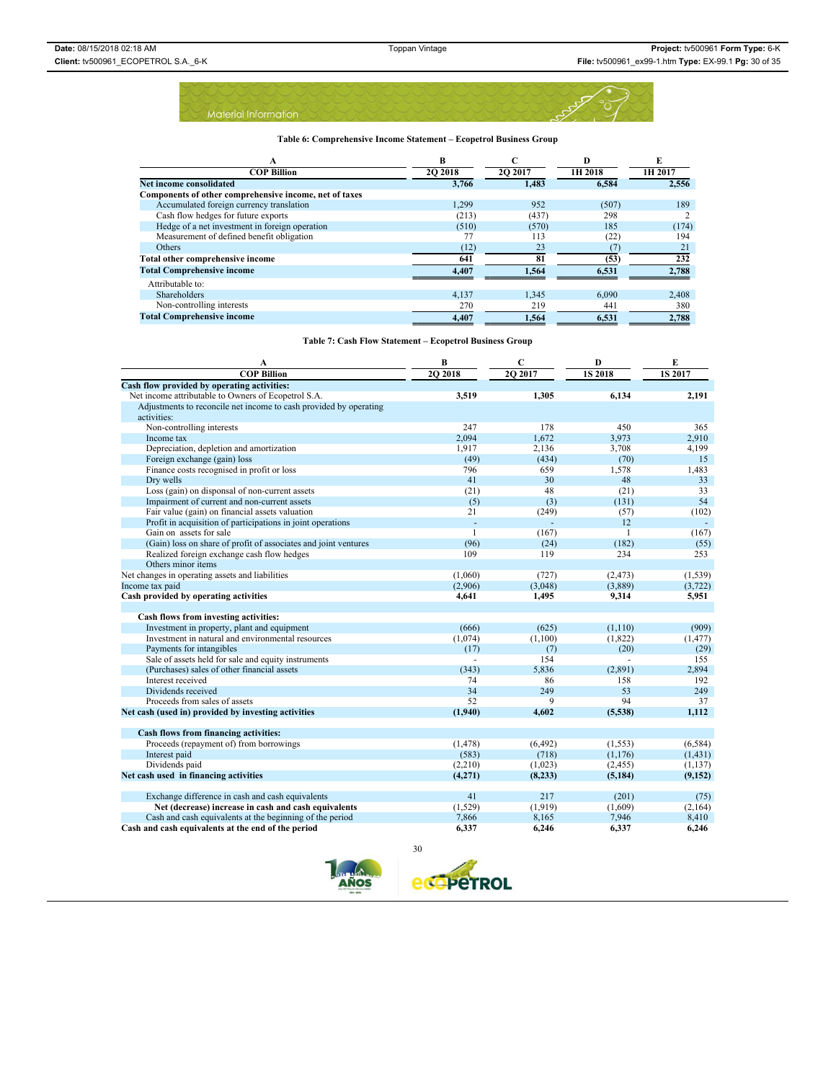

| А                                                      | R              |         | D       | E       |
|--------------------------------------------------------|----------------|---------|---------|---------|
| <b>COP Billion</b>                                     | <b>2O 2018</b> | 2O 2017 | 1H 2018 | 1H 2017 |
| Net income consolidated                                | 3.766          | 1.483   | 6.584   | 2.556   |
| Components of other comprehensive income, net of taxes |                |         |         |         |
| Accumulated foreign currency translation               | 1,299          | 952     | (507)   | 189     |
| Cash flow hedges for future exports                    | (213)          | (437)   | 298     |         |
| Hedge of a net investment in foreign operation         | (510)          | (570)   | 185     | (174)   |
| Measurement of defined benefit obligation              |                | 113     | (22)    | 194     |
| <b>Others</b>                                          | (12)           | 23      |         | 21      |
| Total other comprehensive income                       | 641            | 81      | (53)    | 232     |
| <b>Total Comprehensive income</b>                      | 4.407          | 1.564   | 6,531   | 2,788   |
| Attributable to:                                       |                |         |         |         |
| Shareholders                                           | 4,137          | 1.345   | 6.090   | 2,408   |
| Non-controlling interests                              | 270            | 219     | 441     | 380     |
| <b>Total Comprehensive income</b>                      | 4,407          | 1,564   | 6,531   | 2,788   |

### **Table 7: Cash Flow Statement – Ecopetrol Business Group**

| A                                                                 | B            | $\mathbf C$ | $\mathbf{D}$  | E              |
|-------------------------------------------------------------------|--------------|-------------|---------------|----------------|
| <b>COP Billion</b>                                                | 20 20 18     | 20 20 17    | <b>1S2018</b> | <b>1S 2017</b> |
| Cash flow provided by operating activities:                       |              |             |               |                |
| Net income attributable to Owners of Ecopetrol S.A.               | 3,519        | 1,305       | 6,134         | 2.191          |
| Adjustments to reconcile net income to cash provided by operating |              |             |               |                |
| activities:                                                       |              |             |               |                |
| Non-controlling interests                                         | 247          | 178         | 450           | 365            |
| Income tax                                                        | 2.094        | 1,672       | 3,973         | 2,910          |
| Depreciation, depletion and amortization                          | 1,917        | 2,136       | 3,708         | 4,199          |
| Foreign exchange (gain) loss                                      | (49)         | (434)       | (70)          | 15             |
| Finance costs recognised in profit or loss                        | 796          | 659         | 1,578         | 1,483          |
| Dry wells                                                         | 41           | 30          | 48            | 33             |
| Loss (gain) on disponsal of non-current assets                    | (21)         | 48          | (21)          | 33             |
| Impairment of current and non-current assets                      | (5)          | (3)         | (131)         | 54             |
| Fair value (gain) on financial assets valuation                   | 21           | (249)       | (57)          | (102)          |
| Profit in acquisition of participations in joint operations       | ä,           | ÷.          | 12            |                |
| Gain on assets for sale                                           | $\mathbf{1}$ | (167)       | $\mathbf{1}$  | (167)          |
| (Gain) loss on share of profit of associates and joint ventures   | (96)         | (24)        | (182)         | (55)           |
| Realized foreign exchange cash flow hedges                        | 109          | 119         | 234           | 253            |
| Others minor items                                                |              |             |               |                |
| Net changes in operating assets and liabilities                   | (1,060)      | (727)       | (2, 473)      | (1, 539)       |
| Income tax paid                                                   | (2,906)      | (3,048)     | (3,889)       | (3, 722)       |
| Cash provided by operating activities                             | 4,641        | 1,495       | 9,314         | 5,951          |
|                                                                   |              |             |               |                |
| Cash flows from investing activities:                             |              |             |               |                |
| Investment in property, plant and equipment                       | (666)        | (625)       | (1,110)       | (909)          |
| Investment in natural and environmental resources                 | (1,074)      | (1,100)     | (1,822)       | (1, 477)       |
| Payments for intangibles                                          | (17)         | (7)         | (20)          | (29)           |
| Sale of assets held for sale and equity instruments               |              | 154         |               | 155            |
| (Purchases) sales of other financial assets                       | (343)        | 5,836       | (2,891)       | 2,894          |
| Interest received                                                 | 74           | 86          | 158           | 192            |
| Dividends received                                                | 34           | 249         | 53            | 249            |
| Proceeds from sales of assets                                     | 52           | 9           | 94            | 37             |
| Net cash (used in) provided by investing activities               | (1,940)      | 4,602       | (5,538)       | 1,112          |
|                                                                   |              |             |               |                |
| Cash flows from financing activities:                             |              |             |               |                |
| Proceeds (repayment of) from borrowings                           | (1, 478)     | (6, 492)    | (1, 553)      | (6, 584)       |
| Interest paid                                                     | (583)        | (718)       | (1, 176)      | (1, 431)       |
| Dividends paid                                                    | (2,210)      | (1,023)     | (2, 455)      | (1, 137)       |
| Net cash used in financing activities                             | (4,271)      | (8,233)     | (5, 184)      | (9, 152)       |
|                                                                   |              |             |               |                |
| Exchange difference in cash and cash equivalents                  | 41           | 217         | (201)         | (75)           |
| Net (decrease) increase in cash and cash equivalents              | (1,529)      | (1,919)     | (1,609)       | (2,164)        |
| Cash and cash equivalents at the beginning of the period          | 7,866        | 8,165       | 7,946         | 8,410          |
| Cash and cash equivalents at the end of the period                | 6,337        | 6,246       | 6,337         | 6,246          |

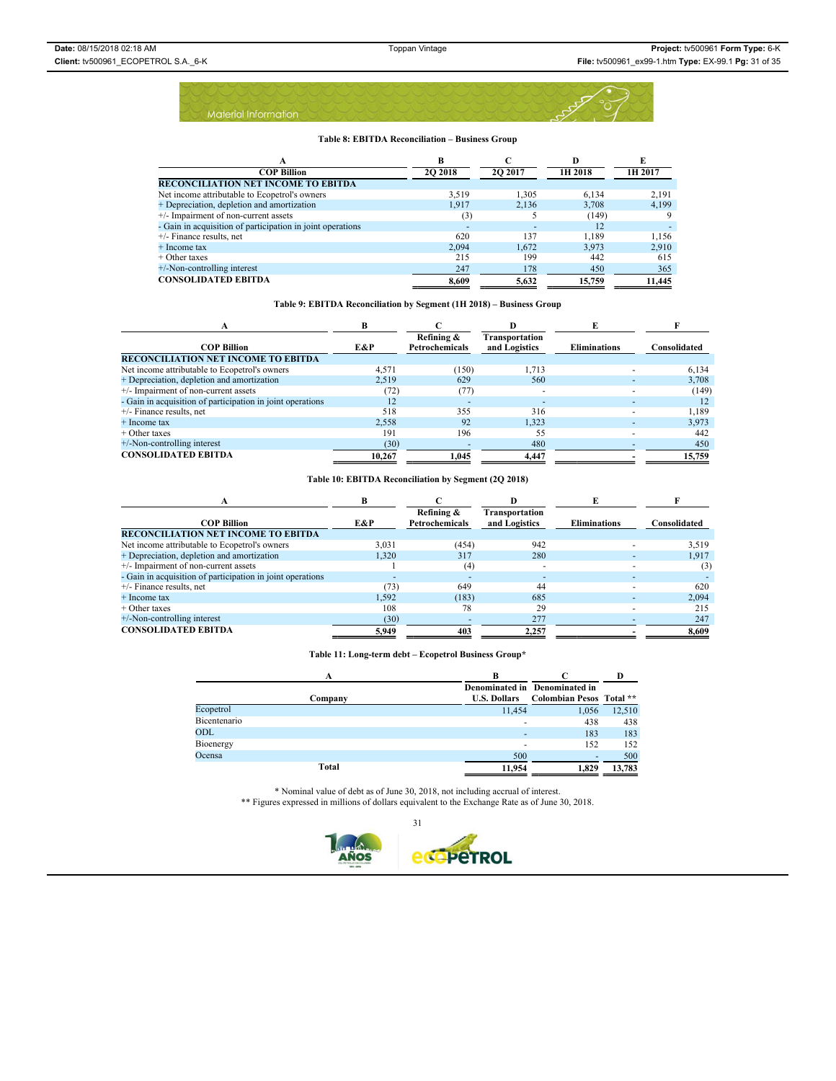#### **Table 8: EBITDA Reconciliation – Business Group**

| А                                                          | в        |                          | D       | E       |
|------------------------------------------------------------|----------|--------------------------|---------|---------|
| <b>COP Billion</b>                                         | 20 20 18 | 2O 2017                  | 1H 2018 | 1H 2017 |
| RECONCILIATION NET INCOME TO EBITDA                        |          |                          |         |         |
| Net income attributable to Ecopetrol's owners              | 3.519    | 1.305                    | 6,134   | 2,191   |
| + Depreciation, depletion and amortization                 | 1.917    | 2,136                    | 3,708   | 4,199   |
| +/- Impairment of non-current assets                       | (3)      |                          | (149)   |         |
| - Gain in acquisition of participation in joint operations |          | $\overline{\phantom{a}}$ | 12      |         |
| $+/-$ Finance results, net                                 | 620      | 137                      | 1.189   | 1.156   |
| + Income tax                                               | 2.094    | 1.672                    | 3.973   | 2,910   |
| $+$ Other taxes                                            | 215      | 199                      | 442     | 615     |
| +/-Non-controlling interest                                | 247      | 178                      | 450     | 365     |
| <b>CONSOLIDATED EBITDA</b>                                 | 8.609    | 5.632                    | 15,759  | 11.445  |

### **Table 9: EBITDA Reconciliation by Segment (1H 2018) – Business Group**

| А                                                          | R      |                              |                                 |                     |              |
|------------------------------------------------------------|--------|------------------------------|---------------------------------|---------------------|--------------|
| <b>COP Billion</b>                                         | E&P    | Refining &<br>Petrochemicals | Transportation<br>and Logistics | <b>Eliminations</b> | Consolidated |
| <b>RECONCILIATION NET INCOME TO EBITDA</b>                 |        |                              |                                 |                     |              |
| Net income attributable to Ecopetrol's owners              | 4.571  | (150)                        | 1,713                           |                     | 6,134        |
| + Depreciation, depletion and amortization                 | 2.519  | 629                          | 560                             |                     | 3,708        |
| +/- Impairment of non-current assets                       | (72)   | (77)                         | $\overline{\phantom{a}}$        |                     | (149)        |
| - Gain in acquisition of participation in joint operations | 12     |                              |                                 |                     | 12           |
| $+/-$ Finance results, net                                 | 518    | 355                          | 316                             |                     | 1,189        |
| + Income tax                                               | 2.558  | 92                           | 1.323                           |                     | 3.973        |
| $+$ Other taxes                                            | 191    | 196                          | 55                              |                     | 442          |
| $+/-$ Non-controlling interest                             | (30)   |                              | 480                             |                     | 450          |
| <b>CONSOLIDATED EBITDA</b>                                 | 10.267 | 1.045                        | 4.447                           |                     | 15,759       |

### **Table 10: EBITDA Reconciliation by Segment (2Q 2018)**

|                                                            | R     |                              |                                 |                     |              |  |  |
|------------------------------------------------------------|-------|------------------------------|---------------------------------|---------------------|--------------|--|--|
| <b>COP Billion</b>                                         | E&P   | Refining &<br>Petrochemicals | Transportation<br>and Logistics | <b>Eliminations</b> | Consolidated |  |  |
| <b>RECONCILIATION NET INCOME TO EBITDA</b>                 |       |                              |                                 |                     |              |  |  |
| Net income attributable to Ecopetrol's owners              | 3,031 | (454)                        | 942                             |                     | 3,519        |  |  |
| + Depreciation, depletion and amortization                 | 1.320 | 317                          | 280                             |                     | 1,917        |  |  |
| +/- Impairment of non-current assets                       |       | $^{(4)}$                     |                                 |                     | (3)          |  |  |
| - Gain in acquisition of participation in joint operations |       | $\overline{\phantom{a}}$     |                                 |                     |              |  |  |
| $+/-$ Finance results, net                                 | (73)  | 649                          | 44                              |                     | 620          |  |  |
| + Income tax                                               | 1.592 | (183)                        | 685                             |                     | 2.094        |  |  |
| $+$ Other taxes                                            | 108   | 78                           | 29                              |                     | 215          |  |  |
| $+/-$ Non-controlling interest                             | (30)  |                              | 277                             |                     | 247          |  |  |
| <b>CONSOLIDATED EBITDA</b>                                 | 5.949 | 403                          | 2,257                           |                     | 8,609        |  |  |

### **Table 11: Long-term debt – Ecopetrol Business Group\***

|              | А       | В                   |                                                           |        |
|--------------|---------|---------------------|-----------------------------------------------------------|--------|
|              | Company | <b>U.S. Dollars</b> | Denominated in Denominated in<br>Colombian Pesos Total ** |        |
| Ecopetrol    |         | 11.454              | 1,056                                                     | 12,510 |
| Bicentenario |         |                     | 438                                                       | 438    |
| ODL          |         |                     | 183                                                       | 183    |
| Bioenergy    |         | ۰                   | 152                                                       | 152    |
| Ocensa       |         | 500                 | ٠                                                         | 500    |
|              | Total   | 11.954              | 1.829                                                     | 13.783 |

\* Nominal value of debt as of June 30, 2018, not including accrual of interest. \*\* Figures expressed in millions of dollars equivalent to the Exchange Rate as of June 30, 2018.

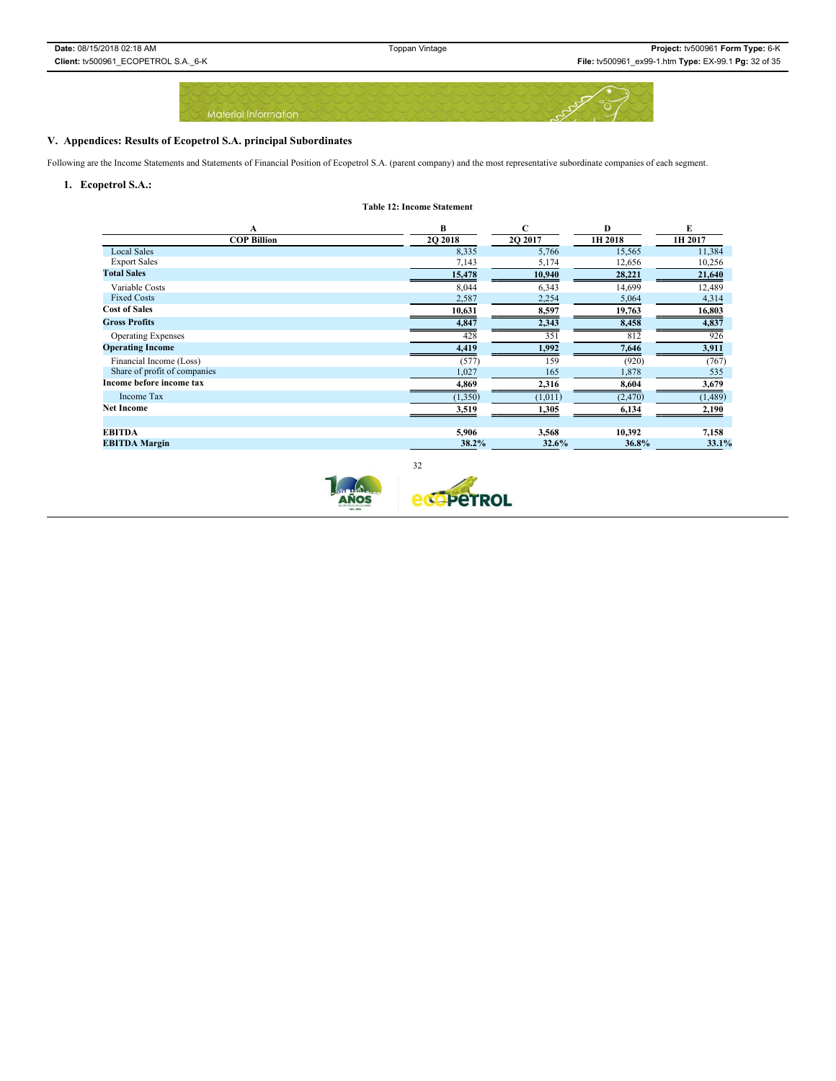

**Table 12: Income Statement**

# **V. Appendices: Results of Ecopetrol S.A. principal Subordinates**

Following are the Income Statements and Statements of Financial Position of Ecopetrol S.A. (parent company) and the most representative subordinate companies of each segment.

### **1. Ecopetrol S.A.:**

|                              | B              | C        | Ð        | E       |
|------------------------------|----------------|----------|----------|---------|
| A<br><b>COP Billion</b>      | <b>2O 2018</b> | 20 20 17 | 1H 2018  | 1H 2017 |
| <b>Local Sales</b>           | 8,335          | 5,766    | 15,565   | 11,384  |
| <b>Export Sales</b>          | 7,143          | 5,174    | 12,656   | 10,256  |
| <b>Total Sales</b>           | 15,478         | 10,940   | 28,221   | 21,640  |
| Variable Costs               | 8,044          | 6,343    | 14,699   | 12,489  |
| <b>Fixed Costs</b>           | 2,587          | 2,254    | 5,064    | 4,314   |
| <b>Cost of Sales</b>         | 10,631         | 8,597    | 19,763   | 16,803  |
| <b>Gross Profits</b>         | 4,847          | 2,343    | 8,458    | 4,837   |
| <b>Operating Expenses</b>    | 428            | 351      | 812      | 926     |
| <b>Operating Income</b>      | 4,419          | 1,992    | 7,646    | 3,911   |
| Financial Income (Loss)      | (577)          | 159      | (920)    | (767)   |
| Share of profit of companies | 1,027          | 165      | 1,878    | 535     |
| Income before income tax     | 4,869          | 2,316    | 8,604    | 3,679   |
| <b>Income Tax</b>            | (1, 350)       | (1,011)  | (2, 470) | (1,489) |
| Net Income                   | 3,519          | 1,305    | 6,134    | 2,190   |
|                              |                |          |          |         |
| EBITDA                       | 5,906          | 3,568    | 10,392   | 7,158   |
| <b>EBITDA Margin</b>         | 38.2%          | 32.6%    | 36.8%    | 33.1%   |
|                              |                |          |          |         |

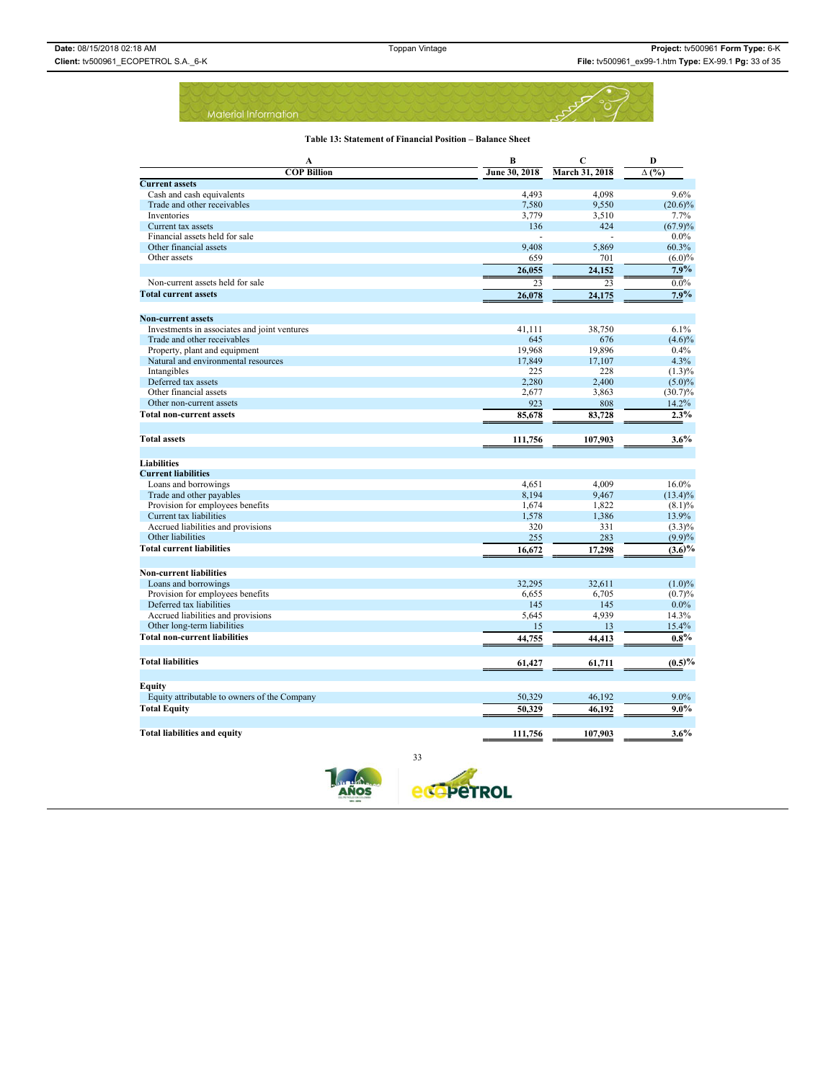|  |                      |  |  |  |  |  |  |  |  | the property of the state of the control of the state of the state of the state of the state of the state of the |  |  |  |  |  |  |  |
|--|----------------------|--|--|--|--|--|--|--|--|------------------------------------------------------------------------------------------------------------------|--|--|--|--|--|--|--|
|  | Material Information |  |  |  |  |  |  |  |  |                                                                                                                  |  |  |  |  |  |  |  |
|  |                      |  |  |  |  |  |  |  |  |                                                                                                                  |  |  |  |  |  |  |  |

### **Table 13: Statement of Financial Position – Balance Sheet**

| A                                            | B             | $\mathbf C$           | D            |
|----------------------------------------------|---------------|-----------------------|--------------|
| <b>COP Billion</b>                           | June 30, 2018 | <b>March 31, 2018</b> | $\Delta$ (%) |
| <b>Current assets</b>                        |               |                       |              |
| Cash and cash equivalents                    | 4,493         | 4,098                 | 9.6%         |
| Trade and other receivables                  | 7,580         | 9,550                 | $(20.6)\%$   |
| Inventories                                  | 3,779         | 3,510                 | 7.7%         |
| Current tax assets                           | 136           | 424                   | (67.9)%      |
| Financial assets held for sale               |               |                       | $0.0\%$      |
| Other financial assets                       | 9,408         | 5,869                 | 60.3%        |
| Other assets                                 | 659           | 701                   | $(6.0)\%$    |
|                                              | 26.055        | 24.152                | 7.9%         |
| Non-current assets held for sale             | 23            | 23                    | $0.0\%$      |
| <b>Total current assets</b>                  | 26,078        | 24,175                | 7.9%         |
|                                              |               |                       |              |
| <b>Non-current assets</b>                    |               |                       |              |
| Investments in associates and joint ventures | 41,111        | 38,750                | 6.1%         |
| Trade and other receivables                  | 645           | 676                   | $(4.6)\%$    |
| Property, plant and equipment                | 19,968        | 19,896                | 0.4%         |
| Natural and environmental resources          | 17,849        | 17,107                | 4.3%         |
| Intangibles                                  | 225           | 228                   | $(1.3)\%$    |
| Deferred tax assets                          | 2,280         | 2,400                 | $(5.0)\%$    |
| Other financial assets                       | 2,677         | 3,863                 | $(30.7)\%$   |
| Other non-current assets                     | 923           | 808                   | 14.2%        |
| <b>Total non-current assets</b>              | 85,678        | 83,728                | 2.3%         |
|                                              |               |                       |              |
| <b>Total assets</b>                          | 111,756       | 107,903               | $3.6\%$      |
| <b>Liabilities</b>                           |               |                       |              |
| <b>Current liabilities</b>                   |               |                       |              |
| Loans and borrowings                         | 4,651         | 4,009                 | 16.0%        |
| Trade and other payables                     | 8,194         | 9,467                 | $(13.4)\%$   |
| Provision for employees benefits             | 1,674         | 1,822                 | $(8.1)\%$    |
| Current tax liabilities                      | 1,578         | 1,386                 | 13.9%        |
| Accrued liabilities and provisions           | 320           | 331                   | $(3.3)\%$    |
| Other liabilities                            | 255           | 283                   | $(9.9)\%$    |
| <b>Total current liabilities</b>             | 16,672        | 17,298                | $(3.6)\%$    |
|                                              |               |                       |              |
| <b>Non-current liabilities</b>               |               |                       |              |
| Loans and borrowings                         | 32,295        | 32,611                | $(1.0)\%$    |
| Provision for employees benefits             | 6,655         | 6,705                 | (0.7)%       |
| Deferred tax liabilities                     | 145           | 145                   | $0.0\%$      |
| Accrued liabilities and provisions           | 5,645         | 4,939                 | 14.3%        |
| Other long-term liabilities                  | 15            | 13                    | 15.4%        |
| <b>Total non-current liabilities</b>         | 44,755        | 44,413                | $0.8\%$      |
|                                              |               |                       |              |
| <b>Total liabilities</b>                     | 61,427        | 61,711                | (0.5)%       |
|                                              |               |                       |              |
| Equity                                       |               |                       |              |
| Equity attributable to owners of the Company | 50,329        | 46,192                | $9.0\%$      |
| <b>Total Equity</b>                          | 50,329        | 46,192                | $9.0\%$      |
|                                              |               |                       |              |
| <b>Total liabilities and equity</b>          | 111,756       | 107,903               | $3.6\%$      |





33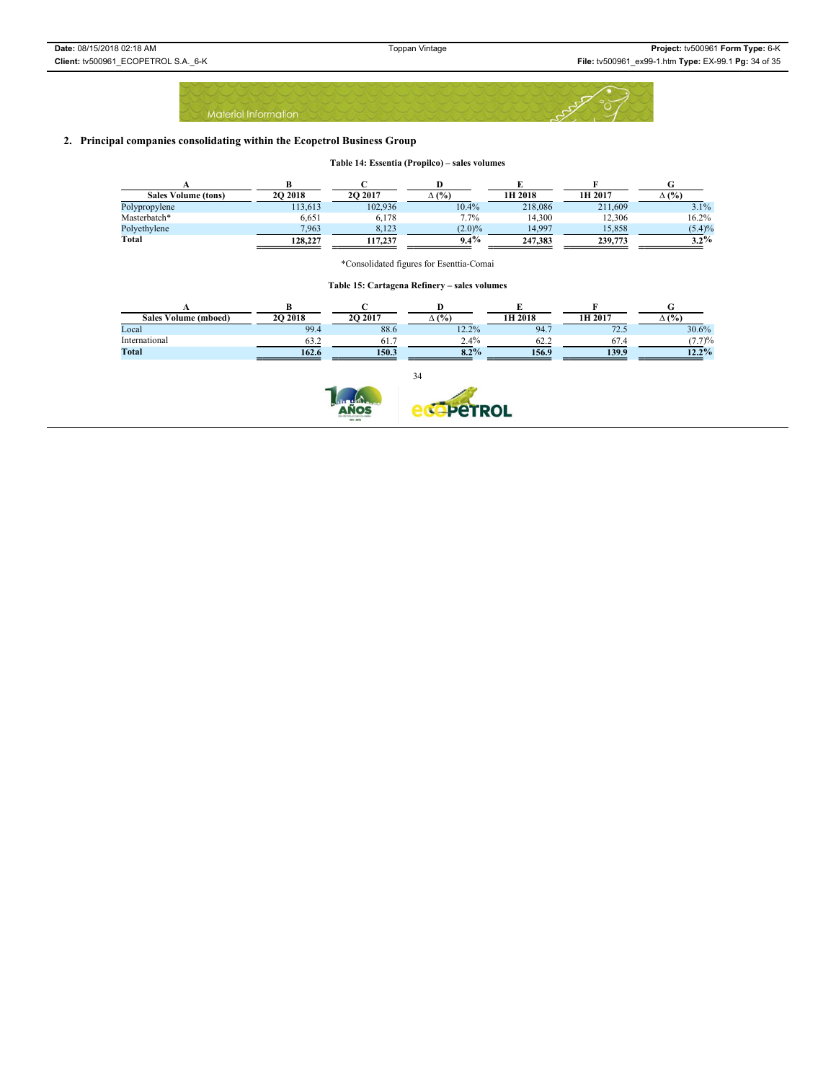|  |  |  |                      |  |  |  |  |  |  | <b>Contract Contract Contract Contract</b> |  |  |  |  |  |  |  |  |  |
|--|--|--|----------------------|--|--|--|--|--|--|--------------------------------------------|--|--|--|--|--|--|--|--|--|
|  |  |  |                      |  |  |  |  |  |  |                                            |  |  |  |  |  |  |  |  |  |
|  |  |  |                      |  |  |  |  |  |  |                                            |  |  |  |  |  |  |  |  |  |
|  |  |  | Material Information |  |  |  |  |  |  |                                            |  |  |  |  |  |  |  |  |  |
|  |  |  |                      |  |  |  |  |  |  |                                            |  |  |  |  |  |  |  |  |  |

# **2. Principal companies consolidating within the Ecopetrol Business Group**

|  |  | Table 14: Essentia (Propilco) – sales volumes |  |
|--|--|-----------------------------------------------|--|
|--|--|-----------------------------------------------|--|

| <b>Sales Volume (tons)</b> | 20 2018 | 20 20 17 | $\Delta$ (%) | 1H 2018 | 1H 2017 | $\Delta$ (%) |
|----------------------------|---------|----------|--------------|---------|---------|--------------|
| Polypropylene              | 113.613 | 102.936  | 10.4%        | 218,086 | 211.609 | 3.1%         |
| Masterbatch*               | 6.651   | 6,178    | 7.7%         | 14.300  | 12.306  | 16.2%        |
| Polyethylene               | 7.963   | 8.123    | (2.0)%       | 14.997  | 15.858  | (5.4)%       |
| Total                      | 128.227 | 117.237  | $9.4\%$      | 247.383 | 239,773 | $3.2\%$      |

\*Consolidated figures for Esenttia-Comai

**Table 15: Cartagena Refinery – sales volumes**

| Volume (mboed)<br><b>Sales</b> | 20 20 18 | 20 20 17 | (%)<br>Δ, | 1H 2018              | 1H 2017       | $\Delta$ (%) |
|--------------------------------|----------|----------|-----------|----------------------|---------------|--------------|
| Local                          | 99.4     | 88.6     | 12.2%     | 94.7                 | 70<br>۔ ۔ ۔ ا | 30.6%        |
| International                  | 63.      | 61.      | 2.4%      | $\sim$ $\sim$<br>62. | 67.4          | (7.7)%       |
| Total                          | 162.6    | 150.3    | 8.2%      | 156.9                | 139.9         | $12.2\%$     |